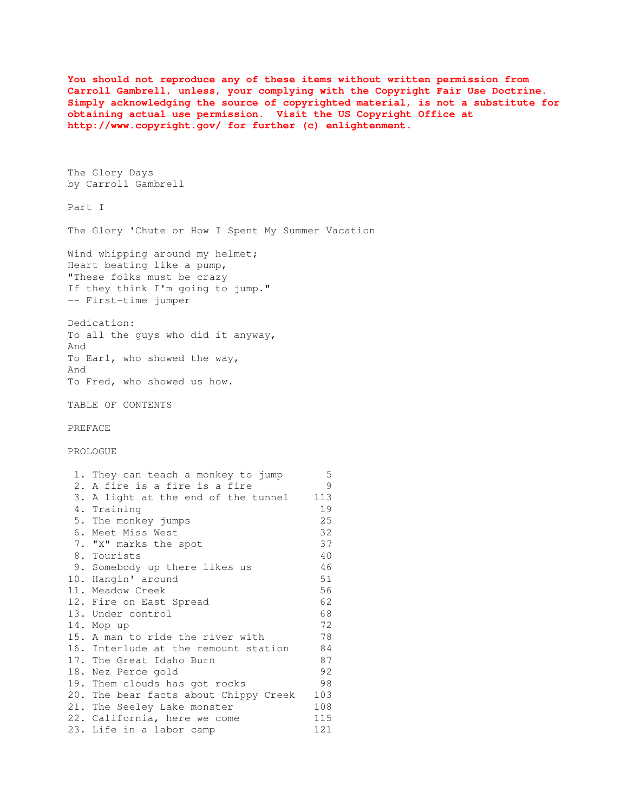**You should not reproduce any of these items without written permission from Carroll Gambrell, unless, your complying with the Copyright Fair Use Doctrine. Simply acknowledging the source of copyrighted material, is not a substitute for obtaining actual use permission. Visit the US Copyright Office at http://www.copyright.gov/ for further (c) enlightenment.** 

The Glory Days by Carroll Gambrell

Part I

The Glory 'Chute or How I Spent My Summer Vacation

Wind whipping around my helmet; Heart beating like a pump, "These folks must be crazy If they think I'm going to jump." -- First-time jumper

Dedication: To all the guys who did it anyway, And To Earl, who showed the way, And To Fred, who showed us how.

TABLE OF CONTENTS

PREFACE

PROLOGUE

| 1. They can teach a monkey to jump    | 5   |
|---------------------------------------|-----|
| 2. A fire is a fire is a fire         | 9   |
| 3. A light at the end of the tunnel   | 113 |
| 4. Training                           | 19  |
| 5. The monkey jumps                   | 25  |
| 6. Meet Miss West                     | 32  |
| 7. "X" marks the spot                 | 37  |
| 8. Tourists                           | 40  |
| 9. Somebody up there likes us         | 46  |
| 10. Hangin' around                    | 51  |
| 11. Meadow Creek                      | 56  |
| 12. Fire on East Spread               | 62  |
| 13. Under control                     | 68  |
| 14. Mop up                            | 72  |
| 15. A man to ride the river with      | 78  |
| 16. Interlude at the remount station  | 84  |
| 17. The Great Idaho Burn              | 87  |
| 18. Nez Perce gold                    | 92  |
| 19. Them clouds has got rocks         | 98  |
| 20. The bear facts about Chippy Creek | 103 |
| 21. The Seeley Lake monster           | 108 |
| 22. California, here we come          | 115 |
| 23. Life in a labor camp              | 121 |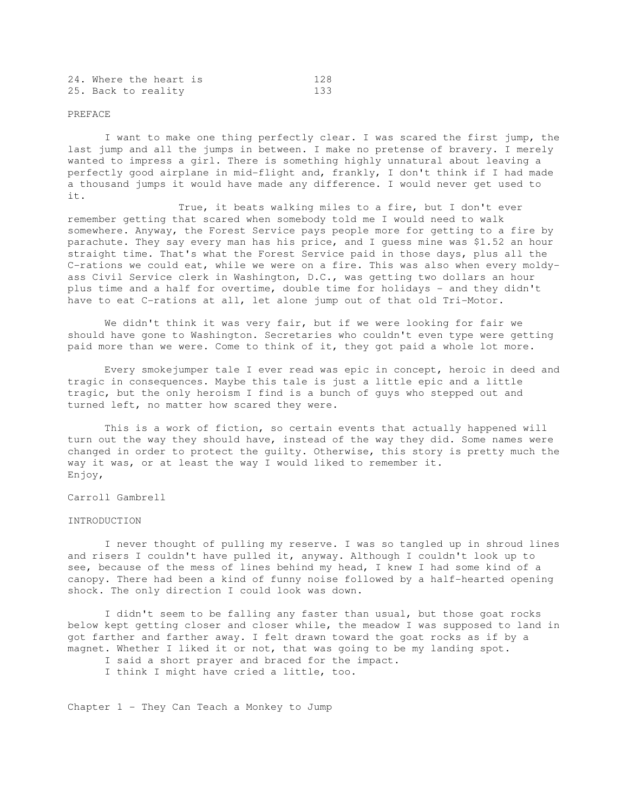| 24. Where the heart is |     |
|------------------------|-----|
| 25. Back to reality    | 133 |

#### PREFACE

 I want to make one thing perfectly clear. I was scared the first jump, the last jump and all the jumps in between. I make no pretense of bravery. I merely wanted to impress a girl. There is something highly unnatural about leaving a perfectly good airplane in mid-flight and, frankly, I don't think if I had made a thousand jumps it would have made any difference. I would never get used to it.

 True, it beats walking miles to a fire, but I don't ever remember getting that scared when somebody told me I would need to walk somewhere. Anyway, the Forest Service pays people more for getting to a fire by parachute. They say every man has his price, and I guess mine was \$1.52 an hour straight time. That's what the Forest Service paid in those days, plus all the C-rations we could eat, while we were on a fire. This was also when every moldyass Civil Service clerk in Washington, D.C., was getting two dollars an hour plus time and a half for overtime, double time for holidays - and they didn't have to eat C-rations at all, let alone jump out of that old Tri-Motor.

 We didn't think it was very fair, but if we were looking for fair we should have gone to Washington. Secretaries who couldn't even type were getting paid more than we were. Come to think of it, they got paid a whole lot more.

 Every smokejumper tale I ever read was epic in concept, heroic in deed and tragic in consequences. Maybe this tale is just a little epic and a little tragic, but the only heroism I find is a bunch of guys who stepped out and turned left, no matter how scared they were.

 This is a work of fiction, so certain events that actually happened will turn out the way they should have, instead of the way they did. Some names were changed in order to protect the guilty. Otherwise, this story is pretty much the way it was, or at least the way I would liked to remember it. Enjoy,

Carroll Gambrell

## INTRODUCTION

 I never thought of pulling my reserve. I was so tangled up in shroud lines and risers I couldn't have pulled it, anyway. Although I couldn't look up to see, because of the mess of lines behind my head, I knew I had some kind of a canopy. There had been a kind of funny noise followed by a half-hearted opening shock. The only direction I could look was down.

 I didn't seem to be falling any faster than usual, but those goat rocks below kept getting closer and closer while, the meadow I was supposed to land in got farther and farther away. I felt drawn toward the goat rocks as if by a magnet. Whether I liked it or not, that was going to be my landing spot.

- I said a short prayer and braced for the impact.
- I think I might have cried a little, too.

Chapter  $1$  - They Can Teach a Monkey to Jump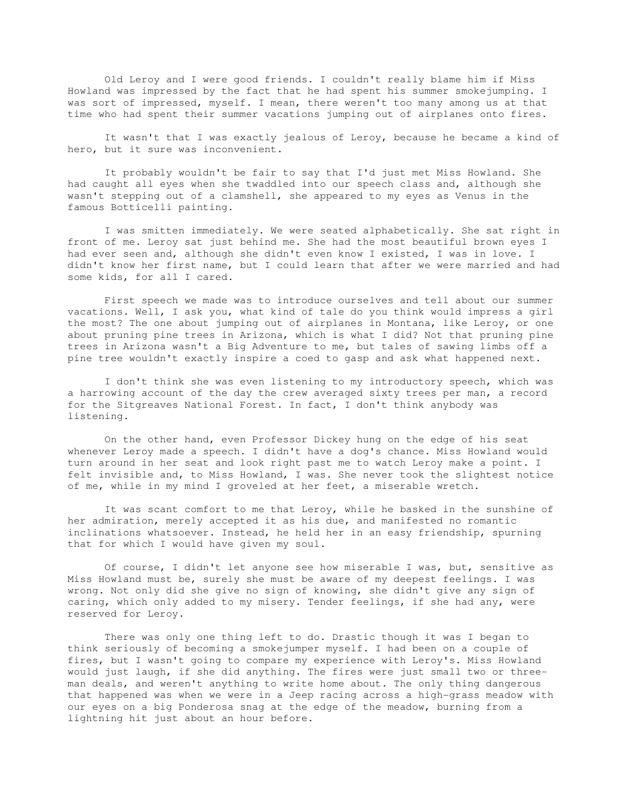Old Leroy and I were good friends. I couldn't really blame him if Miss Howland was impressed by the fact that he had spent his summer smokejumping. I was sort of impressed, myself. I mean, there weren't too many among us at that time who had spent their summer vacations jumping out of airplanes onto fires.

 It wasn't that I was exactly jealous of Leroy, because he became a kind of hero, but it sure was inconvenient.

 It probably wouldn't be fair to say that I'd just met Miss Howland. She had caught all eyes when she twaddled into our speech class and, although she wasn't stepping out of a clamshell, she appeared to my eyes as Venus in the famous Botticelli painting.

 I was smitten immediately. We were seated alphabetically. She sat right in front of me. Leroy sat just behind me. She had the most beautiful brown eyes I had ever seen and, although she didn't even know I existed, I was in love. I didn't know her first name, but I could learn that after we were married and had some kids, for all I cared.

 First speech we made was to introduce ourselves and tell about our summer vacations. Well, I ask you, what kind of tale do you think would impress a girl the most? The one about jumping out of airplanes in Montana, like Leroy, or one about pruning pine trees in Arizona, which is what I did? Not that pruning pine trees in Arizona wasn't a Big Adventure to me, but tales of sawing limbs off a pine tree wouldn't exactly inspire a coed to gasp and ask what happened next.

 I don't think she was even listening to my introductory speech, which was a harrowing account of the day the crew averaged sixty trees per man, a record for the Sitgreaves National Forest. In fact, I don't think anybody was listening.

 On the other hand, even Professor Dickey hung on the edge of his seat whenever Leroy made a speech. I didn't have a dog's chance. Miss Howland would turn around in her seat and look right past me to watch Leroy make a point. I felt invisible and, to Miss Howland, I was. She never took the slightest notice of me, while in my mind I groveled at her feet, a miserable wretch.

 It was scant comfort to me that Leroy, while he basked in the sunshine of her admiration, merely accepted it as his due, and manifested no romantic inclinations whatsoever. Instead, he held her in an easy friendship, spurning that for which I would have given my soul.

 Of course, I didn't let anyone see how miserable I was, but, sensitive as Miss Howland must be, surely she must be aware of my deepest feelings. I was wrong. Not only did she give no sign of knowing, she didn't give any sign of caring, which only added to my misery. Tender feelings, if she had any, were reserved for Leroy.

 There was only one thing left to do. Drastic though it was I began to think seriously of becoming a smokejumper myself. I had been on a couple of fires, but I wasn't going to compare my experience with Leroy's. Miss Howland would just laugh, if she did anything. The fires were just small two or threeman deals, and weren't anything to write home about. The only thing dangerous that happened was when we were in a Jeep racing across a high-grass meadow with our eyes on a big Ponderosa snag at the edge of the meadow, burning from a lightning hit just about an hour before.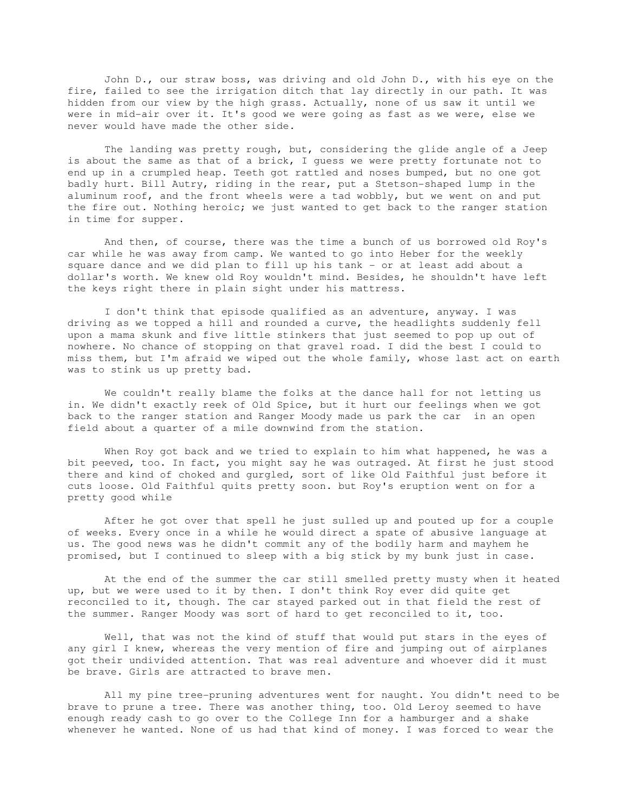John D., our straw boss, was driving and old John D., with his eye on the fire, failed to see the irrigation ditch that lay directly in our path. It was hidden from our view by the high grass. Actually, none of us saw it until we were in mid-air over it. It's good we were going as fast as we were, else we never would have made the other side.

 The landing was pretty rough, but, considering the glide angle of a Jeep is about the same as that of a brick, I guess we were pretty fortunate not to end up in a crumpled heap. Teeth got rattled and noses bumped, but no one got badly hurt. Bill Autry, riding in the rear, put a Stetson-shaped lump in the aluminum roof, and the front wheels were a tad wobbly, but we went on and put the fire out. Nothing heroic; we just wanted to get back to the ranger station in time for supper.

 And then, of course, there was the time a bunch of us borrowed old Roy's car while he was away from camp. We wanted to go into Heber for the weekly square dance and we did plan to fill up his tank - or at least add about a dollar's worth. We knew old Roy wouldn't mind. Besides, he shouldn't have left the keys right there in plain sight under his mattress.

 I don't think that episode qualified as an adventure, anyway. I was driving as we topped a hill and rounded a curve, the headlights suddenly fell upon a mama skunk and five little stinkers that just seemed to pop up out of nowhere. No chance of stopping on that gravel road. I did the best I could to miss them, but I'm afraid we wiped out the whole family, whose last act on earth was to stink us up pretty bad.

 We couldn't really blame the folks at the dance hall for not letting us in. We didn't exactly reek of Old Spice, but it hurt our feelings when we got back to the ranger station and Ranger Moody made us park the car in an open field about a quarter of a mile downwind from the station.

 When Roy got back and we tried to explain to him what happened, he was a bit peeved, too. In fact, you might say he was outraged. At first he just stood there and kind of choked and gurgled, sort of like Old Faithful just before it cuts loose. Old Faithful quits pretty soon. but Roy's eruption went on for a pretty good while

 After he got over that spell he just sulled up and pouted up for a couple of weeks. Every once in a while he would direct a spate of abusive language at us. The good news was he didn't commit any of the bodily harm and mayhem he promised, but I continued to sleep with a big stick by my bunk just in case.

 At the end of the summer the car still smelled pretty musty when it heated up, but we were used to it by then. I don't think Roy ever did quite get reconciled to it, though. The car stayed parked out in that field the rest of the summer. Ranger Moody was sort of hard to get reconciled to it, too.

 Well, that was not the kind of stuff that would put stars in the eyes of any girl I knew, whereas the very mention of fire and jumping out of airplanes got their undivided attention. That was real adventure and whoever did it must be brave. Girls are attracted to brave men.

 All my pine tree-pruning adventures went for naught. You didn't need to be brave to prune a tree. There was another thing, too. Old Leroy seemed to have enough ready cash to go over to the College Inn for a hamburger and a shake whenever he wanted. None of us had that kind of money. I was forced to wear the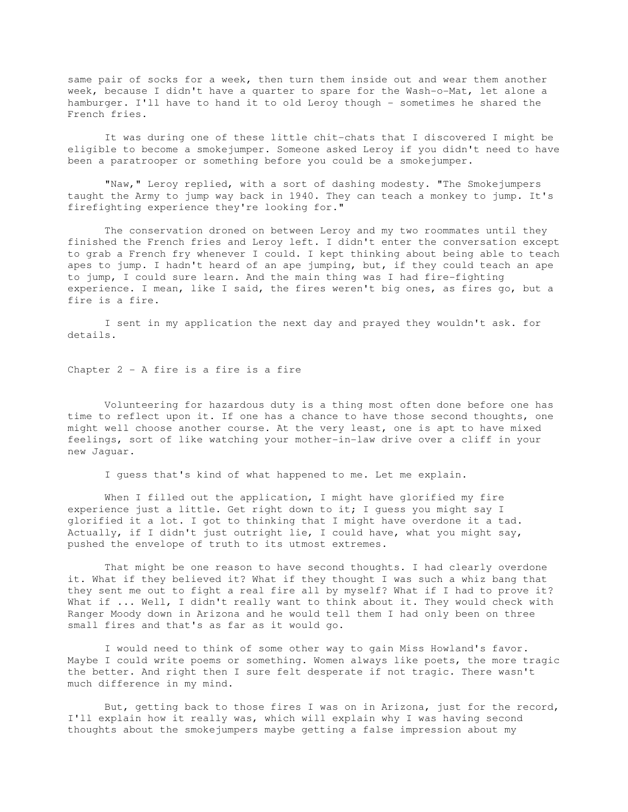same pair of socks for a week, then turn them inside out and wear them another week, because I didn't have a quarter to spare for the Wash-o-Mat, let alone a hamburger. I'll have to hand it to old Leroy though - sometimes he shared the French fries.

 It was during one of these little chit-chats that I discovered I might be eligible to become a smokejumper. Someone asked Leroy if you didn't need to have been a paratrooper or something before you could be a smokejumper.

 "Naw," Leroy replied, with a sort of dashing modesty. "The Smokejumpers taught the Army to jump way back in 1940. They can teach a monkey to jump. It's firefighting experience they're looking for."

 The conservation droned on between Leroy and my two roommates until they finished the French fries and Leroy left. I didn't enter the conversation except to grab a French fry whenever I could. I kept thinking about being able to teach apes to jump. I hadn't heard of an ape jumping, but, if they could teach an ape to jump, I could sure learn. And the main thing was I had fire-fighting experience. I mean, like I said, the fires weren't big ones, as fires go, but a fire is a fire.

 I sent in my application the next day and prayed they wouldn't ask. for details.

Chapter 2 - A fire is a fire is a fire

 Volunteering for hazardous duty is a thing most often done before one has time to reflect upon it. If one has a chance to have those second thoughts, one might well choose another course. At the very least, one is apt to have mixed feelings, sort of like watching your mother-in-law drive over a cliff in your new Jaguar.

I guess that's kind of what happened to me. Let me explain.

When I filled out the application, I might have glorified my fire experience just a little. Get right down to it; I guess you might say I glorified it a lot. I got to thinking that I might have overdone it a tad. Actually, if I didn't just outright lie, I could have, what you might say, pushed the envelope of truth to its utmost extremes.

 That might be one reason to have second thoughts. I had clearly overdone it. What if they believed it? What if they thought I was such a whiz bang that they sent me out to fight a real fire all by myself? What if I had to prove it? What if ... Well, I didn't really want to think about it. They would check with Ranger Moody down in Arizona and he would tell them I had only been on three small fires and that's as far as it would go.

 I would need to think of some other way to gain Miss Howland's favor. Maybe I could write poems or something. Women always like poets, the more tragic the better. And right then I sure felt desperate if not tragic. There wasn't much difference in my mind.

 But, getting back to those fires I was on in Arizona, just for the record, I'll explain how it really was, which will explain why I was having second thoughts about the smokejumpers maybe getting a false impression about my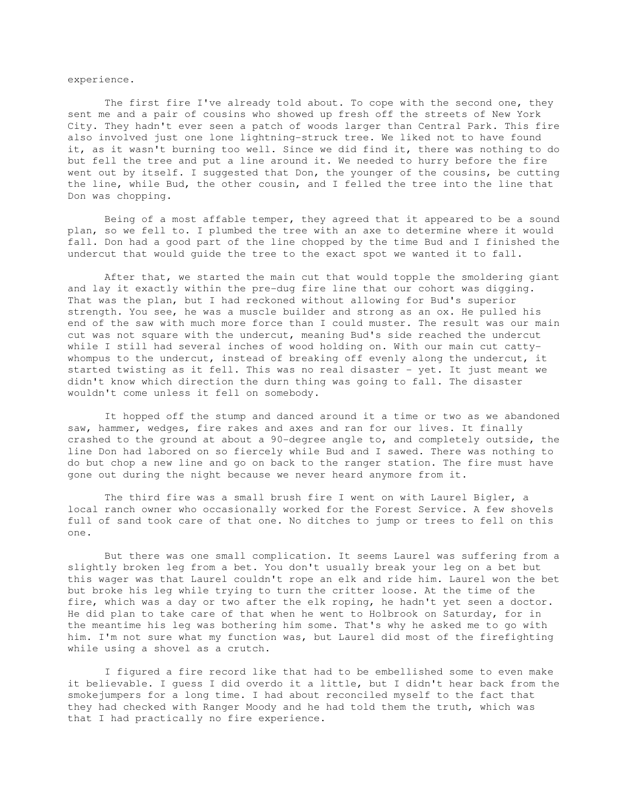## experience.

 The first fire I've already told about. To cope with the second one, they sent me and a pair of cousins who showed up fresh off the streets of New York City. They hadn't ever seen a patch of woods larger than Central Park. This fire also involved just one lone lightning-struck tree. We liked not to have found it, as it wasn't burning too well. Since we did find it, there was nothing to do but fell the tree and put a line around it. We needed to hurry before the fire went out by itself. I suggested that Don, the younger of the cousins, be cutting the line, while Bud, the other cousin, and I felled the tree into the line that Don was chopping.

 Being of a most affable temper, they agreed that it appeared to be a sound plan, so we fell to. I plumbed the tree with an axe to determine where it would fall. Don had a good part of the line chopped by the time Bud and I finished the undercut that would guide the tree to the exact spot we wanted it to fall.

 After that, we started the main cut that would topple the smoldering giant and lay it exactly within the pre-dug fire line that our cohort was digging. That was the plan, but I had reckoned without allowing for Bud's superior strength. You see, he was a muscle builder and strong as an ox. He pulled his end of the saw with much more force than I could muster. The result was our main cut was not square with the undercut, meaning Bud's side reached the undercut while I still had several inches of wood holding on. With our main cut cattywhompus to the undercut, instead of breaking off evenly along the undercut, it started twisting as it fell. This was no real disaster - yet. It just meant we didn't know which direction the durn thing was going to fall. The disaster wouldn't come unless it fell on somebody.

 It hopped off the stump and danced around it a time or two as we abandoned saw, hammer, wedges, fire rakes and axes and ran for our lives. It finally crashed to the ground at about a 90-degree angle to, and completely outside, the line Don had labored on so fiercely while Bud and I sawed. There was nothing to do but chop a new line and go on back to the ranger station. The fire must have gone out during the night because we never heard anymore from it.

 The third fire was a small brush fire I went on with Laurel Bigler, a local ranch owner who occasionally worked for the Forest Service. A few shovels full of sand took care of that one. No ditches to jump or trees to fell on this one.

 But there was one small complication. It seems Laurel was suffering from a slightly broken leg from a bet. You don't usually break your leg on a bet but this wager was that Laurel couldn't rope an elk and ride him. Laurel won the bet but broke his leg while trying to turn the critter loose. At the time of the fire, which was a day or two after the elk roping, he hadn't yet seen a doctor. He did plan to take care of that when he went to Holbrook on Saturday, for in the meantime his leg was bothering him some. That's why he asked me to go with him. I'm not sure what my function was, but Laurel did most of the firefighting while using a shovel as a crutch.

 I figured a fire record like that had to be embellished some to even make it believable. I guess I did overdo it a little, but I didn't hear back from the smokejumpers for a long time. I had about reconciled myself to the fact that they had checked with Ranger Moody and he had told them the truth, which was that I had practically no fire experience.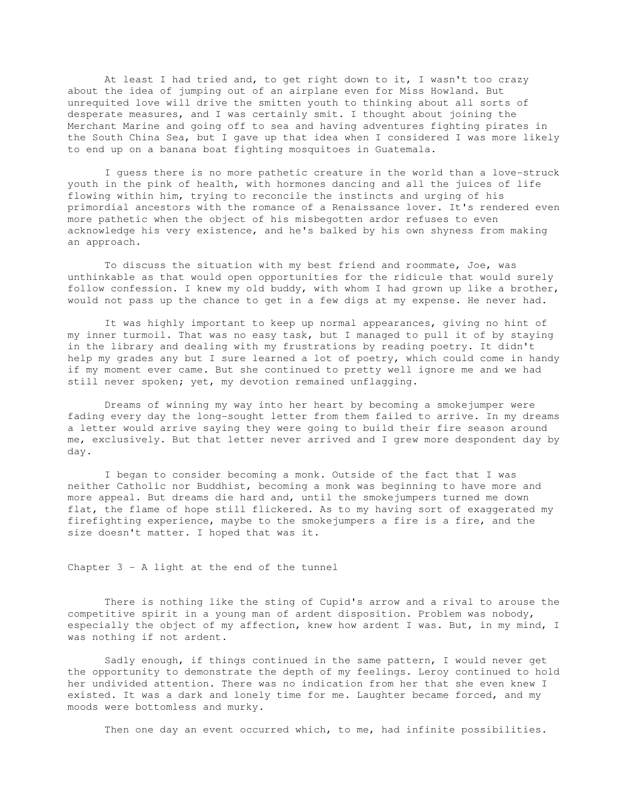At least I had tried and, to get right down to it, I wasn't too crazy about the idea of jumping out of an airplane even for Miss Howland. But unrequited love will drive the smitten youth to thinking about all sorts of desperate measures, and I was certainly smit. I thought about joining the Merchant Marine and going off to sea and having adventures fighting pirates in the South China Sea, but I gave up that idea when I considered I was more likely to end up on a banana boat fighting mosquitoes in Guatemala.

 I guess there is no more pathetic creature in the world than a love-struck youth in the pink of health, with hormones dancing and all the juices of life flowing within him, trying to reconcile the instincts and urging of his primordial ancestors with the romance of a Renaissance lover. It's rendered even more pathetic when the object of his misbegotten ardor refuses to even acknowledge his very existence, and he's balked by his own shyness from making an approach.

 To discuss the situation with my best friend and roommate, Joe, was unthinkable as that would open opportunities for the ridicule that would surely follow confession. I knew my old buddy, with whom I had grown up like a brother, would not pass up the chance to get in a few digs at my expense. He never had.

 It was highly important to keep up normal appearances, giving no hint of my inner turmoil. That was no easy task, but I managed to pull it of by staying in the library and dealing with my frustrations by reading poetry. It didn't help my grades any but I sure learned a lot of poetry, which could come in handy if my moment ever came. But she continued to pretty well ignore me and we had still never spoken; yet, my devotion remained unflagging.

 Dreams of winning my way into her heart by becoming a smokejumper were fading every day the long-sought letter from them failed to arrive. In my dreams a letter would arrive saying they were going to build their fire season around me, exclusively. But that letter never arrived and I grew more despondent day by day.

 I began to consider becoming a monk. Outside of the fact that I was neither Catholic nor Buddhist, becoming a monk was beginning to have more and more appeal. But dreams die hard and, until the smokejumpers turned me down flat, the flame of hope still flickered. As to my having sort of exaggerated my firefighting experience, maybe to the smokejumpers a fire is a fire, and the size doesn't matter. I hoped that was it.

### Chapter 3 - A light at the end of the tunnel

 There is nothing like the sting of Cupid's arrow and a rival to arouse the competitive spirit in a young man of ardent disposition. Problem was nobody, especially the object of my affection, knew how ardent I was. But, in my mind, I was nothing if not ardent.

 Sadly enough, if things continued in the same pattern, I would never get the opportunity to demonstrate the depth of my feelings. Leroy continued to hold her undivided attention. There was no indication from her that she even knew I existed. It was a dark and lonely time for me. Laughter became forced, and my moods were bottomless and murky.

Then one day an event occurred which, to me, had infinite possibilities.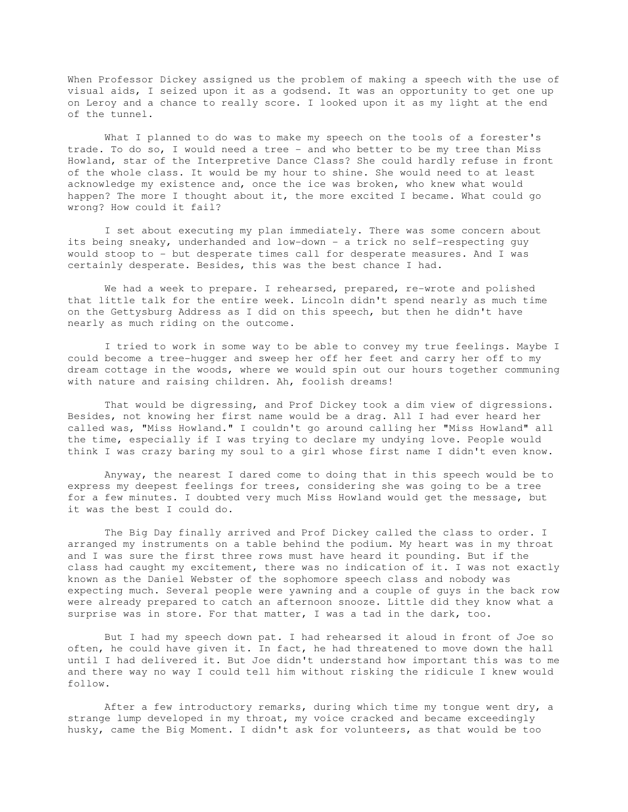When Professor Dickey assigned us the problem of making a speech with the use of visual aids, I seized upon it as a godsend. It was an opportunity to get one up on Leroy and a chance to really score. I looked upon it as my light at the end of the tunnel.

 What I planned to do was to make my speech on the tools of a forester's trade. To do so, I would need a tree - and who better to be my tree than Miss Howland, star of the Interpretive Dance Class? She could hardly refuse in front of the whole class. It would be my hour to shine. She would need to at least acknowledge my existence and, once the ice was broken, who knew what would happen? The more I thought about it, the more excited I became. What could go wrong? How could it fail?

 I set about executing my plan immediately. There was some concern about its being sneaky, underhanded and low-down - a trick no self-respecting guy would stoop to - but desperate times call for desperate measures. And I was certainly desperate. Besides, this was the best chance I had.

We had a week to prepare. I rehearsed, prepared, re-wrote and polished that little talk for the entire week. Lincoln didn't spend nearly as much time on the Gettysburg Address as I did on this speech, but then he didn't have nearly as much riding on the outcome.

 I tried to work in some way to be able to convey my true feelings. Maybe I could become a tree-hugger and sweep her off her feet and carry her off to my dream cottage in the woods, where we would spin out our hours together communing with nature and raising children. Ah, foolish dreams!

 That would be digressing, and Prof Dickey took a dim view of digressions. Besides, not knowing her first name would be a drag. All I had ever heard her called was, "Miss Howland." I couldn't go around calling her "Miss Howland" all the time, especially if I was trying to declare my undying love. People would think I was crazy baring my soul to a girl whose first name I didn't even know.

 Anyway, the nearest I dared come to doing that in this speech would be to express my deepest feelings for trees, considering she was going to be a tree for a few minutes. I doubted very much Miss Howland would get the message, but it was the best I could do.

 The Big Day finally arrived and Prof Dickey called the class to order. I arranged my instruments on a table behind the podium. My heart was in my throat and I was sure the first three rows must have heard it pounding. But if the class had caught my excitement, there was no indication of it. I was not exactly known as the Daniel Webster of the sophomore speech class and nobody was expecting much. Several people were yawning and a couple of guys in the back row were already prepared to catch an afternoon snooze. Little did they know what a surprise was in store. For that matter, I was a tad in the dark, too.

 But I had my speech down pat. I had rehearsed it aloud in front of Joe so often, he could have given it. In fact, he had threatened to move down the hall until I had delivered it. But Joe didn't understand how important this was to me and there way no way I could tell him without risking the ridicule I knew would follow.

 After a few introductory remarks, during which time my tongue went dry, a strange lump developed in my throat, my voice cracked and became exceedingly husky, came the Big Moment. I didn't ask for volunteers, as that would be too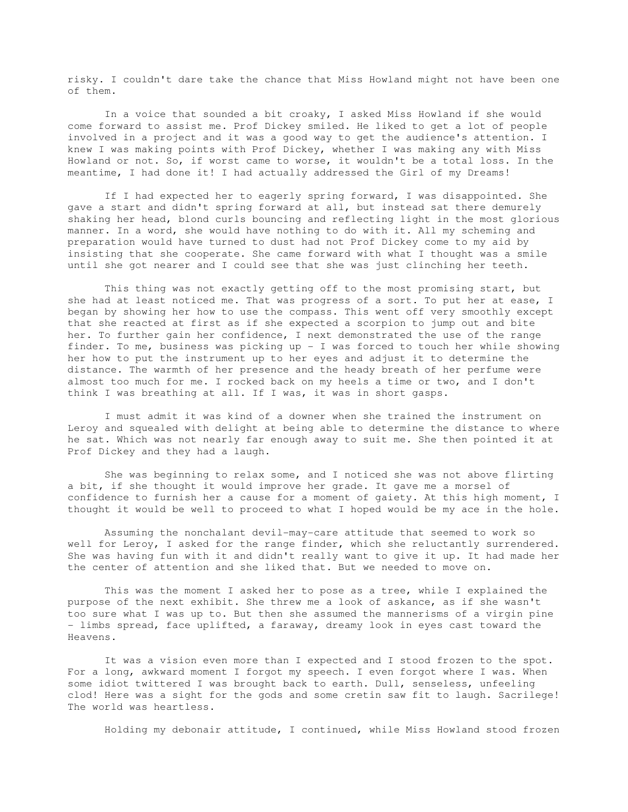risky. I couldn't dare take the chance that Miss Howland might not have been one of them.

 In a voice that sounded a bit croaky, I asked Miss Howland if she would come forward to assist me. Prof Dickey smiled. He liked to get a lot of people involved in a project and it was a good way to get the audience's attention. I knew I was making points with Prof Dickey, whether I was making any with Miss Howland or not. So, if worst came to worse, it wouldn't be a total loss. In the meantime, I had done it! I had actually addressed the Girl of my Dreams!

 If I had expected her to eagerly spring forward, I was disappointed. She gave a start and didn't spring forward at all, but instead sat there demurely shaking her head, blond curls bouncing and reflecting light in the most glorious manner. In a word, she would have nothing to do with it. All my scheming and preparation would have turned to dust had not Prof Dickey come to my aid by insisting that she cooperate. She came forward with what I thought was a smile until she got nearer and I could see that she was just clinching her teeth.

 This thing was not exactly getting off to the most promising start, but she had at least noticed me. That was progress of a sort. To put her at ease, I began by showing her how to use the compass. This went off very smoothly except that she reacted at first as if she expected a scorpion to jump out and bite her. To further gain her confidence, I next demonstrated the use of the range finder. To me, business was picking up - I was forced to touch her while showing her how to put the instrument up to her eyes and adjust it to determine the distance. The warmth of her presence and the heady breath of her perfume were almost too much for me. I rocked back on my heels a time or two, and I don't think I was breathing at all. If I was, it was in short gasps.

 I must admit it was kind of a downer when she trained the instrument on Leroy and squealed with delight at being able to determine the distance to where he sat. Which was not nearly far enough away to suit me. She then pointed it at Prof Dickey and they had a laugh.

 She was beginning to relax some, and I noticed she was not above flirting a bit, if she thought it would improve her grade. It gave me a morsel of confidence to furnish her a cause for a moment of gaiety. At this high moment, I thought it would be well to proceed to what I hoped would be my ace in the hole.

 Assuming the nonchalant devil-may-care attitude that seemed to work so well for Leroy, I asked for the range finder, which she reluctantly surrendered. She was having fun with it and didn't really want to give it up. It had made her the center of attention and she liked that. But we needed to move on.

 This was the moment I asked her to pose as a tree, while I explained the purpose of the next exhibit. She threw me a look of askance, as if she wasn't too sure what I was up to. But then she assumed the mannerisms of a virgin pine - limbs spread, face uplifted, a faraway, dreamy look in eyes cast toward the Heavens.

 It was a vision even more than I expected and I stood frozen to the spot. For a long, awkward moment I forgot my speech. I even forgot where I was. When some idiot twittered I was brought back to earth. Dull, senseless, unfeeling clod! Here was a sight for the gods and some cretin saw fit to laugh. Sacrilege! The world was heartless.

Holding my debonair attitude, I continued, while Miss Howland stood frozen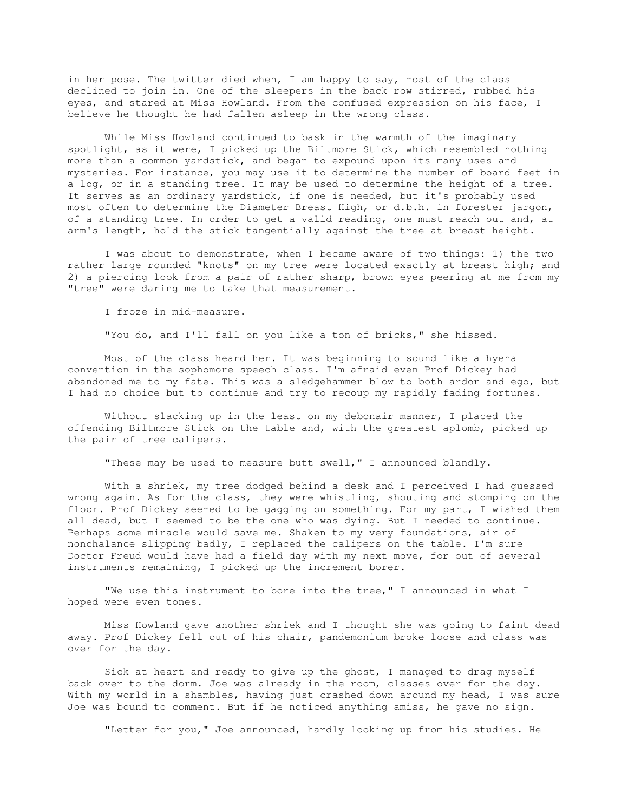in her pose. The twitter died when, I am happy to say, most of the class declined to join in. One of the sleepers in the back row stirred, rubbed his eyes, and stared at Miss Howland. From the confused expression on his face, I believe he thought he had fallen asleep in the wrong class.

 While Miss Howland continued to bask in the warmth of the imaginary spotlight, as it were, I picked up the Biltmore Stick, which resembled nothing more than a common yardstick, and began to expound upon its many uses and mysteries. For instance, you may use it to determine the number of board feet in a log, or in a standing tree. It may be used to determine the height of a tree. It serves as an ordinary yardstick, if one is needed, but it's probably used most often to determine the Diameter Breast High, or d.b.h. in forester jargon, of a standing tree. In order to get a valid reading, one must reach out and, at arm's length, hold the stick tangentially against the tree at breast height.

 I was about to demonstrate, when I became aware of two things: 1) the two rather large rounded "knots" on my tree were located exactly at breast high; and 2) a piercing look from a pair of rather sharp, brown eyes peering at me from my "tree" were daring me to take that measurement.

I froze in mid-measure.

"You do, and I'll fall on you like a ton of bricks," she hissed.

 Most of the class heard her. It was beginning to sound like a hyena convention in the sophomore speech class. I'm afraid even Prof Dickey had abandoned me to my fate. This was a sledgehammer blow to both ardor and ego, but I had no choice but to continue and try to recoup my rapidly fading fortunes.

 Without slacking up in the least on my debonair manner, I placed the offending Biltmore Stick on the table and, with the greatest aplomb, picked up the pair of tree calipers.

"These may be used to measure butt swell," I announced blandly.

 With a shriek, my tree dodged behind a desk and I perceived I had guessed wrong again. As for the class, they were whistling, shouting and stomping on the floor. Prof Dickey seemed to be gagging on something. For my part, I wished them all dead, but I seemed to be the one who was dying. But I needed to continue. Perhaps some miracle would save me. Shaken to my very foundations, air of nonchalance slipping badly, I replaced the calipers on the table. I'm sure Doctor Freud would have had a field day with my next move, for out of several instruments remaining, I picked up the increment borer.

 "We use this instrument to bore into the tree," I announced in what I hoped were even tones.

 Miss Howland gave another shriek and I thought she was going to faint dead away. Prof Dickey fell out of his chair, pandemonium broke loose and class was over for the day.

 Sick at heart and ready to give up the ghost, I managed to drag myself back over to the dorm. Joe was already in the room, classes over for the day. With my world in a shambles, having just crashed down around my head, I was sure Joe was bound to comment. But if he noticed anything amiss, he gave no sign.

"Letter for you," Joe announced, hardly looking up from his studies. He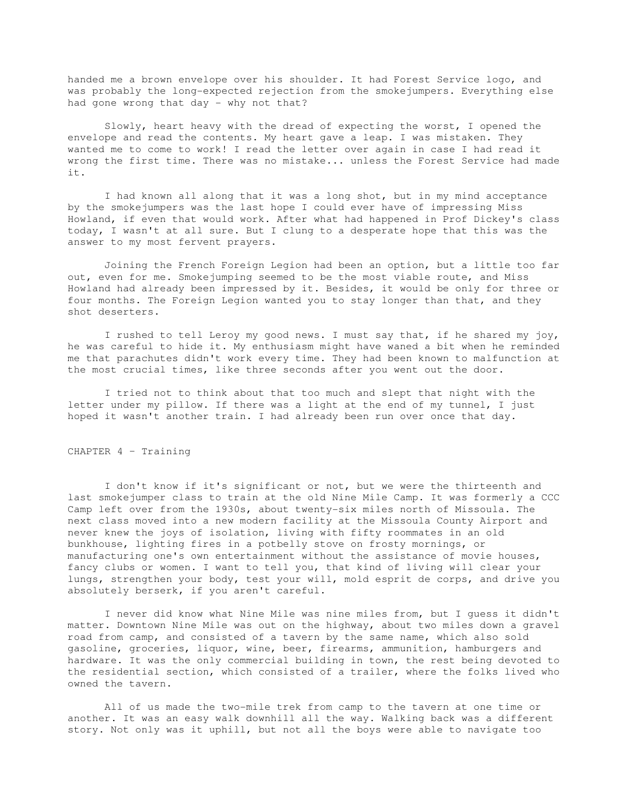handed me a brown envelope over his shoulder. It had Forest Service logo, and was probably the long-expected rejection from the smokejumpers. Everything else had gone wrong that day - why not that?

 Slowly, heart heavy with the dread of expecting the worst, I opened the envelope and read the contents. My heart gave a leap. I was mistaken. They wanted me to come to work! I read the letter over again in case I had read it wrong the first time. There was no mistake... unless the Forest Service had made it.

 I had known all along that it was a long shot, but in my mind acceptance by the smokejumpers was the last hope I could ever have of impressing Miss Howland, if even that would work. After what had happened in Prof Dickey's class today, I wasn't at all sure. But I clung to a desperate hope that this was the answer to my most fervent prayers.

 Joining the French Foreign Legion had been an option, but a little too far out, even for me. Smokejumping seemed to be the most viable route, and Miss Howland had already been impressed by it. Besides, it would be only for three or four months. The Foreign Legion wanted you to stay longer than that, and they shot deserters.

 I rushed to tell Leroy my good news. I must say that, if he shared my joy, he was careful to hide it. My enthusiasm might have waned a bit when he reminded me that parachutes didn't work every time. They had been known to malfunction at the most crucial times, like three seconds after you went out the door.

 I tried not to think about that too much and slept that night with the letter under my pillow. If there was a light at the end of my tunnel, I just hoped it wasn't another train. I had already been run over once that day.

# CHAPTER 4 – Training

 I don't know if it's significant or not, but we were the thirteenth and last smokejumper class to train at the old Nine Mile Camp. It was formerly a CCC Camp left over from the 1930s, about twenty-six miles north of Missoula. The next class moved into a new modern facility at the Missoula County Airport and never knew the joys of isolation, living with fifty roommates in an old bunkhouse, lighting fires in a potbelly stove on frosty mornings, or manufacturing one's own entertainment without the assistance of movie houses, fancy clubs or women. I want to tell you, that kind of living will clear your lungs, strengthen your body, test your will, mold esprit de corps, and drive you absolutely berserk, if you aren't careful.

 I never did know what Nine Mile was nine miles from, but I guess it didn't matter. Downtown Nine Mile was out on the highway, about two miles down a gravel road from camp, and consisted of a tavern by the same name, which also sold gasoline, groceries, liquor, wine, beer, firearms, ammunition, hamburgers and hardware. It was the only commercial building in town, the rest being devoted to the residential section, which consisted of a trailer, where the folks lived who owned the tavern.

 All of us made the two-mile trek from camp to the tavern at one time or another. It was an easy walk downhill all the way. Walking back was a different story. Not only was it uphill, but not all the boys were able to navigate too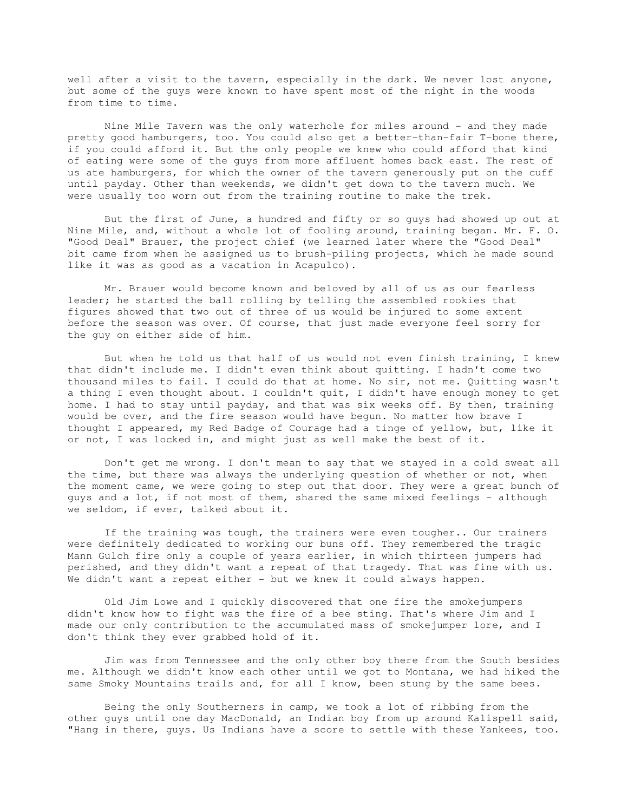well after a visit to the tavern, especially in the dark. We never lost anyone, but some of the guys were known to have spent most of the night in the woods from time to time.

Nine Mile Tavern was the only waterhole for miles around - and they made pretty good hamburgers, too. You could also get a better-than-fair T-bone there, if you could afford it. But the only people we knew who could afford that kind of eating were some of the guys from more affluent homes back east. The rest of us ate hamburgers, for which the owner of the tavern generously put on the cuff until payday. Other than weekends, we didn't get down to the tavern much. We were usually too worn out from the training routine to make the trek.

 But the first of June, a hundred and fifty or so guys had showed up out at Nine Mile, and, without a whole lot of fooling around, training began. Mr. F. O. "Good Deal" Brauer, the project chief (we learned later where the "Good Deal" bit came from when he assigned us to brush-piling projects, which he made sound like it was as good as a vacation in Acapulco).

 Mr. Brauer would become known and beloved by all of us as our fearless leader; he started the ball rolling by telling the assembled rookies that figures showed that two out of three of us would be injured to some extent before the season was over. Of course, that just made everyone feel sorry for the guy on either side of him.

 But when he told us that half of us would not even finish training, I knew that didn't include me. I didn't even think about quitting. I hadn't come two thousand miles to fail. I could do that at home. No sir, not me. Quitting wasn't a thing I even thought about. I couldn't quit, I didn't have enough money to get home. I had to stay until payday, and that was six weeks off. By then, training would be over, and the fire season would have begun. No matter how brave I thought I appeared, my Red Badge of Courage had a tinge of yellow, but, like it or not, I was locked in, and might just as well make the best of it.

 Don't get me wrong. I don't mean to say that we stayed in a cold sweat all the time, but there was always the underlying question of whether or not, when the moment came, we were going to step out that door. They were a great bunch of guys and a lot, if not most of them, shared the same mixed feelings - although we seldom, if ever, talked about it.

 If the training was tough, the trainers were even tougher.. Our trainers were definitely dedicated to working our buns off. They remembered the tragic Mann Gulch fire only a couple of years earlier, in which thirteen jumpers had perished, and they didn't want a repeat of that tragedy. That was fine with us. We didn't want a repeat either - but we knew it could always happen.

 Old Jim Lowe and I quickly discovered that one fire the smokejumpers didn't know how to fight was the fire of a bee sting. That's where Jim and I made our only contribution to the accumulated mass of smokejumper lore, and I don't think they ever grabbed hold of it.

 Jim was from Tennessee and the only other boy there from the South besides me. Although we didn't know each other until we got to Montana, we had hiked the same Smoky Mountains trails and, for all I know, been stung by the same bees.

 Being the only Southerners in camp, we took a lot of ribbing from the other guys until one day MacDonald, an Indian boy from up around Kalispell said, "Hang in there, guys. Us Indians have a score to settle with these Yankees, too.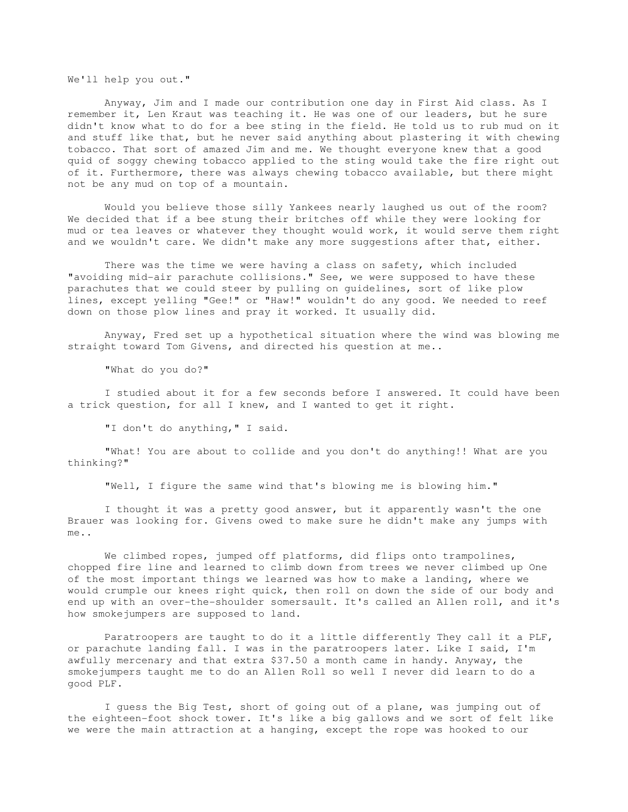We'll help you out."

 Anyway, Jim and I made our contribution one day in First Aid class. As I remember it, Len Kraut was teaching it. He was one of our leaders, but he sure didn't know what to do for a bee sting in the field. He told us to rub mud on it and stuff like that, but he never said anything about plastering it with chewing tobacco. That sort of amazed Jim and me. We thought everyone knew that a good quid of soggy chewing tobacco applied to the sting would take the fire right out of it. Furthermore, there was always chewing tobacco available, but there might not be any mud on top of a mountain.

 Would you believe those silly Yankees nearly laughed us out of the room? We decided that if a bee stung their britches off while they were looking for mud or tea leaves or whatever they thought would work, it would serve them right and we wouldn't care. We didn't make any more suggestions after that, either.

 There was the time we were having a class on safety, which included "avoiding mid-air parachute collisions." See, we were supposed to have these parachutes that we could steer by pulling on guidelines, sort of like plow lines, except yelling "Gee!" or "Haw!" wouldn't do any good. We needed to reef down on those plow lines and pray it worked. It usually did.

 Anyway, Fred set up a hypothetical situation where the wind was blowing me straight toward Tom Givens, and directed his question at me..

"What do you do?"

 I studied about it for a few seconds before I answered. It could have been a trick question, for all I knew, and I wanted to get it right.

"I don't do anything," I said.

 "What! You are about to collide and you don't do anything!! What are you thinking?"

"Well, I figure the same wind that's blowing me is blowing him."

 I thought it was a pretty good answer, but it apparently wasn't the one Brauer was looking for. Givens owed to make sure he didn't make any jumps with me..

 We climbed ropes, jumped off platforms, did flips onto trampolines, chopped fire line and learned to climb down from trees we never climbed up One of the most important things we learned was how to make a landing, where we would crumple our knees right quick, then roll on down the side of our body and end up with an over-the-shoulder somersault. It's called an Allen roll, and it's how smokejumpers are supposed to land.

Paratroopers are taught to do it a little differently They call it a PLF, or parachute landing fall. I was in the paratroopers later. Like I said, I'm awfully mercenary and that extra \$37.50 a month came in handy. Anyway, the smokejumpers taught me to do an Allen Roll so well I never did learn to do a good PLF.

 I guess the Big Test, short of going out of a plane, was jumping out of the eighteen-foot shock tower. It's like a big gallows and we sort of felt like we were the main attraction at a hanging, except the rope was hooked to our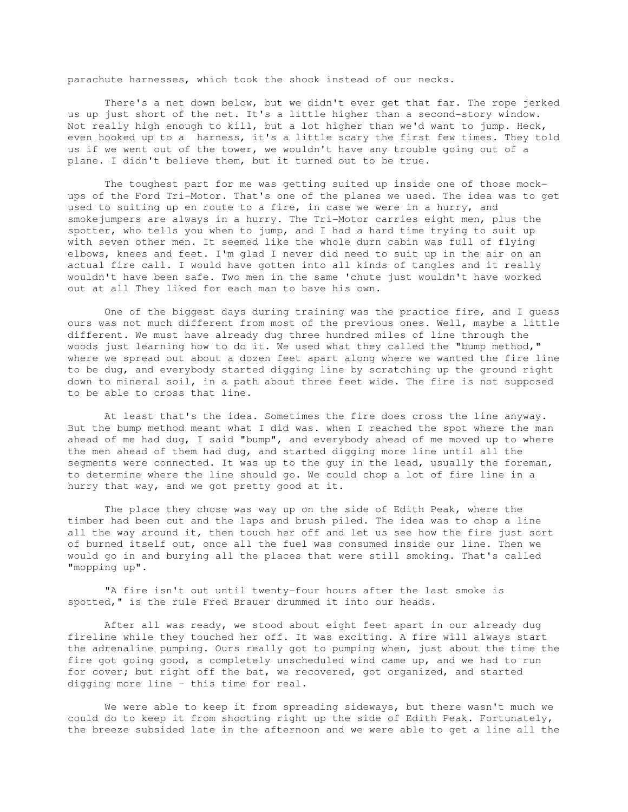parachute harnesses, which took the shock instead of our necks.

 There's a net down below, but we didn't ever get that far. The rope jerked us up just short of the net. It's a little higher than a second-story window. Not really high enough to kill, but a lot higher than we'd want to jump. Heck, even hooked up to a harness, it's a little scary the first few times. They told us if we went out of the tower, we wouldn't have any trouble going out of a plane. I didn't believe them, but it turned out to be true.

 The toughest part for me was getting suited up inside one of those mockups of the Ford Tri-Motor. That's one of the planes we used. The idea was to get used to suiting up en route to a fire, in case we were in a hurry, and smokejumpers are always in a hurry. The Tri-Motor carries eight men, plus the spotter, who tells you when to jump, and I had a hard time trying to suit up with seven other men. It seemed like the whole durn cabin was full of flying elbows, knees and feet. I'm glad I never did need to suit up in the air on an actual fire call. I would have gotten into all kinds of tangles and it really wouldn't have been safe. Two men in the same 'chute just wouldn't have worked out at all They liked for each man to have his own.

 One of the biggest days during training was the practice fire, and I guess ours was not much different from most of the previous ones. Well, maybe a little different. We must have already dug three hundred miles of line through the woods just learning how to do it. We used what they called the "bump method," where we spread out about a dozen feet apart along where we wanted the fire line to be dug, and everybody started digging line by scratching up the ground right down to mineral soil, in a path about three feet wide. The fire is not supposed to be able to cross that line.

 At least that's the idea. Sometimes the fire does cross the line anyway. But the bump method meant what I did was. when I reached the spot where the man ahead of me had dug, I said "bump", and everybody ahead of me moved up to where the men ahead of them had dug, and started digging more line until all the segments were connected. It was up to the guy in the lead, usually the foreman, to determine where the line should go. We could chop a lot of fire line in a hurry that way, and we got pretty good at it.

 The place they chose was way up on the side of Edith Peak, where the timber had been cut and the laps and brush piled. The idea was to chop a line all the way around it, then touch her off and let us see how the fire just sort of burned itself out, once all the fuel was consumed inside our line. Then we would go in and burying all the places that were still smoking. That's called "mopping up".

 "A fire isn't out until twenty-four hours after the last smoke is spotted," is the rule Fred Brauer drummed it into our heads.

 After all was ready, we stood about eight feet apart in our already dug fireline while they touched her off. It was exciting. A fire will always start the adrenaline pumping. Ours really got to pumping when, just about the time the fire got going good, a completely unscheduled wind came up, and we had to run for cover; but right off the bat, we recovered, got organized, and started digging more line - this time for real.

 We were able to keep it from spreading sideways, but there wasn't much we could do to keep it from shooting right up the side of Edith Peak. Fortunately, the breeze subsided late in the afternoon and we were able to get a line all the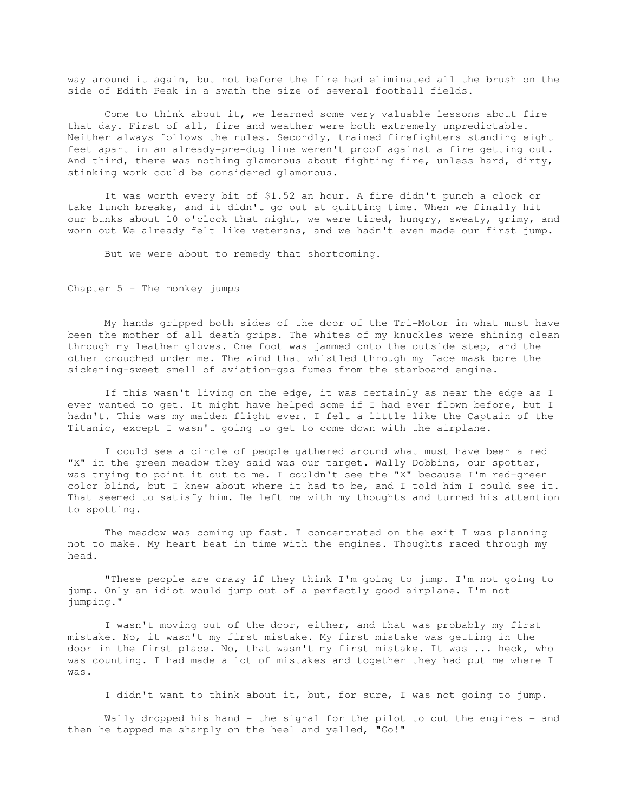way around it again, but not before the fire had eliminated all the brush on the side of Edith Peak in a swath the size of several football fields.

 Come to think about it, we learned some very valuable lessons about fire that day. First of all, fire and weather were both extremely unpredictable. Neither always follows the rules. Secondly, trained firefighters standing eight feet apart in an already-pre-dug line weren't proof against a fire getting out. And third, there was nothing glamorous about fighting fire, unless hard, dirty, stinking work could be considered glamorous.

 It was worth every bit of \$1.52 an hour. A fire didn't punch a clock or take lunch breaks, and it didn't go out at quitting time. When we finally hit our bunks about 10 o'clock that night, we were tired, hungry, sweaty, grimy, and worn out We already felt like veterans, and we hadn't even made our first jump.

But we were about to remedy that shortcoming.

Chapter  $5$  - The monkey jumps

 My hands gripped both sides of the door of the Tri-Motor in what must have been the mother of all death grips. The whites of my knuckles were shining clean through my leather gloves. One foot was jammed onto the outside step, and the other crouched under me. The wind that whistled through my face mask bore the sickening-sweet smell of aviation-gas fumes from the starboard engine.

 If this wasn't living on the edge, it was certainly as near the edge as I ever wanted to get. It might have helped some if I had ever flown before, but I hadn't. This was my maiden flight ever. I felt a little like the Captain of the Titanic, except I wasn't going to get to come down with the airplane.

 I could see a circle of people gathered around what must have been a red "X" in the green meadow they said was our target. Wally Dobbins, our spotter, was trying to point it out to me. I couldn't see the "X" because I'm red-green color blind, but I knew about where it had to be, and I told him I could see it. That seemed to satisfy him. He left me with my thoughts and turned his attention to spotting.

 The meadow was coming up fast. I concentrated on the exit I was planning not to make. My heart beat in time with the engines. Thoughts raced through my head.

 "These people are crazy if they think I'm going to jump. I'm not going to jump. Only an idiot would jump out of a perfectly good airplane. I'm not jumping."

 I wasn't moving out of the door, either, and that was probably my first mistake. No, it wasn't my first mistake. My first mistake was getting in the door in the first place. No, that wasn't my first mistake. It was ... heck, who was counting. I had made a lot of mistakes and together they had put me where I was.

I didn't want to think about it, but, for sure, I was not going to jump.

Wally dropped his hand - the signal for the pilot to cut the engines - and then he tapped me sharply on the heel and yelled, "Go!"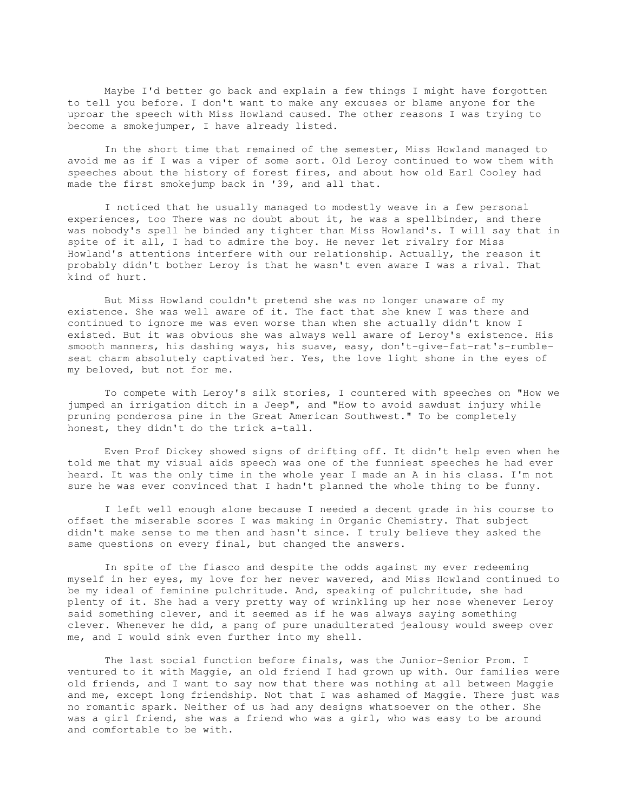Maybe I'd better go back and explain a few things I might have forgotten to tell you before. I don't want to make any excuses or blame anyone for the uproar the speech with Miss Howland caused. The other reasons I was trying to become a smokejumper, I have already listed.

 In the short time that remained of the semester, Miss Howland managed to avoid me as if I was a viper of some sort. Old Leroy continued to wow them with speeches about the history of forest fires, and about how old Earl Cooley had made the first smokejump back in '39, and all that.

 I noticed that he usually managed to modestly weave in a few personal experiences, too There was no doubt about it, he was a spellbinder, and there was nobody's spell he binded any tighter than Miss Howland's. I will say that in spite of it all, I had to admire the boy. He never let rivalry for Miss Howland's attentions interfere with our relationship. Actually, the reason it probably didn't bother Leroy is that he wasn't even aware I was a rival. That kind of hurt.

 But Miss Howland couldn't pretend she was no longer unaware of my existence. She was well aware of it. The fact that she knew I was there and continued to ignore me was even worse than when she actually didn't know I existed. But it was obvious she was always well aware of Leroy's existence. His smooth manners, his dashing ways, his suave, easy, don't-give-fat-rat's-rumbleseat charm absolutely captivated her. Yes, the love light shone in the eyes of my beloved, but not for me.

 To compete with Leroy's silk stories, I countered with speeches on "How we jumped an irrigation ditch in a Jeep", and "How to avoid sawdust injury while pruning ponderosa pine in the Great American Southwest." To be completely honest, they didn't do the trick a-tall.

 Even Prof Dickey showed signs of drifting off. It didn't help even when he told me that my visual aids speech was one of the funniest speeches he had ever heard. It was the only time in the whole year I made an A in his class. I'm not sure he was ever convinced that I hadn't planned the whole thing to be funny.

 I left well enough alone because I needed a decent grade in his course to offset the miserable scores I was making in Organic Chemistry. That subject didn't make sense to me then and hasn't since. I truly believe they asked the same questions on every final, but changed the answers.

 In spite of the fiasco and despite the odds against my ever redeeming myself in her eyes, my love for her never wavered, and Miss Howland continued to be my ideal of feminine pulchritude. And, speaking of pulchritude, she had plenty of it. She had a very pretty way of wrinkling up her nose whenever Leroy said something clever, and it seemed as if he was always saying something clever. Whenever he did, a pang of pure unadulterated jealousy would sweep over me, and I would sink even further into my shell.

 The last social function before finals, was the Junior-Senior Prom. I ventured to it with Maggie, an old friend I had grown up with. Our families were old friends, and I want to say now that there was nothing at all between Maggie and me, except long friendship. Not that I was ashamed of Maggie. There just was no romantic spark. Neither of us had any designs whatsoever on the other. She was a girl friend, she was a friend who was a girl, who was easy to be around and comfortable to be with.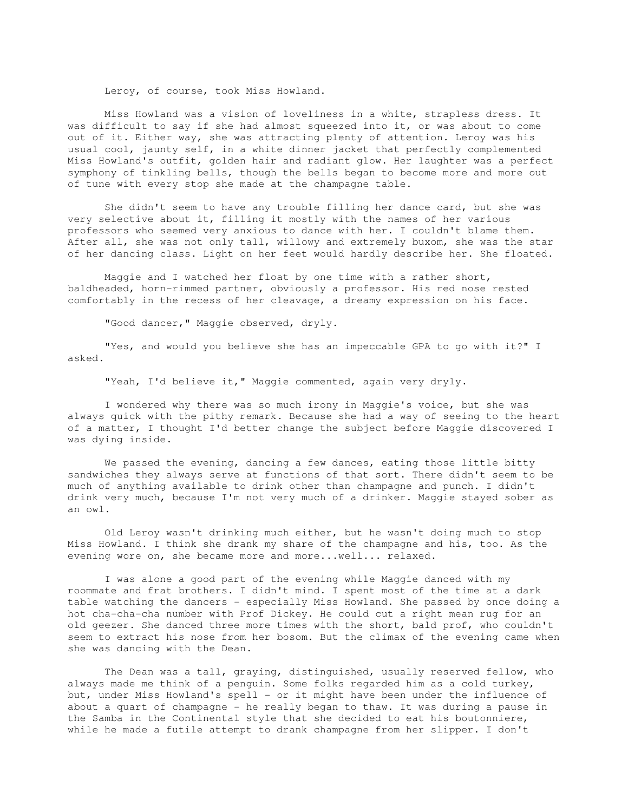Leroy, of course, took Miss Howland.

 Miss Howland was a vision of loveliness in a white, strapless dress. It was difficult to say if she had almost squeezed into it, or was about to come out of it. Either way, she was attracting plenty of attention. Leroy was his usual cool, jaunty self, in a white dinner jacket that perfectly complemented Miss Howland's outfit, golden hair and radiant glow. Her laughter was a perfect symphony of tinkling bells, though the bells began to become more and more out of tune with every stop she made at the champagne table.

 She didn't seem to have any trouble filling her dance card, but she was very selective about it, filling it mostly with the names of her various professors who seemed very anxious to dance with her. I couldn't blame them. After all, she was not only tall, willowy and extremely buxom, she was the star of her dancing class. Light on her feet would hardly describe her. She floated.

 Maggie and I watched her float by one time with a rather short, baldheaded, horn-rimmed partner, obviously a professor. His red nose rested comfortably in the recess of her cleavage, a dreamy expression on his face.

"Good dancer," Maggie observed, dryly.

 "Yes, and would you believe she has an impeccable GPA to go with it?" I asked.

"Yeah, I'd believe it," Maggie commented, again very dryly.

 I wondered why there was so much irony in Maggie's voice, but she was always quick with the pithy remark. Because she had a way of seeing to the heart of a matter, I thought I'd better change the subject before Maggie discovered I was dying inside.

 We passed the evening, dancing a few dances, eating those little bitty sandwiches they always serve at functions of that sort. There didn't seem to be much of anything available to drink other than champagne and punch. I didn't drink very much, because I'm not very much of a drinker. Maggie stayed sober as an owl.

 Old Leroy wasn't drinking much either, but he wasn't doing much to stop Miss Howland. I think she drank my share of the champagne and his, too. As the evening wore on, she became more and more...well... relaxed.

 I was alone a good part of the evening while Maggie danced with my roommate and frat brothers. I didn't mind. I spent most of the time at a dark table watching the dancers - especially Miss Howland. She passed by once doing a hot cha-cha-cha number with Prof Dickey. He could cut a right mean rug for an old geezer. She danced three more times with the short, bald prof, who couldn't seem to extract his nose from her bosom. But the climax of the evening came when she was dancing with the Dean.

 The Dean was a tall, graying, distinguished, usually reserved fellow, who always made me think of a penguin. Some folks regarded him as a cold turkey, but, under Miss Howland's spell - or it might have been under the influence of about a quart of champagne - he really began to thaw. It was during a pause in the Samba in the Continental style that she decided to eat his boutonniere, while he made a futile attempt to drank champagne from her slipper. I don't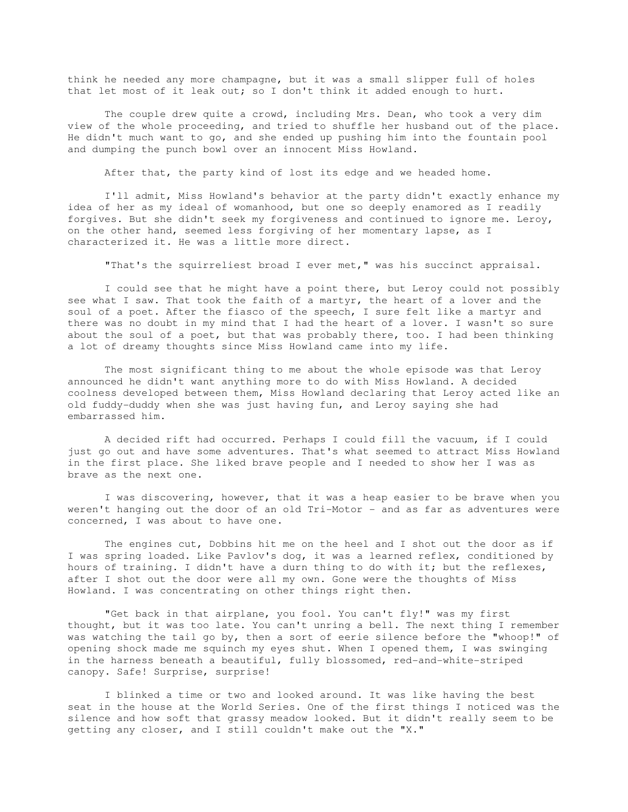think he needed any more champagne, but it was a small slipper full of holes that let most of it leak out; so I don't think it added enough to hurt.

 The couple drew quite a crowd, including Mrs. Dean, who took a very dim view of the whole proceeding, and tried to shuffle her husband out of the place. He didn't much want to go, and she ended up pushing him into the fountain pool and dumping the punch bowl over an innocent Miss Howland.

After that, the party kind of lost its edge and we headed home.

 I'll admit, Miss Howland's behavior at the party didn't exactly enhance my idea of her as my ideal of womanhood, but one so deeply enamored as I readily forgives. But she didn't seek my forgiveness and continued to ignore me. Leroy, on the other hand, seemed less forgiving of her momentary lapse, as I characterized it. He was a little more direct.

"That's the squirreliest broad I ever met," was his succinct appraisal.

 I could see that he might have a point there, but Leroy could not possibly see what I saw. That took the faith of a martyr, the heart of a lover and the soul of a poet. After the fiasco of the speech, I sure felt like a martyr and there was no doubt in my mind that I had the heart of a lover. I wasn't so sure about the soul of a poet, but that was probably there, too. I had been thinking a lot of dreamy thoughts since Miss Howland came into my life.

 The most significant thing to me about the whole episode was that Leroy announced he didn't want anything more to do with Miss Howland. A decided coolness developed between them, Miss Howland declaring that Leroy acted like an old fuddy-duddy when she was just having fun, and Leroy saying she had embarrassed him.

 A decided rift had occurred. Perhaps I could fill the vacuum, if I could just go out and have some adventures. That's what seemed to attract Miss Howland in the first place. She liked brave people and I needed to show her I was as brave as the next one.

 I was discovering, however, that it was a heap easier to be brave when you weren't hanging out the door of an old Tri-Motor - and as far as adventures were concerned, I was about to have one.

 The engines cut, Dobbins hit me on the heel and I shot out the door as if I was spring loaded. Like Pavlov's dog, it was a learned reflex, conditioned by hours of training. I didn't have a durn thing to do with it; but the reflexes, after I shot out the door were all my own. Gone were the thoughts of Miss Howland. I was concentrating on other things right then.

 "Get back in that airplane, you fool. You can't fly!" was my first thought, but it was too late. You can't unring a bell. The next thing I remember was watching the tail go by, then a sort of eerie silence before the "whoop!" of opening shock made me squinch my eyes shut. When I opened them, I was swinging in the harness beneath a beautiful, fully blossomed, red-and-white-striped canopy. Safe! Surprise, surprise!

 I blinked a time or two and looked around. It was like having the best seat in the house at the World Series. One of the first things I noticed was the silence and how soft that grassy meadow looked. But it didn't really seem to be getting any closer, and I still couldn't make out the "X."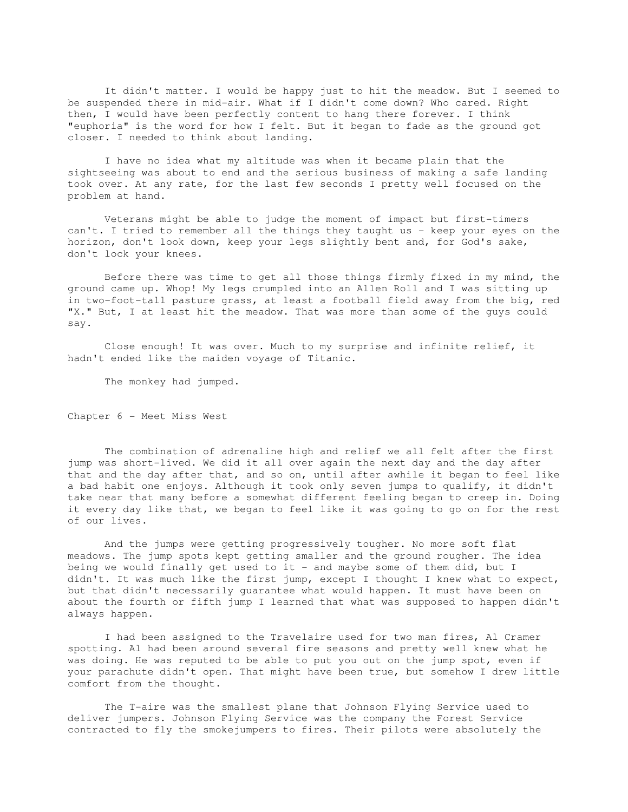It didn't matter. I would be happy just to hit the meadow. But I seemed to be suspended there in mid-air. What if I didn't come down? Who cared. Right then, I would have been perfectly content to hang there forever. I think "euphoria" is the word for how I felt. But it began to fade as the ground got closer. I needed to think about landing.

 I have no idea what my altitude was when it became plain that the sightseeing was about to end and the serious business of making a safe landing took over. At any rate, for the last few seconds I pretty well focused on the problem at hand.

 Veterans might be able to judge the moment of impact but first-timers can't. I tried to remember all the things they taught us - keep your eyes on the horizon, don't look down, keep your legs slightly bent and, for God's sake, don't lock your knees.

 Before there was time to get all those things firmly fixed in my mind, the ground came up. Whop! My legs crumpled into an Allen Roll and I was sitting up in two-foot-tall pasture grass, at least a football field away from the big, red "X." But, I at least hit the meadow. That was more than some of the guys could say.

 Close enough! It was over. Much to my surprise and infinite relief, it hadn't ended like the maiden voyage of Titanic.

The monkey had jumped.

Chapter 6 - Meet Miss West

 The combination of adrenaline high and relief we all felt after the first jump was short-lived. We did it all over again the next day and the day after that and the day after that, and so on, until after awhile it began to feel like a bad habit one enjoys. Although it took only seven jumps to qualify, it didn't take near that many before a somewhat different feeling began to creep in. Doing it every day like that, we began to feel like it was going to go on for the rest of our lives.

 And the jumps were getting progressively tougher. No more soft flat meadows. The jump spots kept getting smaller and the ground rougher. The idea being we would finally get used to it - and maybe some of them did, but I didn't. It was much like the first jump, except I thought I knew what to expect, but that didn't necessarily guarantee what would happen. It must have been on about the fourth or fifth jump I learned that what was supposed to happen didn't always happen.

 I had been assigned to the Travelaire used for two man fires, Al Cramer spotting. Al had been around several fire seasons and pretty well knew what he was doing. He was reputed to be able to put you out on the jump spot, even if your parachute didn't open. That might have been true, but somehow I drew little comfort from the thought.

 The T-aire was the smallest plane that Johnson Flying Service used to deliver jumpers. Johnson Flying Service was the company the Forest Service contracted to fly the smokejumpers to fires. Their pilots were absolutely the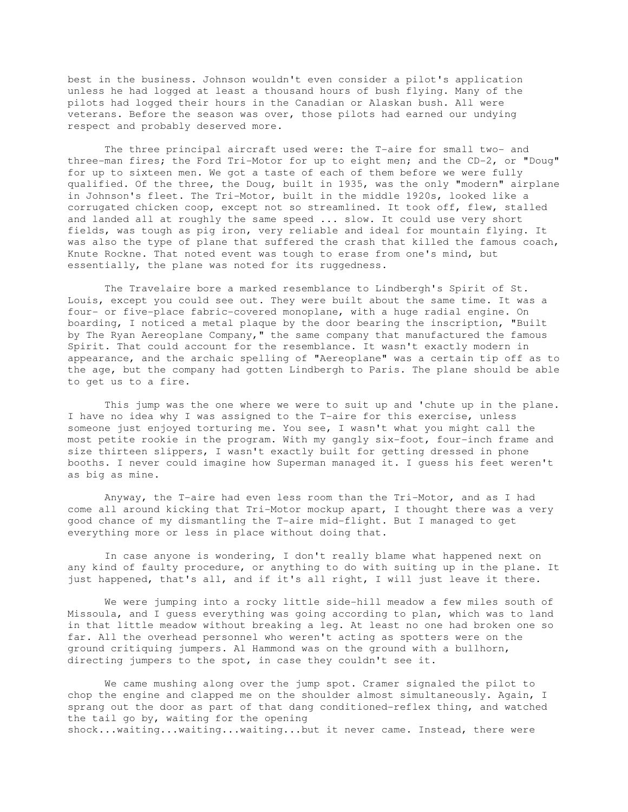best in the business. Johnson wouldn't even consider a pilot's application unless he had logged at least a thousand hours of bush flying. Many of the pilots had logged their hours in the Canadian or Alaskan bush. All were veterans. Before the season was over, those pilots had earned our undying respect and probably deserved more.

 The three principal aircraft used were: the T-aire for small two- and three-man fires; the Ford Tri-Motor for up to eight men; and the CD-2, or "Doug" for up to sixteen men. We got a taste of each of them before we were fully qualified. Of the three, the Doug, built in 1935, was the only "modern" airplane in Johnson's fleet. The Tri-Motor, built in the middle 1920s, looked like a corrugated chicken coop, except not so streamlined. It took off, flew, stalled and landed all at roughly the same speed ... slow. It could use very short fields, was tough as pig iron, very reliable and ideal for mountain flying. It was also the type of plane that suffered the crash that killed the famous coach, Knute Rockne. That noted event was tough to erase from one's mind, but essentially, the plane was noted for its ruggedness.

 The Travelaire bore a marked resemblance to Lindbergh's Spirit of St. Louis, except you could see out. They were built about the same time. It was a four- or five-place fabric-covered monoplane, with a huge radial engine. On boarding, I noticed a metal plaque by the door bearing the inscription, "Built by The Ryan Aereoplane Company," the same company that manufactured the famous Spirit. That could account for the resemblance. It wasn't exactly modern in appearance, and the archaic spelling of "Aereoplane" was a certain tip off as to the age, but the company had gotten Lindbergh to Paris. The plane should be able to get us to a fire.

 This jump was the one where we were to suit up and 'chute up in the plane. I have no idea why I was assigned to the T-aire for this exercise, unless someone just enjoyed torturing me. You see, I wasn't what you might call the most petite rookie in the program. With my gangly six-foot, four-inch frame and size thirteen slippers, I wasn't exactly built for getting dressed in phone booths. I never could imagine how Superman managed it. I guess his feet weren't as big as mine.

 Anyway, the T-aire had even less room than the Tri-Motor, and as I had come all around kicking that Tri-Motor mockup apart, I thought there was a very good chance of my dismantling the T-aire mid-flight. But I managed to get everything more or less in place without doing that.

 In case anyone is wondering, I don't really blame what happened next on any kind of faulty procedure, or anything to do with suiting up in the plane. It just happened, that's all, and if it's all right, I will just leave it there.

 We were jumping into a rocky little side-hill meadow a few miles south of Missoula, and I guess everything was going according to plan, which was to land in that little meadow without breaking a leg. At least no one had broken one so far. All the overhead personnel who weren't acting as spotters were on the ground critiquing jumpers. Al Hammond was on the ground with a bullhorn, directing jumpers to the spot, in case they couldn't see it.

 We came mushing along over the jump spot. Cramer signaled the pilot to chop the engine and clapped me on the shoulder almost simultaneously. Again, I sprang out the door as part of that dang conditioned-reflex thing, and watched the tail go by, waiting for the opening shock...waiting...waiting...waiting...but it never came. Instead, there were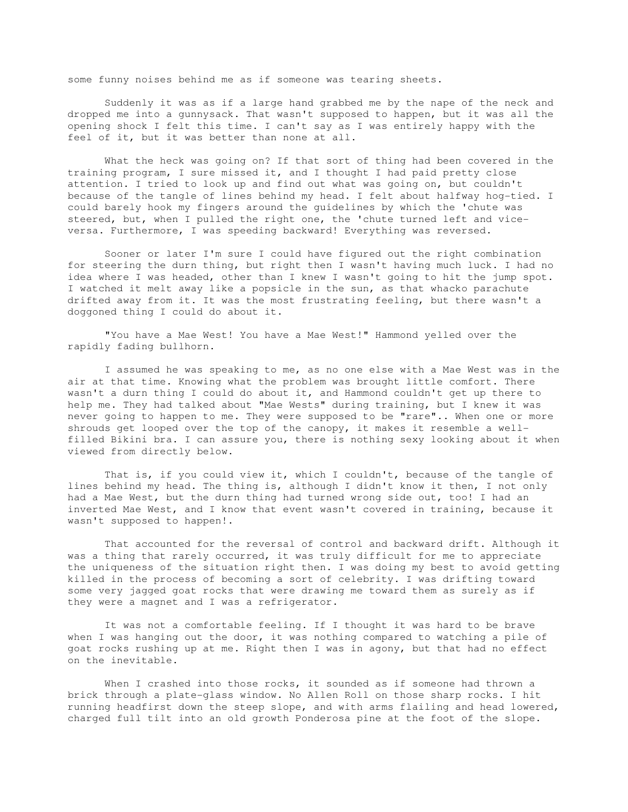some funny noises behind me as if someone was tearing sheets.

 Suddenly it was as if a large hand grabbed me by the nape of the neck and dropped me into a gunnysack. That wasn't supposed to happen, but it was all the opening shock I felt this time. I can't say as I was entirely happy with the feel of it, but it was better than none at all.

 What the heck was going on? If that sort of thing had been covered in the training program, I sure missed it, and I thought I had paid pretty close attention. I tried to look up and find out what was going on, but couldn't because of the tangle of lines behind my head. I felt about halfway hog-tied. I could barely hook my fingers around the guidelines by which the 'chute was steered, but, when I pulled the right one, the 'chute turned left and viceversa. Furthermore, I was speeding backward! Everything was reversed.

 Sooner or later I'm sure I could have figured out the right combination for steering the durn thing, but right then I wasn't having much luck. I had no idea where I was headed, other than I knew I wasn't going to hit the jump spot. I watched it melt away like a popsicle in the sun, as that whacko parachute drifted away from it. It was the most frustrating feeling, but there wasn't a doggoned thing I could do about it.

 "You have a Mae West! You have a Mae West!" Hammond yelled over the rapidly fading bullhorn.

 I assumed he was speaking to me, as no one else with a Mae West was in the air at that time. Knowing what the problem was brought little comfort. There wasn't a durn thing I could do about it, and Hammond couldn't get up there to help me. They had talked about "Mae Wests" during training, but I knew it was never going to happen to me. They were supposed to be "rare".. When one or more shrouds get looped over the top of the canopy, it makes it resemble a wellfilled Bikini bra. I can assure you, there is nothing sexy looking about it when viewed from directly below.

That is, if you could view it, which I couldn't, because of the tangle of lines behind my head. The thing is, although I didn't know it then, I not only had a Mae West, but the durn thing had turned wrong side out, too! I had an inverted Mae West, and I know that event wasn't covered in training, because it wasn't supposed to happen!.

 That accounted for the reversal of control and backward drift. Although it was a thing that rarely occurred, it was truly difficult for me to appreciate the uniqueness of the situation right then. I was doing my best to avoid getting killed in the process of becoming a sort of celebrity. I was drifting toward some very jagged goat rocks that were drawing me toward them as surely as if they were a magnet and I was a refrigerator.

 It was not a comfortable feeling. If I thought it was hard to be brave when I was hanging out the door, it was nothing compared to watching a pile of goat rocks rushing up at me. Right then I was in agony, but that had no effect on the inevitable.

When I crashed into those rocks, it sounded as if someone had thrown a brick through a plate-glass window. No Allen Roll on those sharp rocks. I hit running headfirst down the steep slope, and with arms flailing and head lowered, charged full tilt into an old growth Ponderosa pine at the foot of the slope.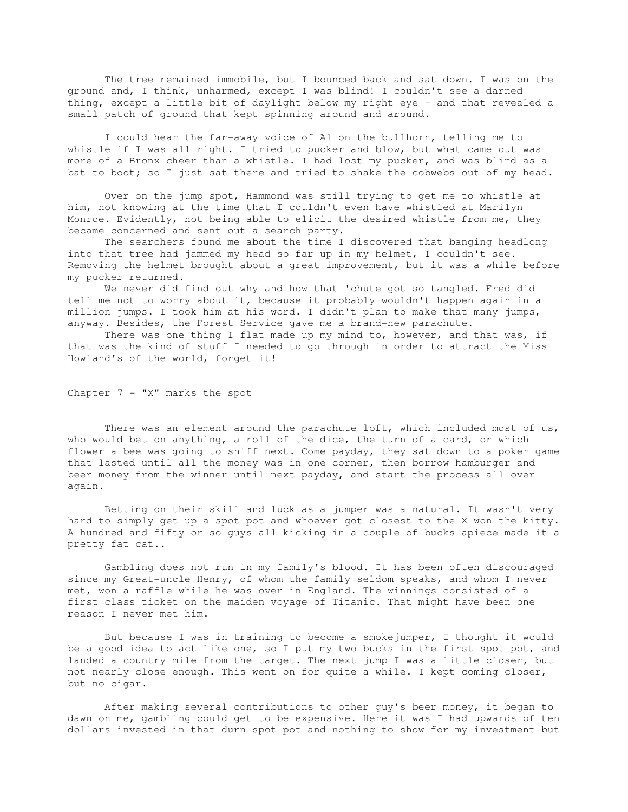The tree remained immobile, but I bounced back and sat down. I was on the ground and, I think, unharmed, except I was blind! I couldn't see a darned thing, except a little bit of daylight below my right eye - and that revealed a small patch of ground that kept spinning around and around.

 I could hear the far-away voice of Al on the bullhorn, telling me to whistle if I was all right. I tried to pucker and blow, but what came out was more of a Bronx cheer than a whistle. I had lost my pucker, and was blind as a bat to boot; so I just sat there and tried to shake the cobwebs out of my head.

 Over on the jump spot, Hammond was still trying to get me to whistle at him, not knowing at the time that I couldn't even have whistled at Marilyn Monroe. Evidently, not being able to elicit the desired whistle from me, they became concerned and sent out a search party.

 The searchers found me about the time I discovered that banging headlong into that tree had jammed my head so far up in my helmet, I couldn't see. Removing the helmet brought about a great improvement, but it was a while before my pucker returned.

 We never did find out why and how that 'chute got so tangled. Fred did tell me not to worry about it, because it probably wouldn't happen again in a million jumps. I took him at his word. I didn't plan to make that many jumps, anyway. Besides, the Forest Service gave me a brand-new parachute.

There was one thing I flat made up my mind to, however, and that was, if that was the kind of stuff I needed to go through in order to attract the Miss Howland's of the world, forget it!

Chapter 7 - "X" marks the spot

There was an element around the parachute loft, which included most of us, who would bet on anything, a roll of the dice, the turn of a card, or which flower a bee was going to sniff next. Come payday, they sat down to a poker game that lasted until all the money was in one corner, then borrow hamburger and beer money from the winner until next payday, and start the process all over again.

 Betting on their skill and luck as a jumper was a natural. It wasn't very hard to simply get up a spot pot and whoever got closest to the X won the kitty. A hundred and fifty or so guys all kicking in a couple of bucks apiece made it a pretty fat cat..

 Gambling does not run in my family's blood. It has been often discouraged since my Great-uncle Henry, of whom the family seldom speaks, and whom I never met, won a raffle while he was over in England. The winnings consisted of a first class ticket on the maiden voyage of Titanic. That might have been one reason I never met him.

 But because I was in training to become a smokejumper, I thought it would be a good idea to act like one, so I put my two bucks in the first spot pot, and landed a country mile from the target. The next jump I was a little closer, but not nearly close enough. This went on for quite a while. I kept coming closer, but no cigar.

 After making several contributions to other guy's beer money, it began to dawn on me, gambling could get to be expensive. Here it was I had upwards of ten dollars invested in that durn spot pot and nothing to show for my investment but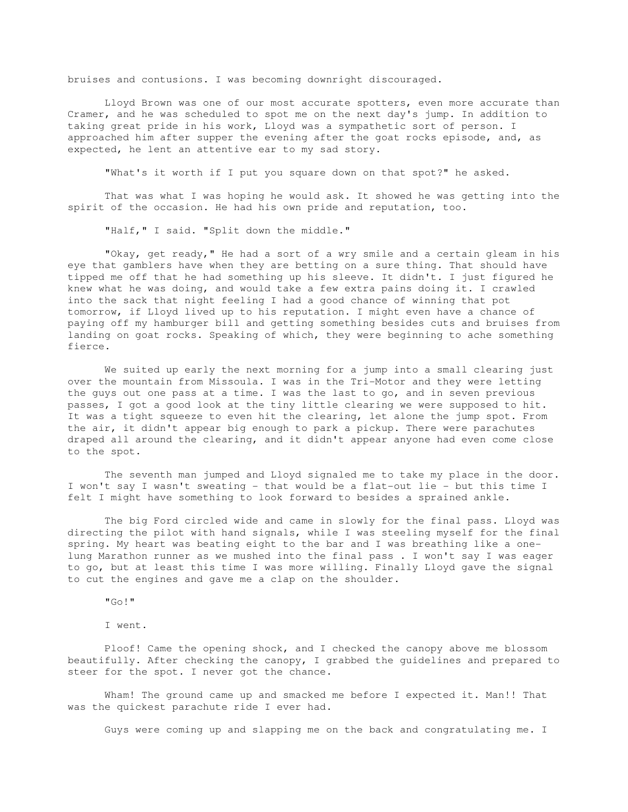bruises and contusions. I was becoming downright discouraged.

 Lloyd Brown was one of our most accurate spotters, even more accurate than Cramer, and he was scheduled to spot me on the next day's jump. In addition to taking great pride in his work, Lloyd was a sympathetic sort of person. I approached him after supper the evening after the goat rocks episode, and, as expected, he lent an attentive ear to my sad story.

"What's it worth if I put you square down on that spot?" he asked.

 That was what I was hoping he would ask. It showed he was getting into the spirit of the occasion. He had his own pride and reputation, too.

"Half," I said. "Split down the middle."

 "Okay, get ready," He had a sort of a wry smile and a certain gleam in his eye that gamblers have when they are betting on a sure thing. That should have tipped me off that he had something up his sleeve. It didn't. I just figured he knew what he was doing, and would take a few extra pains doing it. I crawled into the sack that night feeling I had a good chance of winning that pot tomorrow, if Lloyd lived up to his reputation. I might even have a chance of paying off my hamburger bill and getting something besides cuts and bruises from landing on goat rocks. Speaking of which, they were beginning to ache something fierce.

 We suited up early the next morning for a jump into a small clearing just over the mountain from Missoula. I was in the Tri-Motor and they were letting the guys out one pass at a time. I was the last to go, and in seven previous passes, I got a good look at the tiny little clearing we were supposed to hit. It was a tight squeeze to even hit the clearing, let alone the jump spot. From the air, it didn't appear big enough to park a pickup. There were parachutes draped all around the clearing, and it didn't appear anyone had even come close to the spot.

 The seventh man jumped and Lloyd signaled me to take my place in the door. I won't say I wasn't sweating - that would be a flat-out lie - but this time I felt I might have something to look forward to besides a sprained ankle.

 The big Ford circled wide and came in slowly for the final pass. Lloyd was directing the pilot with hand signals, while I was steeling myself for the final spring. My heart was beating eight to the bar and I was breathing like a onelung Marathon runner as we mushed into the final pass . I won't say I was eager to go, but at least this time I was more willing. Finally Lloyd gave the signal to cut the engines and gave me a clap on the shoulder.

"Go!"

I went.

 Ploof! Came the opening shock, and I checked the canopy above me blossom beautifully. After checking the canopy, I grabbed the guidelines and prepared to steer for the spot. I never got the chance.

 Wham! The ground came up and smacked me before I expected it. Man!! That was the quickest parachute ride I ever had.

Guys were coming up and slapping me on the back and congratulating me. I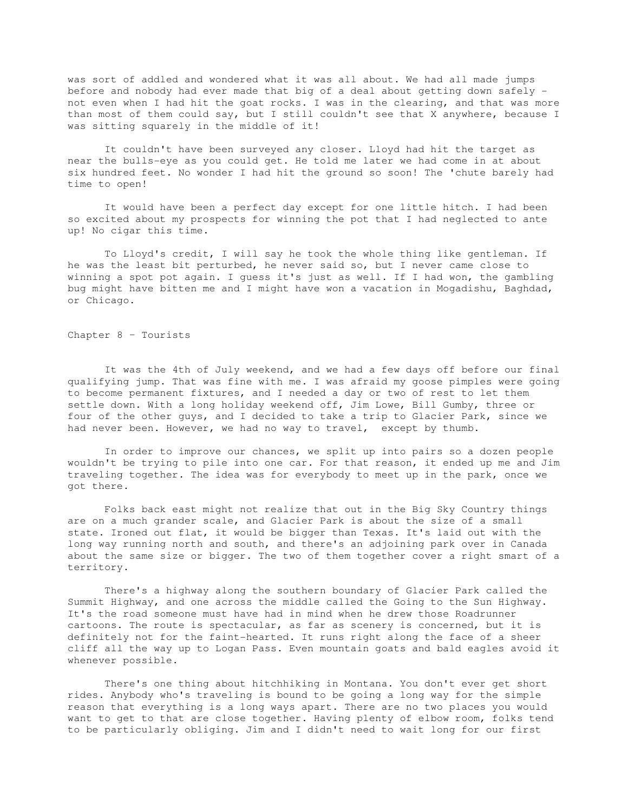was sort of addled and wondered what it was all about. We had all made jumps before and nobody had ever made that big of a deal about getting down safely not even when I had hit the goat rocks. I was in the clearing, and that was more than most of them could say, but I still couldn't see that X anywhere, because I was sitting squarely in the middle of it!

 It couldn't have been surveyed any closer. Lloyd had hit the target as near the bulls-eye as you could get. He told me later we had come in at about six hundred feet. No wonder I had hit the ground so soon! The 'chute barely had time to open!

 It would have been a perfect day except for one little hitch. I had been so excited about my prospects for winning the pot that I had neglected to ante up! No cigar this time.

 To Lloyd's credit, I will say he took the whole thing like gentleman. If he was the least bit perturbed, he never said so, but I never came close to winning a spot pot again. I guess it's just as well. If I had won, the gambling bug might have bitten me and I might have won a vacation in Mogadishu, Baghdad, or Chicago.

Chapter 8 – Tourists

 It was the 4th of July weekend, and we had a few days off before our final qualifying jump. That was fine with me. I was afraid my goose pimples were going to become permanent fixtures, and I needed a day or two of rest to let them settle down. With a long holiday weekend off, Jim Lowe, Bill Gumby, three or four of the other guys, and I decided to take a trip to Glacier Park, since we had never been. However, we had no way to travel, except by thumb.

 In order to improve our chances, we split up into pairs so a dozen people wouldn't be trying to pile into one car. For that reason, it ended up me and Jim traveling together. The idea was for everybody to meet up in the park, once we got there.

 Folks back east might not realize that out in the Big Sky Country things are on a much grander scale, and Glacier Park is about the size of a small state. Ironed out flat, it would be bigger than Texas. It's laid out with the long way running north and south, and there's an adjoining park over in Canada about the same size or bigger. The two of them together cover a right smart of a territory.

 There's a highway along the southern boundary of Glacier Park called the Summit Highway, and one across the middle called the Going to the Sun Highway. It's the road someone must have had in mind when he drew those Roadrunner cartoons. The route is spectacular, as far as scenery is concerned, but it is definitely not for the faint-hearted. It runs right along the face of a sheer cliff all the way up to Logan Pass. Even mountain goats and bald eagles avoid it whenever possible.

 There's one thing about hitchhiking in Montana. You don't ever get short rides. Anybody who's traveling is bound to be going a long way for the simple reason that everything is a long ways apart. There are no two places you would want to get to that are close together. Having plenty of elbow room, folks tend to be particularly obliging. Jim and I didn't need to wait long for our first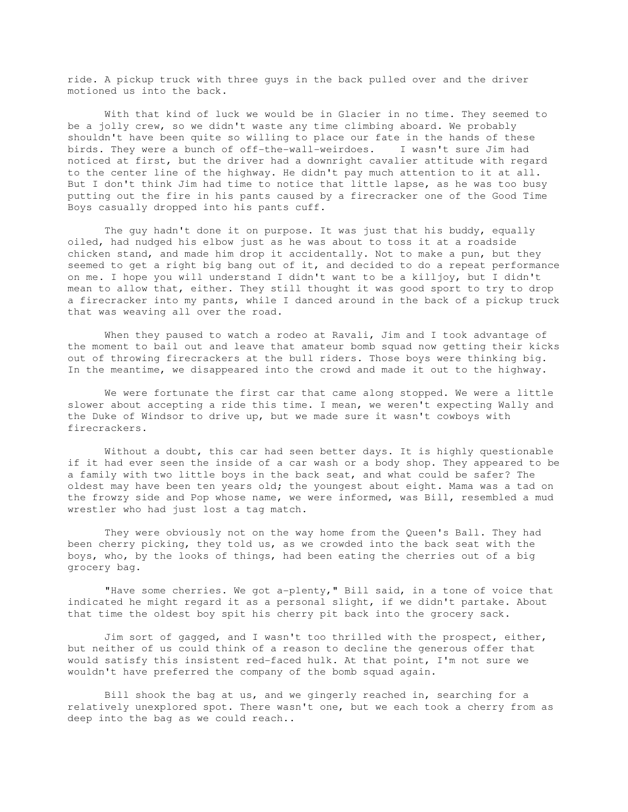ride. A pickup truck with three guys in the back pulled over and the driver motioned us into the back.

 With that kind of luck we would be in Glacier in no time. They seemed to be a jolly crew, so we didn't waste any time climbing aboard. We probably shouldn't have been quite so willing to place our fate in the hands of these birds. They were a bunch of off-the-wall-weirdoes. I wasn't sure Jim had noticed at first, but the driver had a downright cavalier attitude with regard to the center line of the highway. He didn't pay much attention to it at all. But I don't think Jim had time to notice that little lapse, as he was too busy putting out the fire in his pants caused by a firecracker one of the Good Time Boys casually dropped into his pants cuff.

 The guy hadn't done it on purpose. It was just that his buddy, equally oiled, had nudged his elbow just as he was about to toss it at a roadside chicken stand, and made him drop it accidentally. Not to make a pun, but they seemed to get a right big bang out of it, and decided to do a repeat performance on me. I hope you will understand I didn't want to be a killjoy, but I didn't mean to allow that, either. They still thought it was good sport to try to drop a firecracker into my pants, while I danced around in the back of a pickup truck that was weaving all over the road.

 When they paused to watch a rodeo at Ravali, Jim and I took advantage of the moment to bail out and leave that amateur bomb squad now getting their kicks out of throwing firecrackers at the bull riders. Those boys were thinking big. In the meantime, we disappeared into the crowd and made it out to the highway.

 We were fortunate the first car that came along stopped. We were a little slower about accepting a ride this time. I mean, we weren't expecting Wally and the Duke of Windsor to drive up, but we made sure it wasn't cowboys with firecrackers.

 Without a doubt, this car had seen better days. It is highly questionable if it had ever seen the inside of a car wash or a body shop. They appeared to be a family with two little boys in the back seat, and what could be safer? The oldest may have been ten years old; the youngest about eight. Mama was a tad on the frowzy side and Pop whose name, we were informed, was Bill, resembled a mud wrestler who had just lost a tag match.

 They were obviously not on the way home from the Queen's Ball. They had been cherry picking, they told us, as we crowded into the back seat with the boys, who, by the looks of things, had been eating the cherries out of a big grocery bag.

 "Have some cherries. We got a-plenty," Bill said, in a tone of voice that indicated he might regard it as a personal slight, if we didn't partake. About that time the oldest boy spit his cherry pit back into the grocery sack.

 Jim sort of gagged, and I wasn't too thrilled with the prospect, either, but neither of us could think of a reason to decline the generous offer that would satisfy this insistent red-faced hulk. At that point, I'm not sure we wouldn't have preferred the company of the bomb squad again.

 Bill shook the bag at us, and we gingerly reached in, searching for a relatively unexplored spot. There wasn't one, but we each took a cherry from as deep into the bag as we could reach..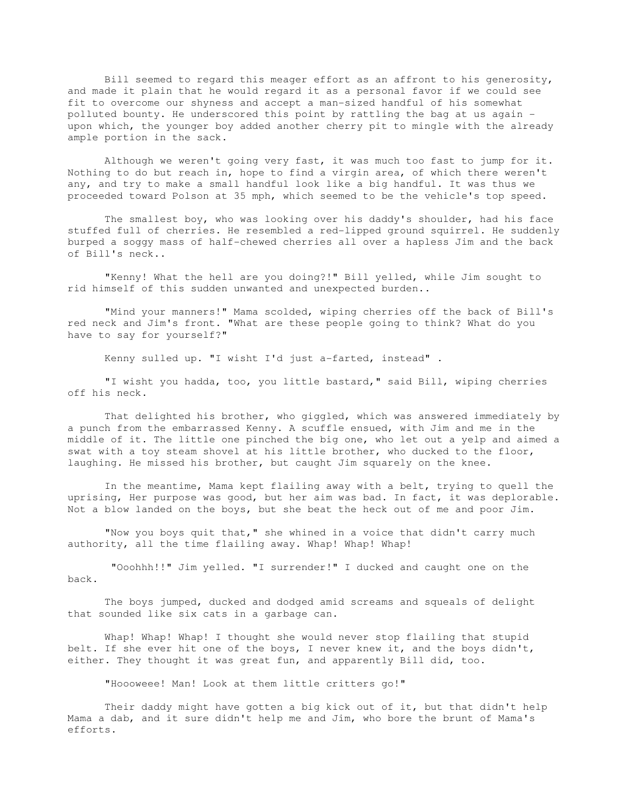Bill seemed to regard this meager effort as an affront to his generosity, and made it plain that he would regard it as a personal favor if we could see fit to overcome our shyness and accept a man-sized handful of his somewhat polluted bounty. He underscored this point by rattling the bag at us again upon which, the younger boy added another cherry pit to mingle with the already ample portion in the sack.

 Although we weren't going very fast, it was much too fast to jump for it. Nothing to do but reach in, hope to find a virgin area, of which there weren't any, and try to make a small handful look like a big handful. It was thus we proceeded toward Polson at 35 mph, which seemed to be the vehicle's top speed.

 The smallest boy, who was looking over his daddy's shoulder, had his face stuffed full of cherries. He resembled a red-lipped ground squirrel. He suddenly burped a soggy mass of half-chewed cherries all over a hapless Jim and the back of Bill's neck..

 "Kenny! What the hell are you doing?!" Bill yelled, while Jim sought to rid himself of this sudden unwanted and unexpected burden..

 "Mind your manners!" Mama scolded, wiping cherries off the back of Bill's red neck and Jim's front. "What are these people going to think? What do you have to say for yourself?"

Kenny sulled up. "I wisht I'd just a-farted, instead" .

 "I wisht you hadda, too, you little bastard," said Bill, wiping cherries off his neck.

 That delighted his brother, who giggled, which was answered immediately by a punch from the embarrassed Kenny. A scuffle ensued, with Jim and me in the middle of it. The little one pinched the big one, who let out a yelp and aimed a swat with a toy steam shovel at his little brother, who ducked to the floor, laughing. He missed his brother, but caught Jim squarely on the knee.

 In the meantime, Mama kept flailing away with a belt, trying to quell the uprising, Her purpose was good, but her aim was bad. In fact, it was deplorable. Not a blow landed on the boys, but she beat the heck out of me and poor Jim.

 "Now you boys quit that," she whined in a voice that didn't carry much authority, all the time flailing away. Whap! Whap! Whap!

 "Ooohhh!!" Jim yelled. "I surrender!" I ducked and caught one on the back.

 The boys jumped, ducked and dodged amid screams and squeals of delight that sounded like six cats in a garbage can.

 Whap! Whap! Whap! I thought she would never stop flailing that stupid belt. If she ever hit one of the boys, I never knew it, and the boys didn't, either. They thought it was great fun, and apparently Bill did, too.

"Hoooweee! Man! Look at them little critters go!"

 Their daddy might have gotten a big kick out of it, but that didn't help Mama a dab, and it sure didn't help me and Jim, who bore the brunt of Mama's efforts.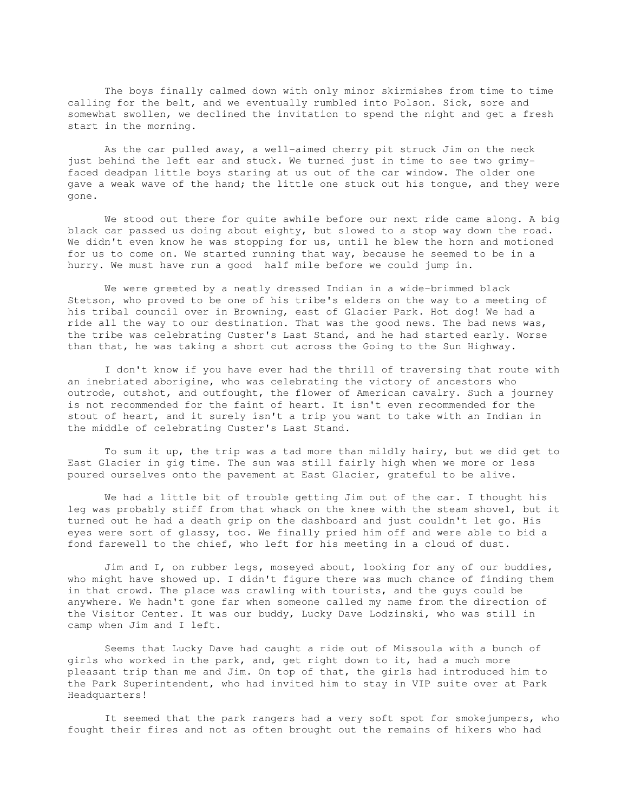The boys finally calmed down with only minor skirmishes from time to time calling for the belt, and we eventually rumbled into Polson. Sick, sore and somewhat swollen, we declined the invitation to spend the night and get a fresh start in the morning.

 As the car pulled away, a well-aimed cherry pit struck Jim on the neck just behind the left ear and stuck. We turned just in time to see two grimyfaced deadpan little boys staring at us out of the car window. The older one gave a weak wave of the hand; the little one stuck out his tongue, and they were gone.

 We stood out there for quite awhile before our next ride came along. A big black car passed us doing about eighty, but slowed to a stop way down the road. We didn't even know he was stopping for us, until he blew the horn and motioned for us to come on. We started running that way, because he seemed to be in a hurry. We must have run a good half mile before we could jump in.

 We were greeted by a neatly dressed Indian in a wide-brimmed black Stetson, who proved to be one of his tribe's elders on the way to a meeting of his tribal council over in Browning, east of Glacier Park. Hot dog! We had a ride all the way to our destination. That was the good news. The bad news was, the tribe was celebrating Custer's Last Stand, and he had started early. Worse than that, he was taking a short cut across the Going to the Sun Highway.

 I don't know if you have ever had the thrill of traversing that route with an inebriated aborigine, who was celebrating the victory of ancestors who outrode, outshot, and outfought, the flower of American cavalry. Such a journey is not recommended for the faint of heart. It isn't even recommended for the stout of heart, and it surely isn't a trip you want to take with an Indian in the middle of celebrating Custer's Last Stand.

 To sum it up, the trip was a tad more than mildly hairy, but we did get to East Glacier in gig time. The sun was still fairly high when we more or less poured ourselves onto the pavement at East Glacier, grateful to be alive.

 We had a little bit of trouble getting Jim out of the car. I thought his leg was probably stiff from that whack on the knee with the steam shovel, but it turned out he had a death grip on the dashboard and just couldn't let go. His eyes were sort of glassy, too. We finally pried him off and were able to bid a fond farewell to the chief, who left for his meeting in a cloud of dust.

 Jim and I, on rubber legs, moseyed about, looking for any of our buddies, who might have showed up. I didn't figure there was much chance of finding them in that crowd. The place was crawling with tourists, and the guys could be anywhere. We hadn't gone far when someone called my name from the direction of the Visitor Center. It was our buddy, Lucky Dave Lodzinski, who was still in camp when Jim and I left.

 Seems that Lucky Dave had caught a ride out of Missoula with a bunch of girls who worked in the park, and, get right down to it, had a much more pleasant trip than me and Jim. On top of that, the girls had introduced him to the Park Superintendent, who had invited him to stay in VIP suite over at Park Headquarters!

 It seemed that the park rangers had a very soft spot for smokejumpers, who fought their fires and not as often brought out the remains of hikers who had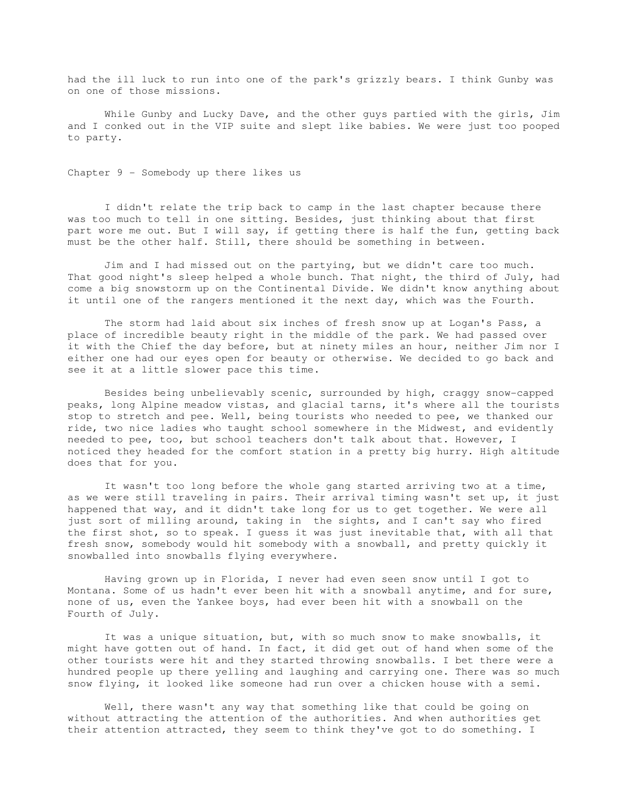had the ill luck to run into one of the park's grizzly bears. I think Gunby was on one of those missions.

While Gunby and Lucky Dave, and the other guys partied with the girls, Jim and I conked out in the VIP suite and slept like babies. We were just too pooped to party.

Chapter 9 - Somebody up there likes us

 I didn't relate the trip back to camp in the last chapter because there was too much to tell in one sitting. Besides, just thinking about that first part wore me out. But I will say, if getting there is half the fun, getting back must be the other half. Still, there should be something in between.

 Jim and I had missed out on the partying, but we didn't care too much. That good night's sleep helped a whole bunch. That night, the third of July, had come a big snowstorm up on the Continental Divide. We didn't know anything about it until one of the rangers mentioned it the next day, which was the Fourth.

 The storm had laid about six inches of fresh snow up at Logan's Pass, a place of incredible beauty right in the middle of the park. We had passed over it with the Chief the day before, but at ninety miles an hour, neither Jim nor I either one had our eyes open for beauty or otherwise. We decided to go back and see it at a little slower pace this time.

 Besides being unbelievably scenic, surrounded by high, craggy snow-capped peaks, long Alpine meadow vistas, and glacial tarns, it's where all the tourists stop to stretch and pee. Well, being tourists who needed to pee, we thanked our ride, two nice ladies who taught school somewhere in the Midwest, and evidently needed to pee, too, but school teachers don't talk about that. However, I noticed they headed for the comfort station in a pretty big hurry. High altitude does that for you.

 It wasn't too long before the whole gang started arriving two at a time, as we were still traveling in pairs. Their arrival timing wasn't set up, it just happened that way, and it didn't take long for us to get together. We were all just sort of milling around, taking in the sights, and I can't say who fired the first shot, so to speak. I guess it was just inevitable that, with all that fresh snow, somebody would hit somebody with a snowball, and pretty quickly it snowballed into snowballs flying everywhere.

 Having grown up in Florida, I never had even seen snow until I got to Montana. Some of us hadn't ever been hit with a snowball anytime, and for sure, none of us, even the Yankee boys, had ever been hit with a snowball on the Fourth of July.

 It was a unique situation, but, with so much snow to make snowballs, it might have gotten out of hand. In fact, it did get out of hand when some of the other tourists were hit and they started throwing snowballs. I bet there were a hundred people up there yelling and laughing and carrying one. There was so much snow flying, it looked like someone had run over a chicken house with a semi.

 Well, there wasn't any way that something like that could be going on without attracting the attention of the authorities. And when authorities get their attention attracted, they seem to think they've got to do something. I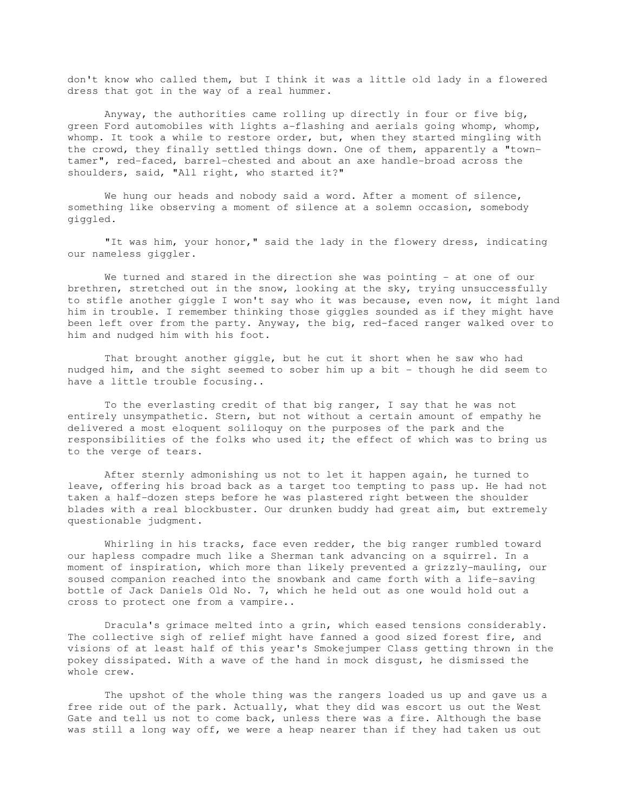don't know who called them, but I think it was a little old lady in a flowered dress that got in the way of a real hummer.

 Anyway, the authorities came rolling up directly in four or five big, green Ford automobiles with lights a-flashing and aerials going whomp, whomp, whomp. It took a while to restore order, but, when they started mingling with the crowd, they finally settled things down. One of them, apparently a "towntamer", red-faced, barrel-chested and about an axe handle-broad across the shoulders, said, "All right, who started it?"

We hung our heads and nobody said a word. After a moment of silence, something like observing a moment of silence at a solemn occasion, somebody giggled.

 "It was him, your honor," said the lady in the flowery dress, indicating our nameless giggler.

We turned and stared in the direction she was pointing - at one of our brethren, stretched out in the snow, looking at the sky, trying unsuccessfully to stifle another giggle I won't say who it was because, even now, it might land him in trouble. I remember thinking those giggles sounded as if they might have been left over from the party. Anyway, the big, red-faced ranger walked over to him and nudged him with his foot.

 That brought another giggle, but he cut it short when he saw who had nudged him, and the sight seemed to sober him up a bit - though he did seem to have a little trouble focusing..

 To the everlasting credit of that big ranger, I say that he was not entirely unsympathetic. Stern, but not without a certain amount of empathy he delivered a most eloquent soliloquy on the purposes of the park and the responsibilities of the folks who used it; the effect of which was to bring us to the verge of tears.

 After sternly admonishing us not to let it happen again, he turned to leave, offering his broad back as a target too tempting to pass up. He had not taken a half-dozen steps before he was plastered right between the shoulder blades with a real blockbuster. Our drunken buddy had great aim, but extremely questionable judgment.

 Whirling in his tracks, face even redder, the big ranger rumbled toward our hapless compadre much like a Sherman tank advancing on a squirrel. In a moment of inspiration, which more than likely prevented a grizzly-mauling, our soused companion reached into the snowbank and came forth with a life-saving bottle of Jack Daniels Old No. 7, which he held out as one would hold out a cross to protect one from a vampire..

 Dracula's grimace melted into a grin, which eased tensions considerably. The collective sigh of relief might have fanned a good sized forest fire, and visions of at least half of this year's Smokejumper Class getting thrown in the pokey dissipated. With a wave of the hand in mock disgust, he dismissed the whole crew.

 The upshot of the whole thing was the rangers loaded us up and gave us a free ride out of the park. Actually, what they did was escort us out the West Gate and tell us not to come back, unless there was a fire. Although the base was still a long way off, we were a heap nearer than if they had taken us out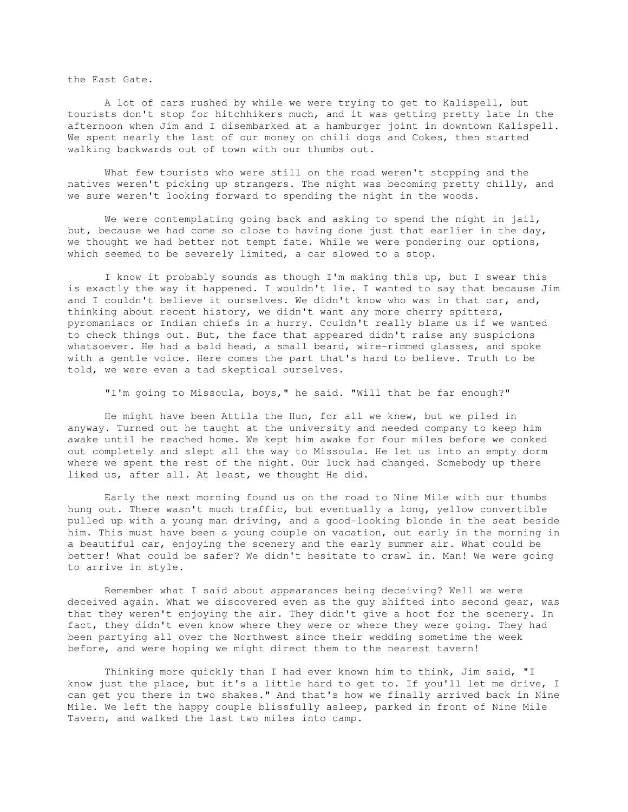the East Gate.

 A lot of cars rushed by while we were trying to get to Kalispell, but tourists don't stop for hitchhikers much, and it was getting pretty late in the afternoon when Jim and I disembarked at a hamburger joint in downtown Kalispell. We spent nearly the last of our money on chili dogs and Cokes, then started walking backwards out of town with our thumbs out.

 What few tourists who were still on the road weren't stopping and the natives weren't picking up strangers. The night was becoming pretty chilly, and we sure weren't looking forward to spending the night in the woods.

We were contemplating going back and asking to spend the night in jail, but, because we had come so close to having done just that earlier in the day, we thought we had better not tempt fate. While we were pondering our options, which seemed to be severely limited, a car slowed to a stop.

 I know it probably sounds as though I'm making this up, but I swear this is exactly the way it happened. I wouldn't lie. I wanted to say that because Jim and I couldn't believe it ourselves. We didn't know who was in that car, and, thinking about recent history, we didn't want any more cherry spitters, pyromaniacs or Indian chiefs in a hurry. Couldn't really blame us if we wanted to check things out. But, the face that appeared didn't raise any suspicions whatsoever. He had a bald head, a small beard, wire-rimmed glasses, and spoke with a gentle voice. Here comes the part that's hard to believe. Truth to be told, we were even a tad skeptical ourselves.

"I'm going to Missoula, boys," he said. "Will that be far enough?"

 He might have been Attila the Hun, for all we knew, but we piled in anyway. Turned out he taught at the university and needed company to keep him awake until he reached home. We kept him awake for four miles before we conked out completely and slept all the way to Missoula. He let us into an empty dorm where we spent the rest of the night. Our luck had changed. Somebody up there liked us, after all. At least, we thought He did.

 Early the next morning found us on the road to Nine Mile with our thumbs hung out. There wasn't much traffic, but eventually a long, yellow convertible pulled up with a young man driving, and a good-looking blonde in the seat beside him. This must have been a young couple on vacation, out early in the morning in a beautiful car, enjoying the scenery and the early summer air. What could be better! What could be safer? We didn't hesitate to crawl in. Man! We were going to arrive in style.

 Remember what I said about appearances being deceiving? Well we were deceived again. What we discovered even as the guy shifted into second gear, was that they weren't enjoying the air. They didn't give a hoot for the scenery. In fact, they didn't even know where they were or where they were going. They had been partying all over the Northwest since their wedding sometime the week before, and were hoping we might direct them to the nearest tavern!

 Thinking more quickly than I had ever known him to think, Jim said, "I know just the place, but it's a little hard to get to. If you'll let me drive, I can get you there in two shakes." And that's how we finally arrived back in Nine Mile. We left the happy couple blissfully asleep, parked in front of Nine Mile Tavern, and walked the last two miles into camp.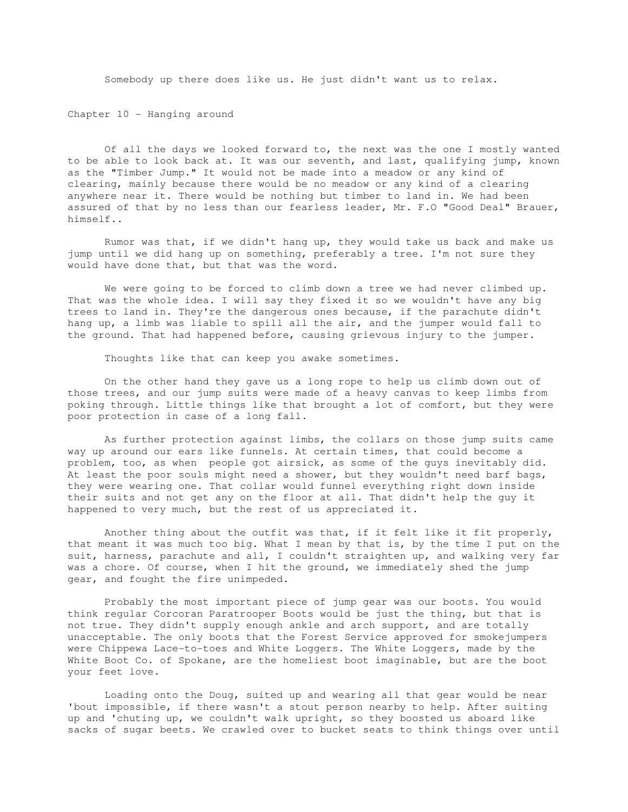Somebody up there does like us. He just didn't want us to relax.

Chapter 10 - Hanging around

 Of all the days we looked forward to, the next was the one I mostly wanted to be able to look back at. It was our seventh, and last, qualifying jump, known as the "Timber Jump." It would not be made into a meadow or any kind of clearing, mainly because there would be no meadow or any kind of a clearing anywhere near it. There would be nothing but timber to land in. We had been assured of that by no less than our fearless leader, Mr. F.O "Good Deal" Brauer, himself..

 Rumor was that, if we didn't hang up, they would take us back and make us jump until we did hang up on something, preferably a tree. I'm not sure they would have done that, but that was the word.

 We were going to be forced to climb down a tree we had never climbed up. That was the whole idea. I will say they fixed it so we wouldn't have any big trees to land in. They're the dangerous ones because, if the parachute didn't hang up, a limb was liable to spill all the air, and the jumper would fall to the ground. That had happened before, causing grievous injury to the jumper.

Thoughts like that can keep you awake sometimes.

 On the other hand they gave us a long rope to help us climb down out of those trees, and our jump suits were made of a heavy canvas to keep limbs from poking through. Little things like that brought a lot of comfort, but they were poor protection in case of a long fall.

 As further protection against limbs, the collars on those jump suits came way up around our ears like funnels. At certain times, that could become a problem, too, as when people got airsick, as some of the guys inevitably did. At least the poor souls might need a shower, but they wouldn't need barf bags, they were wearing one. That collar would funnel everything right down inside their suits and not get any on the floor at all. That didn't help the guy it happened to very much, but the rest of us appreciated it.

 Another thing about the outfit was that, if it felt like it fit properly, that meant it was much too big. What I mean by that is, by the time I put on the suit, harness, parachute and all, I couldn't straighten up, and walking very far was a chore. Of course, when I hit the ground, we immediately shed the jump gear, and fought the fire unimpeded.

 Probably the most important piece of jump gear was our boots. You would think regular Corcoran Paratrooper Boots would be just the thing, but that is not true. They didn't supply enough ankle and arch support, and are totally unacceptable. The only boots that the Forest Service approved for smokejumpers were Chippewa Lace-to-toes and White Loggers. The White Loggers, made by the White Boot Co. of Spokane, are the homeliest boot imaginable, but are the boot your feet love.

 Loading onto the Doug, suited up and wearing all that gear would be near 'bout impossible, if there wasn't a stout person nearby to help. After suiting up and 'chuting up, we couldn't walk upright, so they boosted us aboard like sacks of sugar beets. We crawled over to bucket seats to think things over until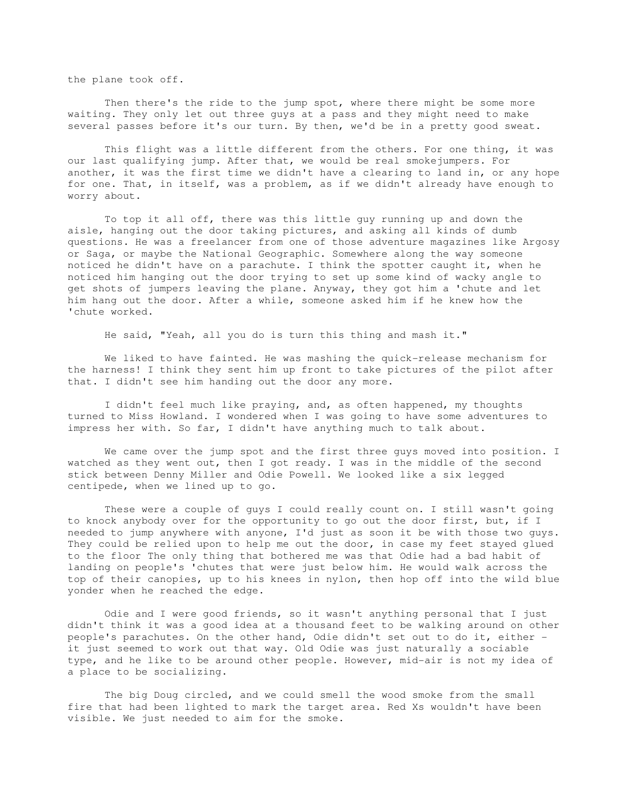the plane took off.

 Then there's the ride to the jump spot, where there might be some more waiting. They only let out three guys at a pass and they might need to make several passes before it's our turn. By then, we'd be in a pretty good sweat.

 This flight was a little different from the others. For one thing, it was our last qualifying jump. After that, we would be real smokejumpers. For another, it was the first time we didn't have a clearing to land in, or any hope for one. That, in itself, was a problem, as if we didn't already have enough to worry about.

 To top it all off, there was this little guy running up and down the aisle, hanging out the door taking pictures, and asking all kinds of dumb questions. He was a freelancer from one of those adventure magazines like Argosy or Saga, or maybe the National Geographic. Somewhere along the way someone noticed he didn't have on a parachute. I think the spotter caught it, when he noticed him hanging out the door trying to set up some kind of wacky angle to get shots of jumpers leaving the plane. Anyway, they got him a 'chute and let him hang out the door. After a while, someone asked him if he knew how the 'chute worked.

He said, "Yeah, all you do is turn this thing and mash it."

 We liked to have fainted. He was mashing the quick-release mechanism for the harness! I think they sent him up front to take pictures of the pilot after that. I didn't see him handing out the door any more.

 I didn't feel much like praying, and, as often happened, my thoughts turned to Miss Howland. I wondered when I was going to have some adventures to impress her with. So far, I didn't have anything much to talk about.

We came over the jump spot and the first three guys moved into position. I watched as they went out, then I got ready. I was in the middle of the second stick between Denny Miller and Odie Powell. We looked like a six legged centipede, when we lined up to go.

 These were a couple of guys I could really count on. I still wasn't going to knock anybody over for the opportunity to go out the door first, but, if I needed to jump anywhere with anyone, I'd just as soon it be with those two guys. They could be relied upon to help me out the door, in case my feet stayed glued to the floor The only thing that bothered me was that Odie had a bad habit of landing on people's 'chutes that were just below him. He would walk across the top of their canopies, up to his knees in nylon, then hop off into the wild blue yonder when he reached the edge.

 Odie and I were good friends, so it wasn't anything personal that I just didn't think it was a good idea at a thousand feet to be walking around on other people's parachutes. On the other hand, Odie didn't set out to do it, either it just seemed to work out that way. Old Odie was just naturally a sociable type, and he like to be around other people. However, mid-air is not my idea of a place to be socializing.

 The big Doug circled, and we could smell the wood smoke from the small fire that had been lighted to mark the target area. Red Xs wouldn't have been visible. We just needed to aim for the smoke.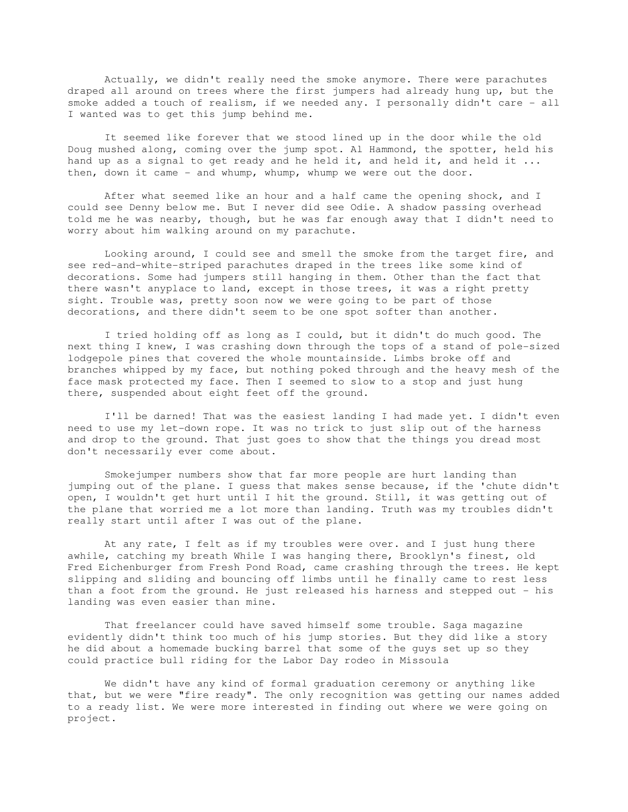Actually, we didn't really need the smoke anymore. There were parachutes draped all around on trees where the first jumpers had already hung up, but the smoke added a touch of realism, if we needed any. I personally didn't care - all I wanted was to get this jump behind me.

 It seemed like forever that we stood lined up in the door while the old Doug mushed along, coming over the jump spot. Al Hammond, the spotter, held his hand up as a signal to get ready and he held it, and held it, and held it ... then, down it came - and whump, whump, whump we were out the door.

 After what seemed like an hour and a half came the opening shock, and I could see Denny below me. But I never did see Odie. A shadow passing overhead told me he was nearby, though, but he was far enough away that I didn't need to worry about him walking around on my parachute.

 Looking around, I could see and smell the smoke from the target fire, and see red-and-white-striped parachutes draped in the trees like some kind of decorations. Some had jumpers still hanging in them. Other than the fact that there wasn't anyplace to land, except in those trees, it was a right pretty sight. Trouble was, pretty soon now we were going to be part of those decorations, and there didn't seem to be one spot softer than another.

 I tried holding off as long as I could, but it didn't do much good. The next thing I knew, I was crashing down through the tops of a stand of pole-sized lodgepole pines that covered the whole mountainside. Limbs broke off and branches whipped by my face, but nothing poked through and the heavy mesh of the face mask protected my face. Then I seemed to slow to a stop and just hung there, suspended about eight feet off the ground.

 I'll be darned! That was the easiest landing I had made yet. I didn't even need to use my let-down rope. It was no trick to just slip out of the harness and drop to the ground. That just goes to show that the things you dread most don't necessarily ever come about.

 Smokejumper numbers show that far more people are hurt landing than jumping out of the plane. I guess that makes sense because, if the 'chute didn't open, I wouldn't get hurt until I hit the ground. Still, it was getting out of the plane that worried me a lot more than landing. Truth was my troubles didn't really start until after I was out of the plane.

 At any rate, I felt as if my troubles were over. and I just hung there awhile, catching my breath While I was hanging there, Brooklyn's finest, old Fred Eichenburger from Fresh Pond Road, came crashing through the trees. He kept slipping and sliding and bouncing off limbs until he finally came to rest less than a foot from the ground. He just released his harness and stepped out - his landing was even easier than mine.

 That freelancer could have saved himself some trouble. Saga magazine evidently didn't think too much of his jump stories. But they did like a story he did about a homemade bucking barrel that some of the guys set up so they could practice bull riding for the Labor Day rodeo in Missoula

 We didn't have any kind of formal graduation ceremony or anything like that, but we were "fire ready". The only recognition was getting our names added to a ready list. We were more interested in finding out where we were going on project.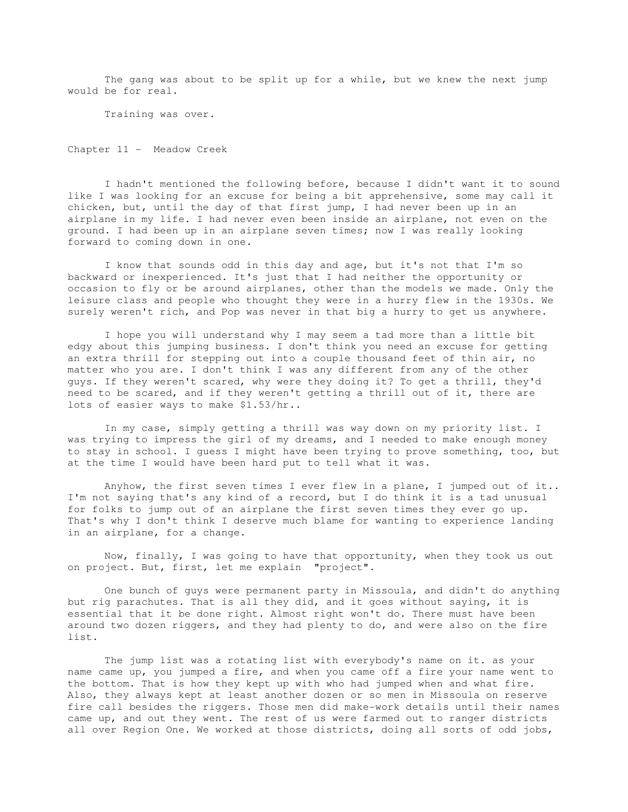The gang was about to be split up for a while, but we knew the next jump would be for real.

Training was over.

Chapter 11 - Meadow Creek

 I hadn't mentioned the following before, because I didn't want it to sound like I was looking for an excuse for being a bit apprehensive, some may call it chicken, but, until the day of that first jump, I had never been up in an airplane in my life. I had never even been inside an airplane, not even on the ground. I had been up in an airplane seven times; now I was really looking forward to coming down in one.

I know that sounds odd in this day and age, but it's not that I'm so backward or inexperienced. It's just that I had neither the opportunity or occasion to fly or be around airplanes, other than the models we made. Only the leisure class and people who thought they were in a hurry flew in the 1930s. We surely weren't rich, and Pop was never in that big a hurry to get us anywhere.

 I hope you will understand why I may seem a tad more than a little bit edgy about this jumping business. I don't think you need an excuse for getting an extra thrill for stepping out into a couple thousand feet of thin air, no matter who you are. I don't think I was any different from any of the other guys. If they weren't scared, why were they doing it? To get a thrill, they'd need to be scared, and if they weren't getting a thrill out of it, there are lots of easier ways to make \$1.53/hr..

 In my case, simply getting a thrill was way down on my priority list. I was trying to impress the girl of my dreams, and I needed to make enough money to stay in school. I guess I might have been trying to prove something, too, but at the time I would have been hard put to tell what it was.

 Anyhow, the first seven times I ever flew in a plane, I jumped out of it.. I'm not saying that's any kind of a record, but I do think it is a tad unusual for folks to jump out of an airplane the first seven times they ever go up. That's why I don't think I deserve much blame for wanting to experience landing in an airplane, for a change.

 Now, finally, I was going to have that opportunity, when they took us out on project. But, first, let me explain "project".

 One bunch of guys were permanent party in Missoula, and didn't do anything but rig parachutes. That is all they did, and it goes without saying, it is essential that it be done right. Almost right won't do. There must have been around two dozen riggers, and they had plenty to do, and were also on the fire list.

 The jump list was a rotating list with everybody's name on it. as your name came up, you jumped a fire, and when you came off a fire your name went to the bottom. That is how they kept up with who had jumped when and what fire. Also, they always kept at least another dozen or so men in Missoula on reserve fire call besides the riggers. Those men did make-work details until their names came up, and out they went. The rest of us were farmed out to ranger districts all over Region One. We worked at those districts, doing all sorts of odd jobs,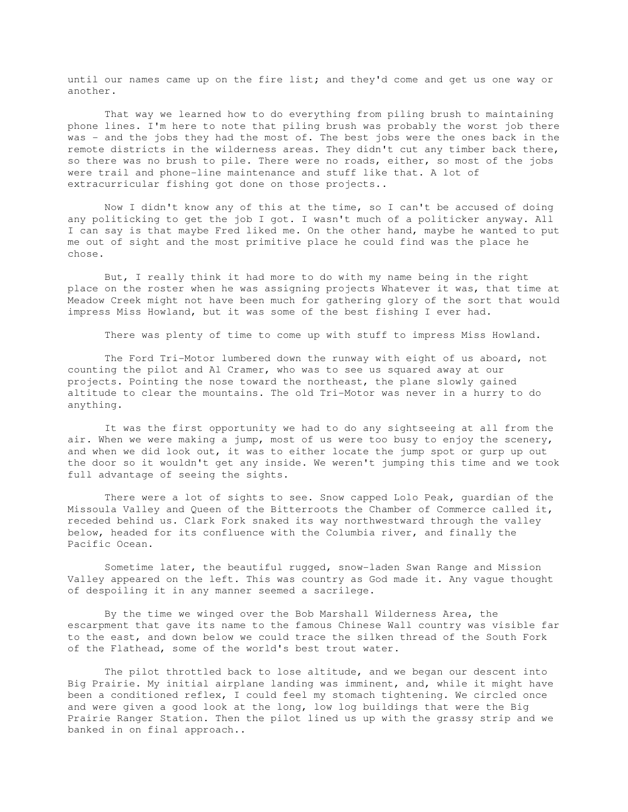until our names came up on the fire list; and they'd come and get us one way or another.

 That way we learned how to do everything from piling brush to maintaining phone lines. I'm here to note that piling brush was probably the worst job there was - and the jobs they had the most of. The best jobs were the ones back in the remote districts in the wilderness areas. They didn't cut any timber back there, so there was no brush to pile. There were no roads, either, so most of the jobs were trail and phone-line maintenance and stuff like that. A lot of extracurricular fishing got done on those projects..

 Now I didn't know any of this at the time, so I can't be accused of doing any politicking to get the job I got. I wasn't much of a politicker anyway. All I can say is that maybe Fred liked me. On the other hand, maybe he wanted to put me out of sight and the most primitive place he could find was the place he chose.

 But, I really think it had more to do with my name being in the right place on the roster when he was assigning projects Whatever it was, that time at Meadow Creek might not have been much for gathering glory of the sort that would impress Miss Howland, but it was some of the best fishing I ever had.

There was plenty of time to come up with stuff to impress Miss Howland.

 The Ford Tri-Motor lumbered down the runway with eight of us aboard, not counting the pilot and Al Cramer, who was to see us squared away at our projects. Pointing the nose toward the northeast, the plane slowly gained altitude to clear the mountains. The old Tri-Motor was never in a hurry to do anything.

 It was the first opportunity we had to do any sightseeing at all from the air. When we were making a jump, most of us were too busy to enjoy the scenery, and when we did look out, it was to either locate the jump spot or gurp up out the door so it wouldn't get any inside. We weren't jumping this time and we took full advantage of seeing the sights.

 There were a lot of sights to see. Snow capped Lolo Peak, guardian of the Missoula Valley and Queen of the Bitterroots the Chamber of Commerce called it, receded behind us. Clark Fork snaked its way northwestward through the valley below, headed for its confluence with the Columbia river, and finally the Pacific Ocean.

 Sometime later, the beautiful rugged, snow-laden Swan Range and Mission Valley appeared on the left. This was country as God made it. Any vague thought of despoiling it in any manner seemed a sacrilege.

 By the time we winged over the Bob Marshall Wilderness Area, the escarpment that gave its name to the famous Chinese Wall country was visible far to the east, and down below we could trace the silken thread of the South Fork of the Flathead, some of the world's best trout water.

 The pilot throttled back to lose altitude, and we began our descent into Big Prairie. My initial airplane landing was imminent, and, while it might have been a conditioned reflex, I could feel my stomach tightening. We circled once and were given a good look at the long, low log buildings that were the Big Prairie Ranger Station. Then the pilot lined us up with the grassy strip and we banked in on final approach..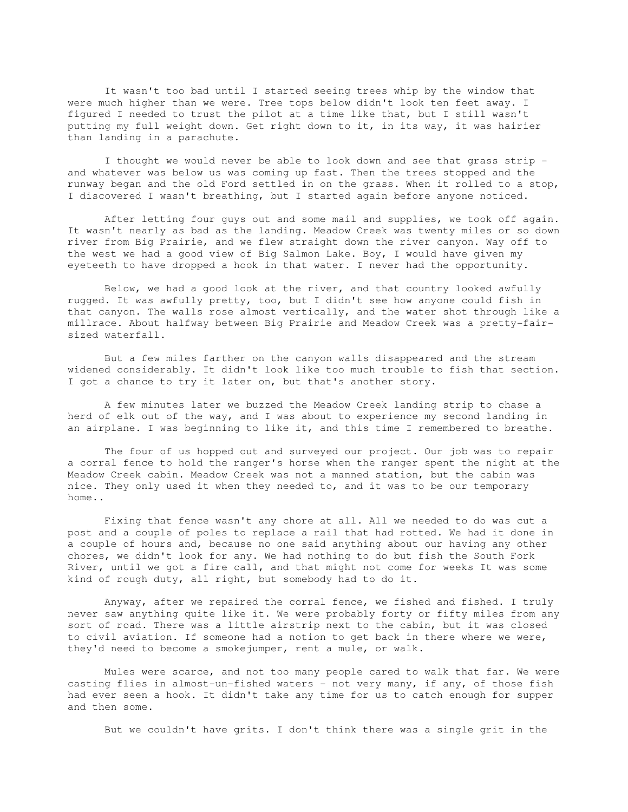It wasn't too bad until I started seeing trees whip by the window that were much higher than we were. Tree tops below didn't look ten feet away. I figured I needed to trust the pilot at a time like that, but I still wasn't putting my full weight down. Get right down to it, in its way, it was hairier than landing in a parachute.

 I thought we would never be able to look down and see that grass strip and whatever was below us was coming up fast. Then the trees stopped and the runway began and the old Ford settled in on the grass. When it rolled to a stop, I discovered I wasn't breathing, but I started again before anyone noticed.

 After letting four guys out and some mail and supplies, we took off again. It wasn't nearly as bad as the landing. Meadow Creek was twenty miles or so down river from Big Prairie, and we flew straight down the river canyon. Way off to the west we had a good view of Big Salmon Lake. Boy, I would have given my eyeteeth to have dropped a hook in that water. I never had the opportunity.

 Below, we had a good look at the river, and that country looked awfully rugged. It was awfully pretty, too, but I didn't see how anyone could fish in that canyon. The walls rose almost vertically, and the water shot through like a millrace. About halfway between Big Prairie and Meadow Creek was a pretty-fairsized waterfall.

 But a few miles farther on the canyon walls disappeared and the stream widened considerably. It didn't look like too much trouble to fish that section. I got a chance to try it later on, but that's another story.

 A few minutes later we buzzed the Meadow Creek landing strip to chase a herd of elk out of the way, and I was about to experience my second landing in an airplane. I was beginning to like it, and this time I remembered to breathe.

 The four of us hopped out and surveyed our project. Our job was to repair a corral fence to hold the ranger's horse when the ranger spent the night at the Meadow Creek cabin. Meadow Creek was not a manned station, but the cabin was nice. They only used it when they needed to, and it was to be our temporary home..

 Fixing that fence wasn't any chore at all. All we needed to do was cut a post and a couple of poles to replace a rail that had rotted. We had it done in a couple of hours and, because no one said anything about our having any other chores, we didn't look for any. We had nothing to do but fish the South Fork River, until we got a fire call, and that might not come for weeks It was some kind of rough duty, all right, but somebody had to do it.

 Anyway, after we repaired the corral fence, we fished and fished. I truly never saw anything quite like it. We were probably forty or fifty miles from any sort of road. There was a little airstrip next to the cabin, but it was closed to civil aviation. If someone had a notion to get back in there where we were, they'd need to become a smokejumper, rent a mule, or walk.

 Mules were scarce, and not too many people cared to walk that far. We were casting flies in almost-un-fished waters - not very many, if any, of those fish had ever seen a hook. It didn't take any time for us to catch enough for supper and then some.

But we couldn't have grits. I don't think there was a single grit in the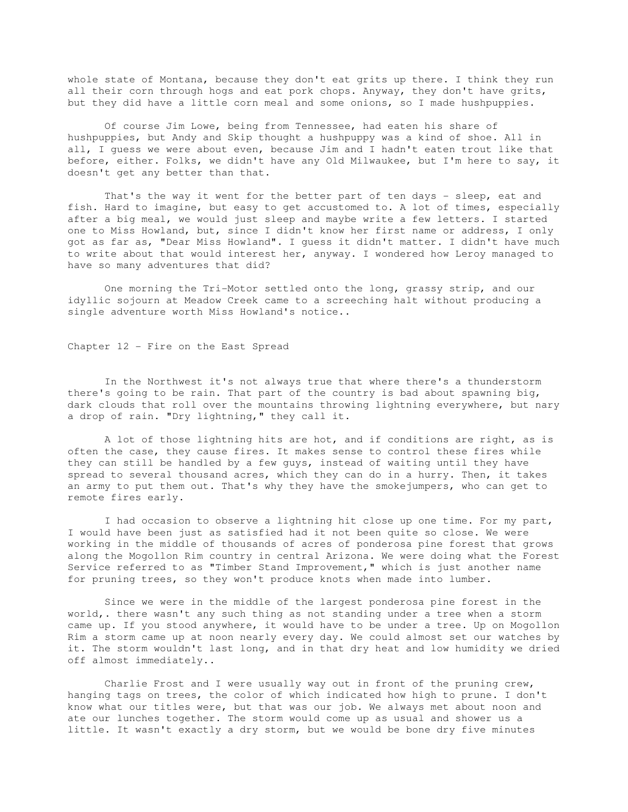whole state of Montana, because they don't eat grits up there. I think they run all their corn through hogs and eat pork chops. Anyway, they don't have grits, but they did have a little corn meal and some onions, so I made hushpuppies.

 Of course Jim Lowe, being from Tennessee, had eaten his share of hushpuppies, but Andy and Skip thought a hushpuppy was a kind of shoe. All in all, I guess we were about even, because Jim and I hadn't eaten trout like that before, either. Folks, we didn't have any Old Milwaukee, but I'm here to say, it doesn't get any better than that.

 That's the way it went for the better part of ten days - sleep, eat and fish. Hard to imagine, but easy to get accustomed to. A lot of times, especially after a big meal, we would just sleep and maybe write a few letters. I started one to Miss Howland, but, since I didn't know her first name or address, I only got as far as, "Dear Miss Howland". I guess it didn't matter. I didn't have much to write about that would interest her, anyway. I wondered how Leroy managed to have so many adventures that did?

 One morning the Tri-Motor settled onto the long, grassy strip, and our idyllic sojourn at Meadow Creek came to a screeching halt without producing a single adventure worth Miss Howland's notice..

Chapter 12 - Fire on the East Spread

 In the Northwest it's not always true that where there's a thunderstorm there's going to be rain. That part of the country is bad about spawning big, dark clouds that roll over the mountains throwing lightning everywhere, but nary a drop of rain. "Dry lightning," they call it.

 A lot of those lightning hits are hot, and if conditions are right, as is often the case, they cause fires. It makes sense to control these fires while they can still be handled by a few guys, instead of waiting until they have spread to several thousand acres, which they can do in a hurry. Then, it takes an army to put them out. That's why they have the smokejumpers, who can get to remote fires early.

 I had occasion to observe a lightning hit close up one time. For my part, I would have been just as satisfied had it not been quite so close. We were working in the middle of thousands of acres of ponderosa pine forest that grows along the Mogollon Rim country in central Arizona. We were doing what the Forest Service referred to as "Timber Stand Improvement," which is just another name for pruning trees, so they won't produce knots when made into lumber.

 Since we were in the middle of the largest ponderosa pine forest in the world,. there wasn't any such thing as not standing under a tree when a storm came up. If you stood anywhere, it would have to be under a tree. Up on Mogollon Rim a storm came up at noon nearly every day. We could almost set our watches by it. The storm wouldn't last long, and in that dry heat and low humidity we dried off almost immediately..

 Charlie Frost and I were usually way out in front of the pruning crew, hanging tags on trees, the color of which indicated how high to prune. I don't know what our titles were, but that was our job. We always met about noon and ate our lunches together. The storm would come up as usual and shower us a little. It wasn't exactly a dry storm, but we would be bone dry five minutes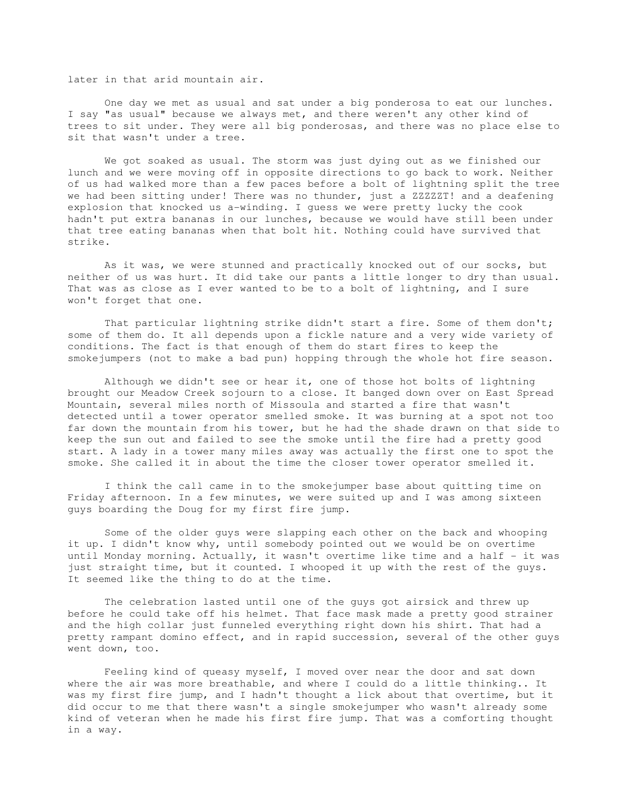later in that arid mountain air.

 One day we met as usual and sat under a big ponderosa to eat our lunches. I say "as usual" because we always met, and there weren't any other kind of trees to sit under. They were all big ponderosas, and there was no place else to sit that wasn't under a tree.

 We got soaked as usual. The storm was just dying out as we finished our lunch and we were moving off in opposite directions to go back to work. Neither of us had walked more than a few paces before a bolt of lightning split the tree we had been sitting under! There was no thunder, just a ZZZZZT! and a deafening explosion that knocked us a-winding. I guess we were pretty lucky the cook hadn't put extra bananas in our lunches, because we would have still been under that tree eating bananas when that bolt hit. Nothing could have survived that strike.

 As it was, we were stunned and practically knocked out of our socks, but neither of us was hurt. It did take our pants a little longer to dry than usual. That was as close as I ever wanted to be to a bolt of lightning, and I sure won't forget that one.

 That particular lightning strike didn't start a fire. Some of them don't; some of them do. It all depends upon a fickle nature and a very wide variety of conditions. The fact is that enough of them do start fires to keep the smokejumpers (not to make a bad pun) hopping through the whole hot fire season.

 Although we didn't see or hear it, one of those hot bolts of lightning brought our Meadow Creek sojourn to a close. It banged down over on East Spread Mountain, several miles north of Missoula and started a fire that wasn't detected until a tower operator smelled smoke. It was burning at a spot not too far down the mountain from his tower, but he had the shade drawn on that side to keep the sun out and failed to see the smoke until the fire had a pretty good start. A lady in a tower many miles away was actually the first one to spot the smoke. She called it in about the time the closer tower operator smelled it.

 I think the call came in to the smokejumper base about quitting time on Friday afternoon. In a few minutes, we were suited up and I was among sixteen guys boarding the Doug for my first fire jump.

 Some of the older guys were slapping each other on the back and whooping it up. I didn't know why, until somebody pointed out we would be on overtime until Monday morning. Actually, it wasn't overtime like time and a half - it was just straight time, but it counted. I whooped it up with the rest of the guys. It seemed like the thing to do at the time.

 The celebration lasted until one of the guys got airsick and threw up before he could take off his helmet. That face mask made a pretty good strainer and the high collar just funneled everything right down his shirt. That had a pretty rampant domino effect, and in rapid succession, several of the other guys went down, too.

 Feeling kind of queasy myself, I moved over near the door and sat down where the air was more breathable, and where I could do a little thinking.. It was my first fire jump, and I hadn't thought a lick about that overtime, but it did occur to me that there wasn't a single smokejumper who wasn't already some kind of veteran when he made his first fire jump. That was a comforting thought in a way.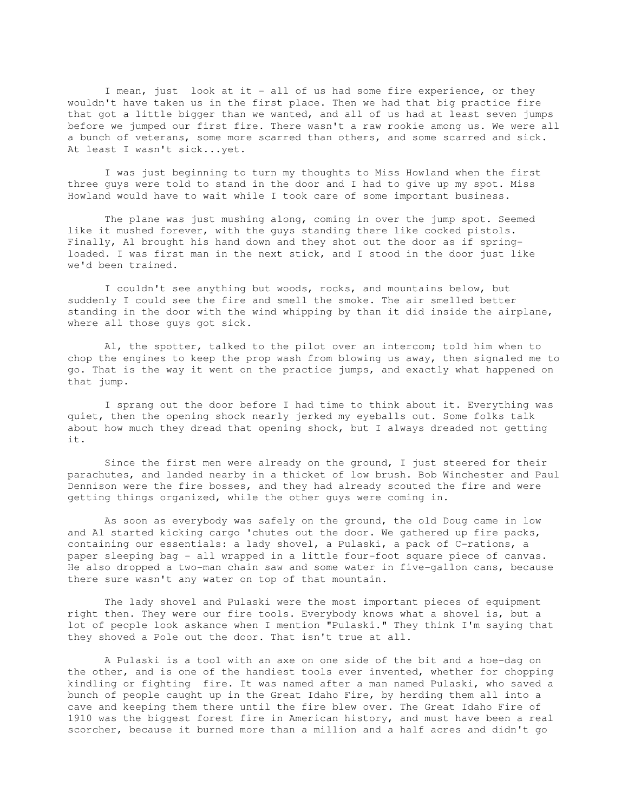I mean, just look at it - all of us had some fire experience, or they wouldn't have taken us in the first place. Then we had that big practice fire that got a little bigger than we wanted, and all of us had at least seven jumps before we jumped our first fire. There wasn't a raw rookie among us. We were all a bunch of veterans, some more scarred than others, and some scarred and sick. At least I wasn't sick...yet.

 I was just beginning to turn my thoughts to Miss Howland when the first three guys were told to stand in the door and I had to give up my spot. Miss Howland would have to wait while I took care of some important business.

 The plane was just mushing along, coming in over the jump spot. Seemed like it mushed forever, with the guys standing there like cocked pistols. Finally, Al brought his hand down and they shot out the door as if springloaded. I was first man in the next stick, and I stood in the door just like we'd been trained.

 I couldn't see anything but woods, rocks, and mountains below, but suddenly I could see the fire and smell the smoke. The air smelled better standing in the door with the wind whipping by than it did inside the airplane, where all those guys got sick.

 Al, the spotter, talked to the pilot over an intercom; told him when to chop the engines to keep the prop wash from blowing us away, then signaled me to go. That is the way it went on the practice jumps, and exactly what happened on that jump.

 I sprang out the door before I had time to think about it. Everything was quiet, then the opening shock nearly jerked my eyeballs out. Some folks talk about how much they dread that opening shock, but I always dreaded not getting it.

 Since the first men were already on the ground, I just steered for their parachutes, and landed nearby in a thicket of low brush. Bob Winchester and Paul Dennison were the fire bosses, and they had already scouted the fire and were getting things organized, while the other guys were coming in.

 As soon as everybody was safely on the ground, the old Doug came in low and Al started kicking cargo 'chutes out the door. We gathered up fire packs, containing our essentials: a lady shovel, a Pulaski, a pack of C-rations, a paper sleeping bag - all wrapped in a little four-foot square piece of canvas. He also dropped a two-man chain saw and some water in five-gallon cans, because there sure wasn't any water on top of that mountain.

 The lady shovel and Pulaski were the most important pieces of equipment right then. They were our fire tools. Everybody knows what a shovel is, but a lot of people look askance when I mention "Pulaski." They think I'm saying that they shoved a Pole out the door. That isn't true at all.

 A Pulaski is a tool with an axe on one side of the bit and a hoe-dag on the other, and is one of the handiest tools ever invented, whether for chopping kindling or fighting fire. It was named after a man named Pulaski, who saved a bunch of people caught up in the Great Idaho Fire, by herding them all into a cave and keeping them there until the fire blew over. The Great Idaho Fire of 1910 was the biggest forest fire in American history, and must have been a real scorcher, because it burned more than a million and a half acres and didn't go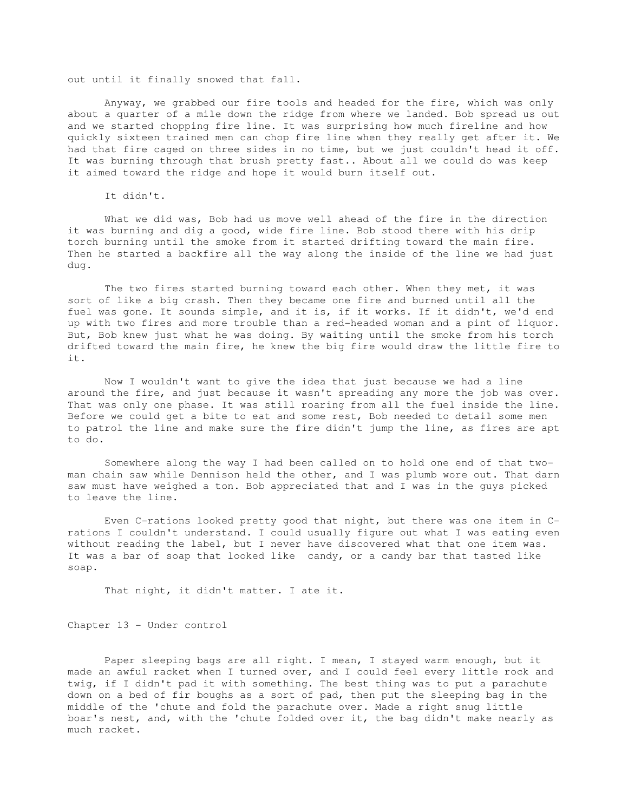out until it finally snowed that fall.

 Anyway, we grabbed our fire tools and headed for the fire, which was only about a quarter of a mile down the ridge from where we landed. Bob spread us out and we started chopping fire line. It was surprising how much fireline and how quickly sixteen trained men can chop fire line when they really get after it. We had that fire caged on three sides in no time, but we just couldn't head it off. It was burning through that brush pretty fast.. About all we could do was keep it aimed toward the ridge and hope it would burn itself out.

It didn't.

 What we did was, Bob had us move well ahead of the fire in the direction it was burning and dig a good, wide fire line. Bob stood there with his drip torch burning until the smoke from it started drifting toward the main fire. Then he started a backfire all the way along the inside of the line we had just dug.

 The two fires started burning toward each other. When they met, it was sort of like a big crash. Then they became one fire and burned until all the fuel was gone. It sounds simple, and it is, if it works. If it didn't, we'd end up with two fires and more trouble than a red-headed woman and a pint of liquor. But, Bob knew just what he was doing. By waiting until the smoke from his torch drifted toward the main fire, he knew the big fire would draw the little fire to it.

 Now I wouldn't want to give the idea that just because we had a line around the fire, and just because it wasn't spreading any more the job was over. That was only one phase. It was still roaring from all the fuel inside the line. Before we could get a bite to eat and some rest, Bob needed to detail some men to patrol the line and make sure the fire didn't jump the line, as fires are apt to do.

 Somewhere along the way I had been called on to hold one end of that twoman chain saw while Dennison held the other, and I was plumb wore out. That darn saw must have weighed a ton. Bob appreciated that and I was in the guys picked to leave the line.

 Even C-rations looked pretty good that night, but there was one item in Crations I couldn't understand. I could usually figure out what I was eating even without reading the label, but I never have discovered what that one item was. It was a bar of soap that looked like candy, or a candy bar that tasted like soap.

That night, it didn't matter. I ate it.

Chapter 13 - Under control

 Paper sleeping bags are all right. I mean, I stayed warm enough, but it made an awful racket when I turned over, and I could feel every little rock and twig, if I didn't pad it with something. The best thing was to put a parachute down on a bed of fir boughs as a sort of pad, then put the sleeping bag in the middle of the 'chute and fold the parachute over. Made a right snug little boar's nest, and, with the 'chute folded over it, the bag didn't make nearly as much racket.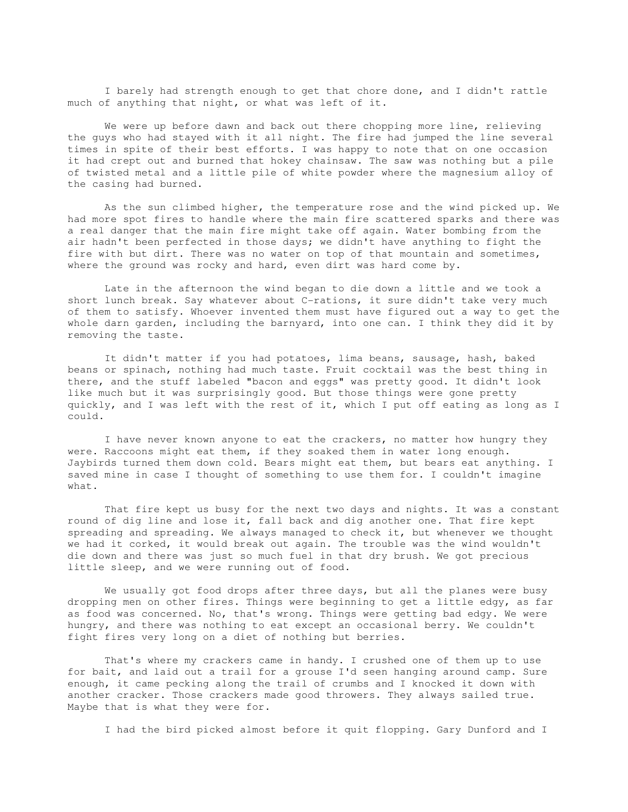I barely had strength enough to get that chore done, and I didn't rattle much of anything that night, or what was left of it.

We were up before dawn and back out there chopping more line, relieving the guys who had stayed with it all night. The fire had jumped the line several times in spite of their best efforts. I was happy to note that on one occasion it had crept out and burned that hokey chainsaw. The saw was nothing but a pile of twisted metal and a little pile of white powder where the magnesium alloy of the casing had burned.

 As the sun climbed higher, the temperature rose and the wind picked up. We had more spot fires to handle where the main fire scattered sparks and there was a real danger that the main fire might take off again. Water bombing from the air hadn't been perfected in those days; we didn't have anything to fight the fire with but dirt. There was no water on top of that mountain and sometimes, where the ground was rocky and hard, even dirt was hard come by.

 Late in the afternoon the wind began to die down a little and we took a short lunch break. Say whatever about C-rations, it sure didn't take very much of them to satisfy. Whoever invented them must have figured out a way to get the whole darn garden, including the barnyard, into one can. I think they did it by removing the taste.

 It didn't matter if you had potatoes, lima beans, sausage, hash, baked beans or spinach, nothing had much taste. Fruit cocktail was the best thing in there, and the stuff labeled "bacon and eggs" was pretty good. It didn't look like much but it was surprisingly good. But those things were gone pretty quickly, and I was left with the rest of it, which I put off eating as long as I could.

 I have never known anyone to eat the crackers, no matter how hungry they were. Raccoons might eat them, if they soaked them in water long enough. Jaybirds turned them down cold. Bears might eat them, but bears eat anything. I saved mine in case I thought of something to use them for. I couldn't imagine what.

 That fire kept us busy for the next two days and nights. It was a constant round of dig line and lose it, fall back and dig another one. That fire kept spreading and spreading. We always managed to check it, but whenever we thought we had it corked, it would break out again. The trouble was the wind wouldn't die down and there was just so much fuel in that dry brush. We got precious little sleep, and we were running out of food.

 We usually got food drops after three days, but all the planes were busy dropping men on other fires. Things were beginning to get a little edgy, as far as food was concerned. No, that's wrong. Things were getting bad edgy. We were hungry, and there was nothing to eat except an occasional berry. We couldn't fight fires very long on a diet of nothing but berries.

 That's where my crackers came in handy. I crushed one of them up to use for bait, and laid out a trail for a grouse I'd seen hanging around camp. Sure enough, it came pecking along the trail of crumbs and I knocked it down with another cracker. Those crackers made good throwers. They always sailed true. Maybe that is what they were for.

I had the bird picked almost before it quit flopping. Gary Dunford and I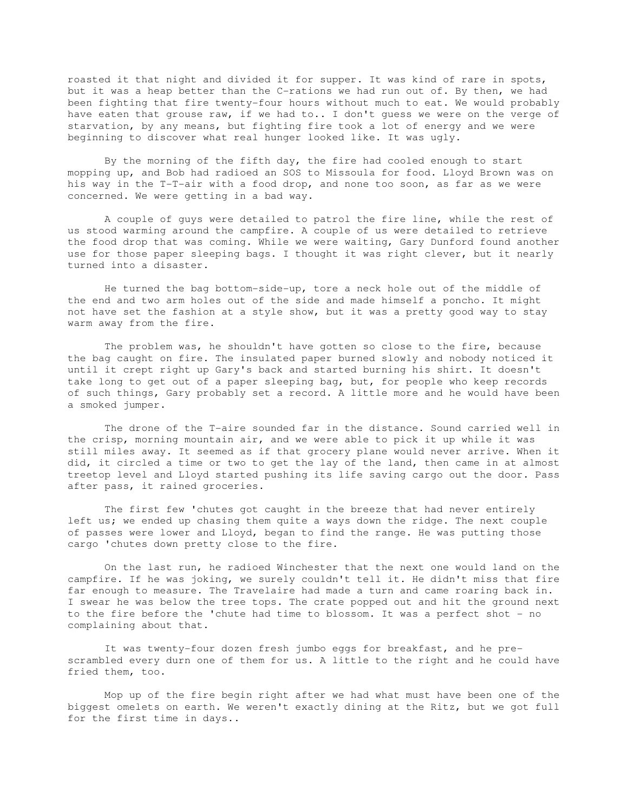roasted it that night and divided it for supper. It was kind of rare in spots, but it was a heap better than the C-rations we had run out of. By then, we had been fighting that fire twenty-four hours without much to eat. We would probably have eaten that grouse raw, if we had to.. I don't guess we were on the verge of starvation, by any means, but fighting fire took a lot of energy and we were beginning to discover what real hunger looked like. It was ugly.

 By the morning of the fifth day, the fire had cooled enough to start mopping up, and Bob had radioed an SOS to Missoula for food. Lloyd Brown was on his way in the T-T-air with a food drop, and none too soon, as far as we were concerned. We were getting in a bad way.

 A couple of guys were detailed to patrol the fire line, while the rest of us stood warming around the campfire. A couple of us were detailed to retrieve the food drop that was coming. While we were waiting, Gary Dunford found another use for those paper sleeping bags. I thought it was right clever, but it nearly turned into a disaster.

 He turned the bag bottom-side-up, tore a neck hole out of the middle of the end and two arm holes out of the side and made himself a poncho. It might not have set the fashion at a style show, but it was a pretty good way to stay warm away from the fire.

 The problem was, he shouldn't have gotten so close to the fire, because the bag caught on fire. The insulated paper burned slowly and nobody noticed it until it crept right up Gary's back and started burning his shirt. It doesn't take long to get out of a paper sleeping bag, but, for people who keep records of such things, Gary probably set a record. A little more and he would have been a smoked jumper.

 The drone of the T-aire sounded far in the distance. Sound carried well in the crisp, morning mountain air, and we were able to pick it up while it was still miles away. It seemed as if that grocery plane would never arrive. When it did, it circled a time or two to get the lay of the land, then came in at almost treetop level and Lloyd started pushing its life saving cargo out the door. Pass after pass, it rained groceries.

 The first few 'chutes got caught in the breeze that had never entirely left us; we ended up chasing them quite a ways down the ridge. The next couple of passes were lower and Lloyd, began to find the range. He was putting those cargo 'chutes down pretty close to the fire.

 On the last run, he radioed Winchester that the next one would land on the campfire. If he was joking, we surely couldn't tell it. He didn't miss that fire far enough to measure. The Travelaire had made a turn and came roaring back in. I swear he was below the tree tops. The crate popped out and hit the ground next to the fire before the 'chute had time to blossom. It was a perfect shot - no complaining about that.

 It was twenty-four dozen fresh jumbo eggs for breakfast, and he prescrambled every durn one of them for us. A little to the right and he could have fried them, too.

 Mop up of the fire begin right after we had what must have been one of the biggest omelets on earth. We weren't exactly dining at the Ritz, but we got full for the first time in days..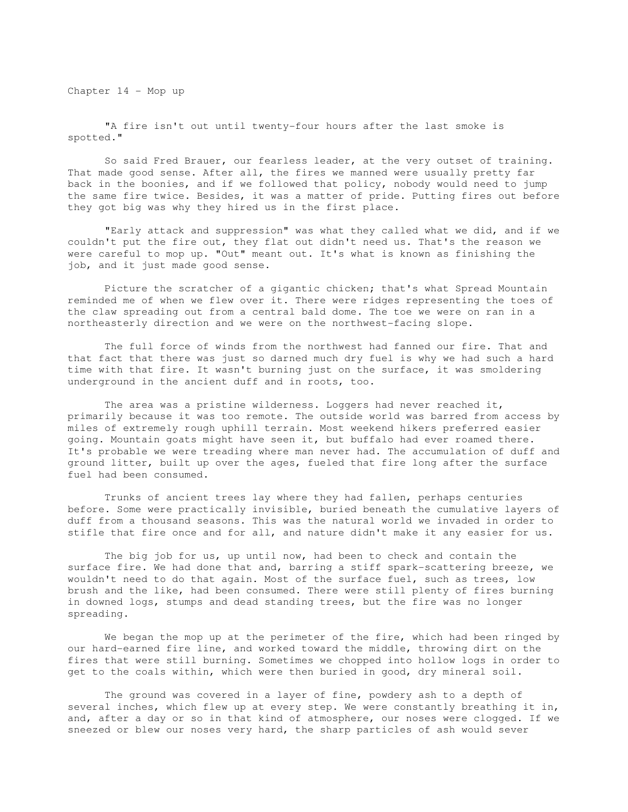Chapter 14 - Mop up

 "A fire isn't out until twenty-four hours after the last smoke is spotted."

 So said Fred Brauer, our fearless leader, at the very outset of training. That made good sense. After all, the fires we manned were usually pretty far back in the boonies, and if we followed that policy, nobody would need to jump the same fire twice. Besides, it was a matter of pride. Putting fires out before they got big was why they hired us in the first place.

 "Early attack and suppression" was what they called what we did, and if we couldn't put the fire out, they flat out didn't need us. That's the reason we were careful to mop up. "Out" meant out. It's what is known as finishing the job, and it just made good sense.

 Picture the scratcher of a gigantic chicken; that's what Spread Mountain reminded me of when we flew over it. There were ridges representing the toes of the claw spreading out from a central bald dome. The toe we were on ran in a northeasterly direction and we were on the northwest-facing slope.

 The full force of winds from the northwest had fanned our fire. That and that fact that there was just so darned much dry fuel is why we had such a hard time with that fire. It wasn't burning just on the surface, it was smoldering underground in the ancient duff and in roots, too.

 The area was a pristine wilderness. Loggers had never reached it, primarily because it was too remote. The outside world was barred from access by miles of extremely rough uphill terrain. Most weekend hikers preferred easier going. Mountain goats might have seen it, but buffalo had ever roamed there. It's probable we were treading where man never had. The accumulation of duff and ground litter, built up over the ages, fueled that fire long after the surface fuel had been consumed.

 Trunks of ancient trees lay where they had fallen, perhaps centuries before. Some were practically invisible, buried beneath the cumulative layers of duff from a thousand seasons. This was the natural world we invaded in order to stifle that fire once and for all, and nature didn't make it any easier for us.

 The big job for us, up until now, had been to check and contain the surface fire. We had done that and, barring a stiff spark-scattering breeze, we wouldn't need to do that again. Most of the surface fuel, such as trees, low brush and the like, had been consumed. There were still plenty of fires burning in downed logs, stumps and dead standing trees, but the fire was no longer spreading.

We began the mop up at the perimeter of the fire, which had been ringed by our hard-earned fire line, and worked toward the middle, throwing dirt on the fires that were still burning. Sometimes we chopped into hollow logs in order to get to the coals within, which were then buried in good, dry mineral soil.

 The ground was covered in a layer of fine, powdery ash to a depth of several inches, which flew up at every step. We were constantly breathing it in, and, after a day or so in that kind of atmosphere, our noses were clogged. If we sneezed or blew our noses very hard, the sharp particles of ash would sever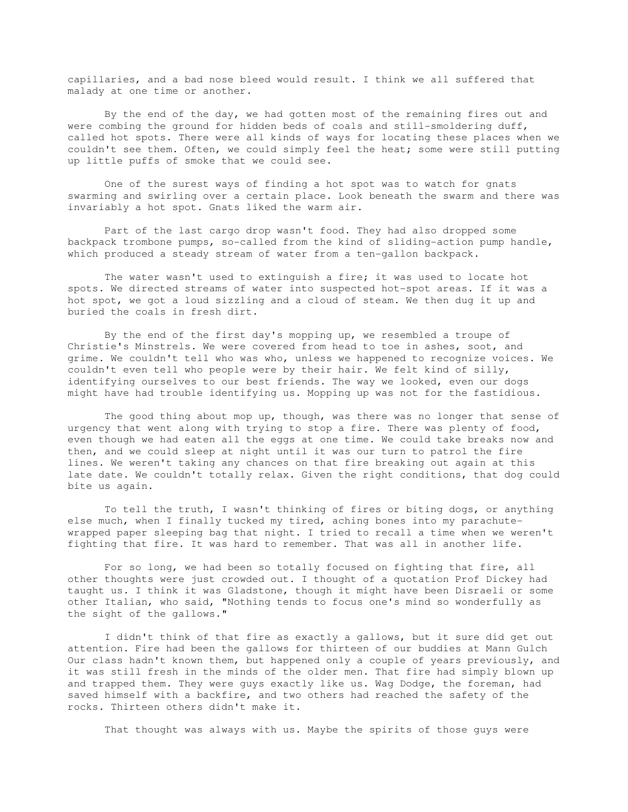capillaries, and a bad nose bleed would result. I think we all suffered that malady at one time or another.

 By the end of the day, we had gotten most of the remaining fires out and were combing the ground for hidden beds of coals and still-smoldering duff, called hot spots. There were all kinds of ways for locating these places when we couldn't see them. Often, we could simply feel the heat; some were still putting up little puffs of smoke that we could see.

 One of the surest ways of finding a hot spot was to watch for gnats swarming and swirling over a certain place. Look beneath the swarm and there was invariably a hot spot. Gnats liked the warm air.

 Part of the last cargo drop wasn't food. They had also dropped some backpack trombone pumps, so-called from the kind of sliding-action pump handle, which produced a steady stream of water from a ten-gallon backpack.

The water wasn't used to extinguish a fire; it was used to locate hot spots. We directed streams of water into suspected hot-spot areas. If it was a hot spot, we got a loud sizzling and a cloud of steam. We then dug it up and buried the coals in fresh dirt.

 By the end of the first day's mopping up, we resembled a troupe of Christie's Minstrels. We were covered from head to toe in ashes, soot, and grime. We couldn't tell who was who, unless we happened to recognize voices. We couldn't even tell who people were by their hair. We felt kind of silly, identifying ourselves to our best friends. The way we looked, even our dogs might have had trouble identifying us. Mopping up was not for the fastidious.

 The good thing about mop up, though, was there was no longer that sense of urgency that went along with trying to stop a fire. There was plenty of food, even though we had eaten all the eggs at one time. We could take breaks now and then, and we could sleep at night until it was our turn to patrol the fire lines. We weren't taking any chances on that fire breaking out again at this late date. We couldn't totally relax. Given the right conditions, that dog could bite us again.

 To tell the truth, I wasn't thinking of fires or biting dogs, or anything else much, when I finally tucked my tired, aching bones into my parachutewrapped paper sleeping bag that night. I tried to recall a time when we weren't fighting that fire. It was hard to remember. That was all in another life.

 For so long, we had been so totally focused on fighting that fire, all other thoughts were just crowded out. I thought of a quotation Prof Dickey had taught us. I think it was Gladstone, though it might have been Disraeli or some other Italian, who said, "Nothing tends to focus one's mind so wonderfully as the sight of the gallows."

 I didn't think of that fire as exactly a gallows, but it sure did get out attention. Fire had been the gallows for thirteen of our buddies at Mann Gulch Our class hadn't known them, but happened only a couple of years previously, and it was still fresh in the minds of the older men. That fire had simply blown up and trapped them. They were guys exactly like us. Wag Dodge, the foreman, had saved himself with a backfire, and two others had reached the safety of the rocks. Thirteen others didn't make it.

That thought was always with us. Maybe the spirits of those guys were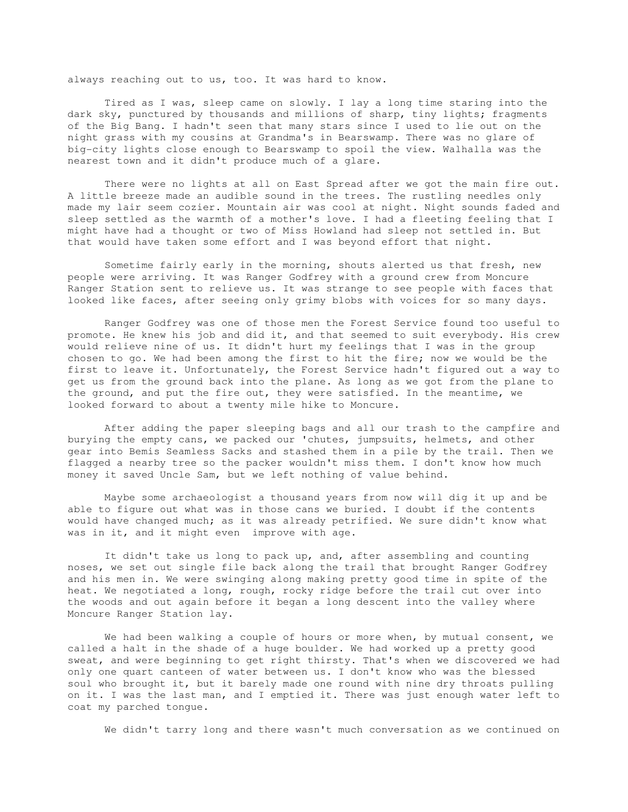always reaching out to us, too. It was hard to know.

 Tired as I was, sleep came on slowly. I lay a long time staring into the dark sky, punctured by thousands and millions of sharp, tiny lights; fragments of the Big Bang. I hadn't seen that many stars since I used to lie out on the night grass with my cousins at Grandma's in Bearswamp. There was no glare of big-city lights close enough to Bearswamp to spoil the view. Walhalla was the nearest town and it didn't produce much of a glare.

 There were no lights at all on East Spread after we got the main fire out. A little breeze made an audible sound in the trees. The rustling needles only made my lair seem cozier. Mountain air was cool at night. Night sounds faded and sleep settled as the warmth of a mother's love. I had a fleeting feeling that I might have had a thought or two of Miss Howland had sleep not settled in. But that would have taken some effort and I was beyond effort that night.

 Sometime fairly early in the morning, shouts alerted us that fresh, new people were arriving. It was Ranger Godfrey with a ground crew from Moncure Ranger Station sent to relieve us. It was strange to see people with faces that looked like faces, after seeing only grimy blobs with voices for so many days.

 Ranger Godfrey was one of those men the Forest Service found too useful to promote. He knew his job and did it, and that seemed to suit everybody. His crew would relieve nine of us. It didn't hurt my feelings that I was in the group chosen to go. We had been among the first to hit the fire; now we would be the first to leave it. Unfortunately, the Forest Service hadn't figured out a way to get us from the ground back into the plane. As long as we got from the plane to the ground, and put the fire out, they were satisfied. In the meantime, we looked forward to about a twenty mile hike to Moncure.

 After adding the paper sleeping bags and all our trash to the campfire and burying the empty cans, we packed our 'chutes, jumpsuits, helmets, and other gear into Bemis Seamless Sacks and stashed them in a pile by the trail. Then we flagged a nearby tree so the packer wouldn't miss them. I don't know how much money it saved Uncle Sam, but we left nothing of value behind.

 Maybe some archaeologist a thousand years from now will dig it up and be able to figure out what was in those cans we buried. I doubt if the contents would have changed much; as it was already petrified. We sure didn't know what was in it, and it might even improve with age.

 It didn't take us long to pack up, and, after assembling and counting noses, we set out single file back along the trail that brought Ranger Godfrey and his men in. We were swinging along making pretty good time in spite of the heat. We negotiated a long, rough, rocky ridge before the trail cut over into the woods and out again before it began a long descent into the valley where Moncure Ranger Station lay.

We had been walking a couple of hours or more when, by mutual consent, we called a halt in the shade of a huge boulder. We had worked up a pretty good sweat, and were beginning to get right thirsty. That's when we discovered we had only one quart canteen of water between us. I don't know who was the blessed soul who brought it, but it barely made one round with nine dry throats pulling on it. I was the last man, and I emptied it. There was just enough water left to coat my parched tongue.

We didn't tarry long and there wasn't much conversation as we continued on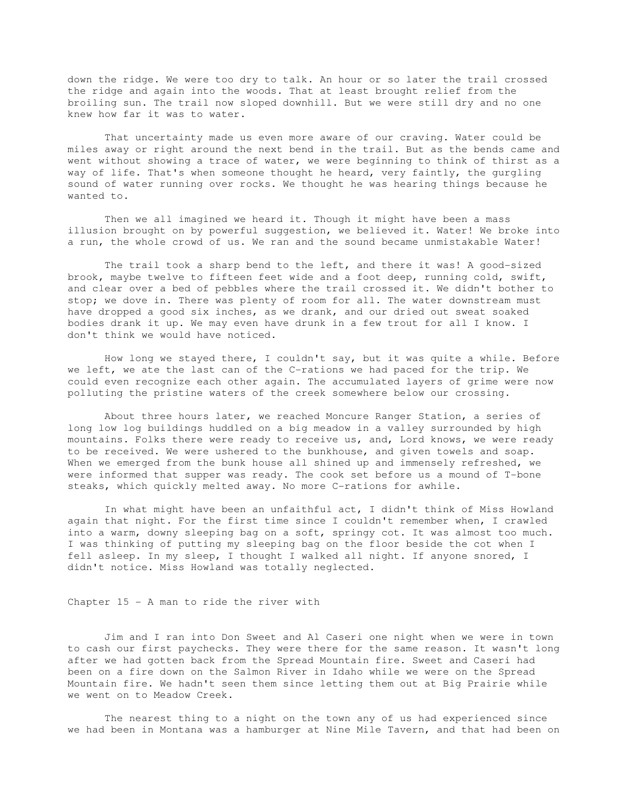down the ridge. We were too dry to talk. An hour or so later the trail crossed the ridge and again into the woods. That at least brought relief from the broiling sun. The trail now sloped downhill. But we were still dry and no one knew how far it was to water.

 That uncertainty made us even more aware of our craving. Water could be miles away or right around the next bend in the trail. But as the bends came and went without showing a trace of water, we were beginning to think of thirst as a way of life. That's when someone thought he heard, very faintly, the gurgling sound of water running over rocks. We thought he was hearing things because he wanted to.

 Then we all imagined we heard it. Though it might have been a mass illusion brought on by powerful suggestion, we believed it. Water! We broke into a run, the whole crowd of us. We ran and the sound became unmistakable Water!

 The trail took a sharp bend to the left, and there it was! A good-sized brook, maybe twelve to fifteen feet wide and a foot deep, running cold, swift, and clear over a bed of pebbles where the trail crossed it. We didn't bother to stop; we dove in. There was plenty of room for all. The water downstream must have dropped a good six inches, as we drank, and our dried out sweat soaked bodies drank it up. We may even have drunk in a few trout for all I know. I don't think we would have noticed.

 How long we stayed there, I couldn't say, but it was quite a while. Before we left, we ate the last can of the C-rations we had paced for the trip. We could even recognize each other again. The accumulated layers of grime were now polluting the pristine waters of the creek somewhere below our crossing.

 About three hours later, we reached Moncure Ranger Station, a series of long low log buildings huddled on a big meadow in a valley surrounded by high mountains. Folks there were ready to receive us, and, Lord knows, we were ready to be received. We were ushered to the bunkhouse, and given towels and soap. When we emerged from the bunk house all shined up and immensely refreshed, we were informed that supper was ready. The cook set before us a mound of T-bone steaks, which quickly melted away. No more C-rations for awhile.

 In what might have been an unfaithful act, I didn't think of Miss Howland again that night. For the first time since I couldn't remember when, I crawled into a warm, downy sleeping bag on a soft, springy cot. It was almost too much. I was thinking of putting my sleeping bag on the floor beside the cot when I fell asleep. In my sleep, I thought I walked all night. If anyone snored, I didn't notice. Miss Howland was totally neglected.

Chapter 15 - A man to ride the river with

 Jim and I ran into Don Sweet and Al Caseri one night when we were in town to cash our first paychecks. They were there for the same reason. It wasn't long after we had gotten back from the Spread Mountain fire. Sweet and Caseri had been on a fire down on the Salmon River in Idaho while we were on the Spread Mountain fire. We hadn't seen them since letting them out at Big Prairie while we went on to Meadow Creek.

 The nearest thing to a night on the town any of us had experienced since we had been in Montana was a hamburger at Nine Mile Tavern, and that had been on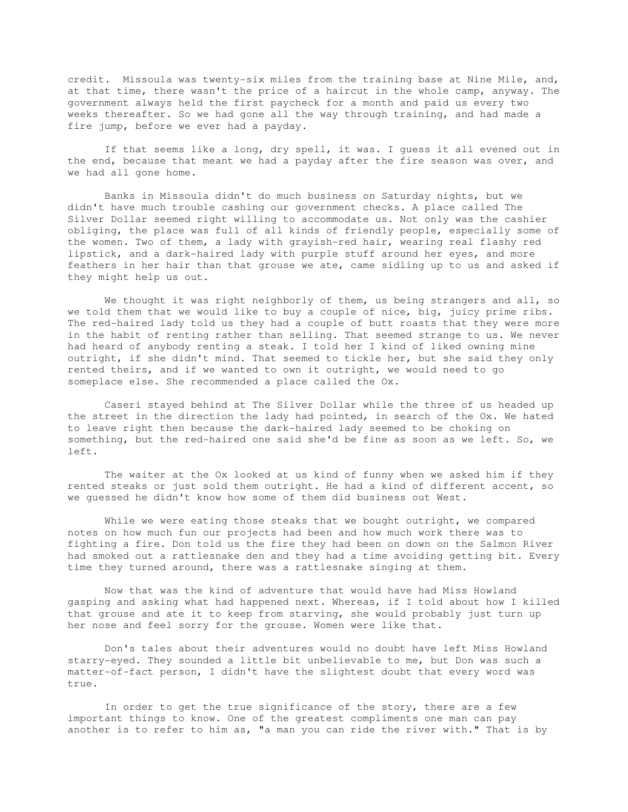credit. Missoula was twenty-six miles from the training base at Nine Mile, and, at that time, there wasn't the price of a haircut in the whole camp, anyway. The government always held the first paycheck for a month and paid us every two weeks thereafter. So we had gone all the way through training, and had made a fire jump, before we ever had a payday.

 If that seems like a long, dry spell, it was. I guess it all evened out in the end, because that meant we had a payday after the fire season was over, and we had all gone home.

 Banks in Missoula didn't do much business on Saturday nights, but we didn't have much trouble cashing our government checks. A place called The Silver Dollar seemed right willing to accommodate us. Not only was the cashier obliging, the place was full of all kinds of friendly people, especially some of the women. Two of them, a lady with grayish-red hair, wearing real flashy red lipstick, and a dark-haired lady with purple stuff around her eyes, and more feathers in her hair than that grouse we ate, came sidling up to us and asked if they might help us out.

We thought it was right neighborly of them, us being strangers and all, so we told them that we would like to buy a couple of nice, big, juicy prime ribs. The red-haired lady told us they had a couple of butt roasts that they were more in the habit of renting rather than selling. That seemed strange to us. We never had heard of anybody renting a steak. I told her I kind of liked owning mine outright, if she didn't mind. That seemed to tickle her, but she said they only rented theirs, and if we wanted to own it outright, we would need to go someplace else. She recommended a place called the Ox.

 Caseri stayed behind at The Silver Dollar while the three of us headed up the street in the direction the lady had pointed, in search of the Ox. We hated to leave right then because the dark-haired lady seemed to be choking on something, but the red-haired one said she'd be fine as soon as we left. So, we left.

 The waiter at the Ox looked at us kind of funny when we asked him if they rented steaks or just sold them outright. He had a kind of different accent, so we guessed he didn't know how some of them did business out West.

 While we were eating those steaks that we bought outright, we compared notes on how much fun our projects had been and how much work there was to fighting a fire. Don told us the fire they had been on down on the Salmon River had smoked out a rattlesnake den and they had a time avoiding getting bit. Every time they turned around, there was a rattlesnake singing at them.

 Now that was the kind of adventure that would have had Miss Howland gasping and asking what had happened next. Whereas, if I told about how I killed that grouse and ate it to keep from starving, she would probably just turn up her nose and feel sorry for the grouse. Women were like that.

 Don's tales about their adventures would no doubt have left Miss Howland starry-eyed. They sounded a little bit unbelievable to me, but Don was such a matter-of-fact person, I didn't have the slightest doubt that every word was true.

 In order to get the true significance of the story, there are a few important things to know. One of the greatest compliments one man can pay another is to refer to him as, "a man you can ride the river with." That is by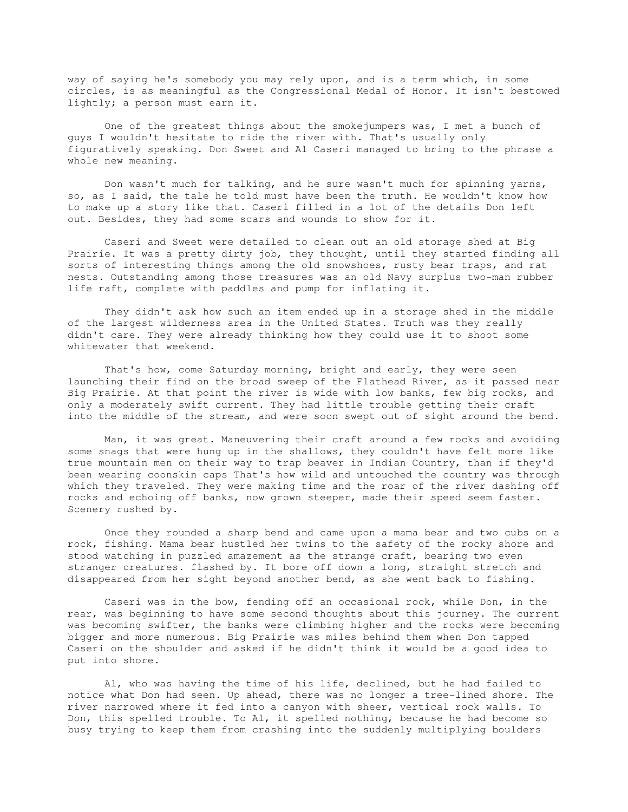way of saying he's somebody you may rely upon, and is a term which, in some circles, is as meaningful as the Congressional Medal of Honor. It isn't bestowed lightly; a person must earn it.

 One of the greatest things about the smokejumpers was, I met a bunch of guys I wouldn't hesitate to ride the river with. That's usually only figuratively speaking. Don Sweet and Al Caseri managed to bring to the phrase a whole new meaning.

 Don wasn't much for talking, and he sure wasn't much for spinning yarns, so, as I said, the tale he told must have been the truth. He wouldn't know how to make up a story like that. Caseri filled in a lot of the details Don left out. Besides, they had some scars and wounds to show for it.

 Caseri and Sweet were detailed to clean out an old storage shed at Big Prairie. It was a pretty dirty job, they thought, until they started finding all sorts of interesting things among the old snowshoes, rusty bear traps, and rat nests. Outstanding among those treasures was an old Navy surplus two-man rubber life raft, complete with paddles and pump for inflating it.

 They didn't ask how such an item ended up in a storage shed in the middle of the largest wilderness area in the United States. Truth was they really didn't care. They were already thinking how they could use it to shoot some whitewater that weekend.

That's how, come Saturday morning, bright and early, they were seen launching their find on the broad sweep of the Flathead River, as it passed near Big Prairie. At that point the river is wide with low banks, few big rocks, and only a moderately swift current. They had little trouble getting their craft into the middle of the stream, and were soon swept out of sight around the bend.

 Man, it was great. Maneuvering their craft around a few rocks and avoiding some snags that were hung up in the shallows, they couldn't have felt more like true mountain men on their way to trap beaver in Indian Country, than if they'd been wearing coonskin caps That's how wild and untouched the country was through which they traveled. They were making time and the roar of the river dashing off rocks and echoing off banks, now grown steeper, made their speed seem faster. Scenery rushed by.

 Once they rounded a sharp bend and came upon a mama bear and two cubs on a rock, fishing. Mama bear hustled her twins to the safety of the rocky shore and stood watching in puzzled amazement as the strange craft, bearing two even stranger creatures. flashed by. It bore off down a long, straight stretch and disappeared from her sight beyond another bend, as she went back to fishing.

 Caseri was in the bow, fending off an occasional rock, while Don, in the rear, was beginning to have some second thoughts about this journey. The current was becoming swifter, the banks were climbing higher and the rocks were becoming bigger and more numerous. Big Prairie was miles behind them when Don tapped Caseri on the shoulder and asked if he didn't think it would be a good idea to put into shore.

 Al, who was having the time of his life, declined, but he had failed to notice what Don had seen. Up ahead, there was no longer a tree-lined shore. The river narrowed where it fed into a canyon with sheer, vertical rock walls. To Don, this spelled trouble. To Al, it spelled nothing, because he had become so busy trying to keep them from crashing into the suddenly multiplying boulders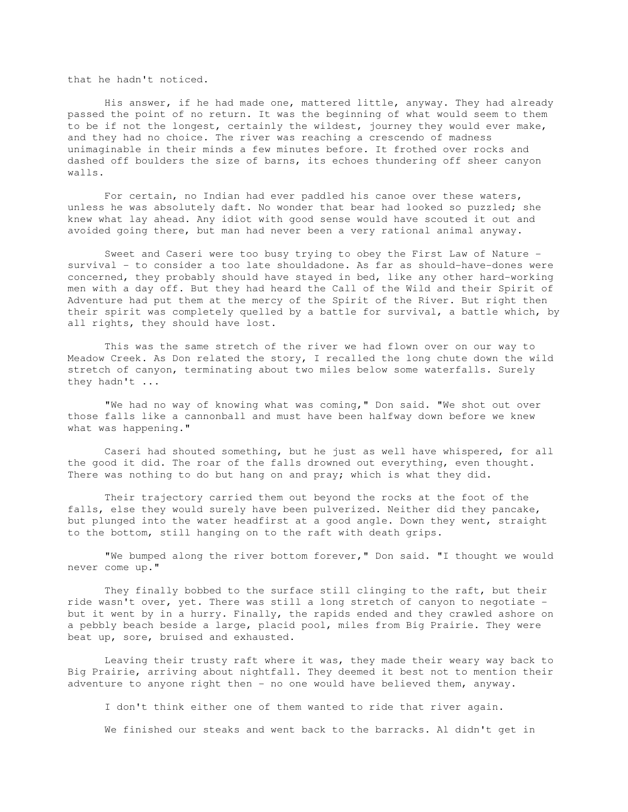that he hadn't noticed.

 His answer, if he had made one, mattered little, anyway. They had already passed the point of no return. It was the beginning of what would seem to them to be if not the longest, certainly the wildest, journey they would ever make, and they had no choice. The river was reaching a crescendo of madness unimaginable in their minds a few minutes before. It frothed over rocks and dashed off boulders the size of barns, its echoes thundering off sheer canyon walls.

 For certain, no Indian had ever paddled his canoe over these waters, unless he was absolutely daft. No wonder that bear had looked so puzzled; she knew what lay ahead. Any idiot with good sense would have scouted it out and avoided going there, but man had never been a very rational animal anyway.

 Sweet and Caseri were too busy trying to obey the First Law of Nature survival - to consider a too late shouldadone. As far as should-have-dones were concerned, they probably should have stayed in bed, like any other hard-working men with a day off. But they had heard the Call of the Wild and their Spirit of Adventure had put them at the mercy of the Spirit of the River. But right then their spirit was completely quelled by a battle for survival, a battle which, by all rights, they should have lost.

 This was the same stretch of the river we had flown over on our way to Meadow Creek. As Don related the story, I recalled the long chute down the wild stretch of canyon, terminating about two miles below some waterfalls. Surely they hadn't ...

 "We had no way of knowing what was coming," Don said. "We shot out over those falls like a cannonball and must have been halfway down before we knew what was happening."

 Caseri had shouted something, but he just as well have whispered, for all the good it did. The roar of the falls drowned out everything, even thought. There was nothing to do but hang on and pray; which is what they did.

 Their trajectory carried them out beyond the rocks at the foot of the falls, else they would surely have been pulverized. Neither did they pancake, but plunged into the water headfirst at a good angle. Down they went, straight to the bottom, still hanging on to the raft with death grips.

 "We bumped along the river bottom forever," Don said. "I thought we would never come up."

 They finally bobbed to the surface still clinging to the raft, but their ride wasn't over, yet. There was still a long stretch of canyon to negotiate but it went by in a hurry. Finally, the rapids ended and they crawled ashore on a pebbly beach beside a large, placid pool, miles from Big Prairie. They were beat up, sore, bruised and exhausted.

 Leaving their trusty raft where it was, they made their weary way back to Big Prairie, arriving about nightfall. They deemed it best not to mention their adventure to anyone right then - no one would have believed them, anyway.

I don't think either one of them wanted to ride that river again.

We finished our steaks and went back to the barracks. Al didn't get in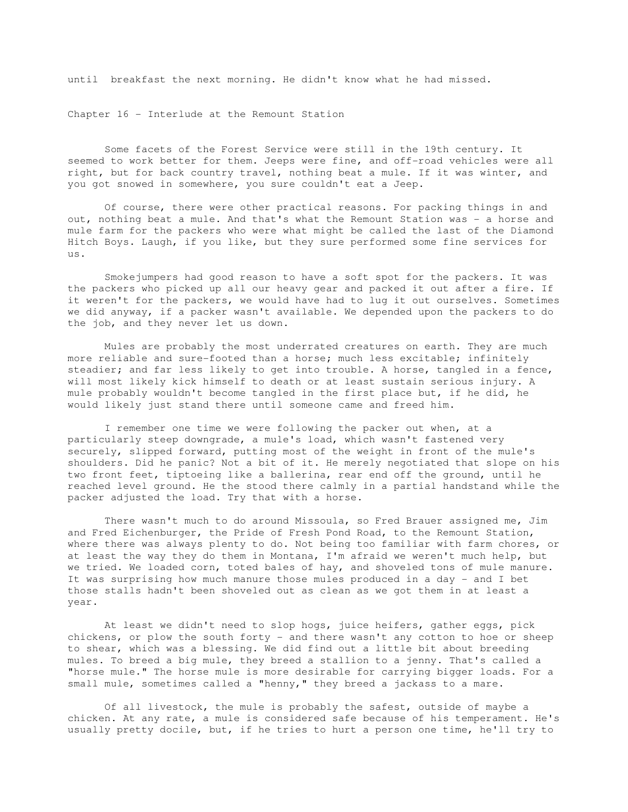until breakfast the next morning. He didn't know what he had missed.

Chapter 16 - Interlude at the Remount Station

 Some facets of the Forest Service were still in the 19th century. It seemed to work better for them. Jeeps were fine, and off-road vehicles were all right, but for back country travel, nothing beat a mule. If it was winter, and you got snowed in somewhere, you sure couldn't eat a Jeep.

 Of course, there were other practical reasons. For packing things in and out, nothing beat a mule. And that's what the Remount Station was - a horse and mule farm for the packers who were what might be called the last of the Diamond Hitch Boys. Laugh, if you like, but they sure performed some fine services for us.

 Smokejumpers had good reason to have a soft spot for the packers. It was the packers who picked up all our heavy gear and packed it out after a fire. If it weren't for the packers, we would have had to lug it out ourselves. Sometimes we did anyway, if a packer wasn't available. We depended upon the packers to do the job, and they never let us down.

 Mules are probably the most underrated creatures on earth. They are much more reliable and sure-footed than a horse; much less excitable; infinitely steadier; and far less likely to get into trouble. A horse, tangled in a fence, will most likely kick himself to death or at least sustain serious injury. A mule probably wouldn't become tangled in the first place but, if he did, he would likely just stand there until someone came and freed him.

 I remember one time we were following the packer out when, at a particularly steep downgrade, a mule's load, which wasn't fastened very securely, slipped forward, putting most of the weight in front of the mule's shoulders. Did he panic? Not a bit of it. He merely negotiated that slope on his two front feet, tiptoeing like a ballerina, rear end off the ground, until he reached level ground. He the stood there calmly in a partial handstand while the packer adjusted the load. Try that with a horse.

 There wasn't much to do around Missoula, so Fred Brauer assigned me, Jim and Fred Eichenburger, the Pride of Fresh Pond Road, to the Remount Station, where there was always plenty to do. Not being too familiar with farm chores, or at least the way they do them in Montana, I'm afraid we weren't much help, but we tried. We loaded corn, toted bales of hay, and shoveled tons of mule manure. It was surprising how much manure those mules produced in a day - and I bet those stalls hadn't been shoveled out as clean as we got them in at least a year.

 At least we didn't need to slop hogs, juice heifers, gather eggs, pick chickens, or plow the south forty - and there wasn't any cotton to hoe or sheep to shear, which was a blessing. We did find out a little bit about breeding mules. To breed a big mule, they breed a stallion to a jenny. That's called a "horse mule." The horse mule is more desirable for carrying bigger loads. For a small mule, sometimes called a "henny," they breed a jackass to a mare.

 Of all livestock, the mule is probably the safest, outside of maybe a chicken. At any rate, a mule is considered safe because of his temperament. He's usually pretty docile, but, if he tries to hurt a person one time, he'll try to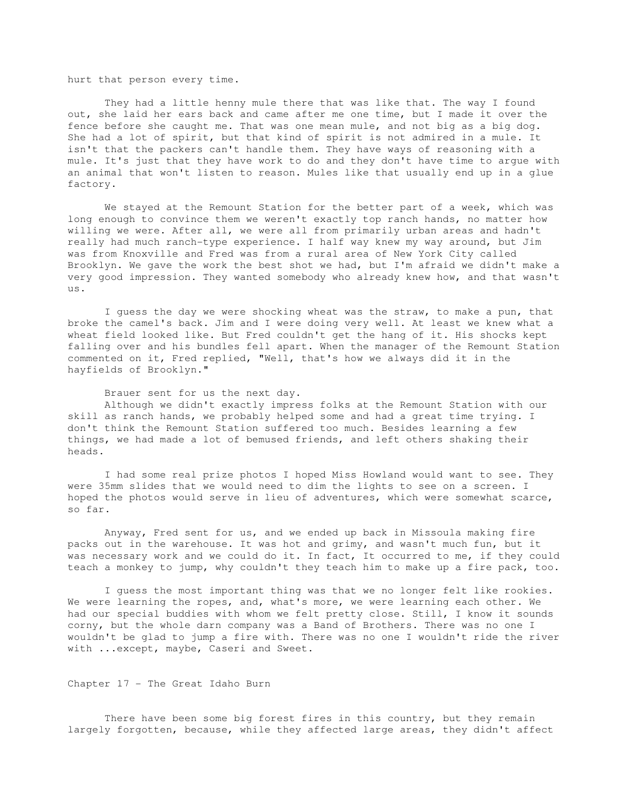hurt that person every time.

 They had a little henny mule there that was like that. The way I found out, she laid her ears back and came after me one time, but I made it over the fence before she caught me. That was one mean mule, and not big as a big dog. She had a lot of spirit, but that kind of spirit is not admired in a mule. It isn't that the packers can't handle them. They have ways of reasoning with a mule. It's just that they have work to do and they don't have time to argue with an animal that won't listen to reason. Mules like that usually end up in a glue factory.

 We stayed at the Remount Station for the better part of a week, which was long enough to convince them we weren't exactly top ranch hands, no matter how willing we were. After all, we were all from primarily urban areas and hadn't really had much ranch-type experience. I half way knew my way around, but Jim was from Knoxville and Fred was from a rural area of New York City called Brooklyn. We gave the work the best shot we had, but I'm afraid we didn't make a very good impression. They wanted somebody who already knew how, and that wasn't us.

 I guess the day we were shocking wheat was the straw, to make a pun, that broke the camel's back. Jim and I were doing very well. At least we knew what a wheat field looked like. But Fred couldn't get the hang of it. His shocks kept falling over and his bundles fell apart. When the manager of the Remount Station commented on it, Fred replied, "Well, that's how we always did it in the hayfields of Brooklyn."

 Brauer sent for us the next day. Although we didn't exactly impress folks at the Remount Station with our skill as ranch hands, we probably helped some and had a great time trying. I don't think the Remount Station suffered too much. Besides learning a few things, we had made a lot of bemused friends, and left others shaking their heads.

 I had some real prize photos I hoped Miss Howland would want to see. They were 35mm slides that we would need to dim the lights to see on a screen. I hoped the photos would serve in lieu of adventures, which were somewhat scarce, so far.

 Anyway, Fred sent for us, and we ended up back in Missoula making fire packs out in the warehouse. It was hot and grimy, and wasn't much fun, but it was necessary work and we could do it. In fact, It occurred to me, if they could teach a monkey to jump, why couldn't they teach him to make up a fire pack, too.

 I guess the most important thing was that we no longer felt like rookies. We were learning the ropes, and, what's more, we were learning each other. We had our special buddies with whom we felt pretty close. Still, I know it sounds corny, but the whole darn company was a Band of Brothers. There was no one I wouldn't be glad to jump a fire with. There was no one I wouldn't ride the river with ...except, maybe, Caseri and Sweet.

Chapter 17 - The Great Idaho Burn

There have been some big forest fires in this country, but they remain largely forgotten, because, while they affected large areas, they didn't affect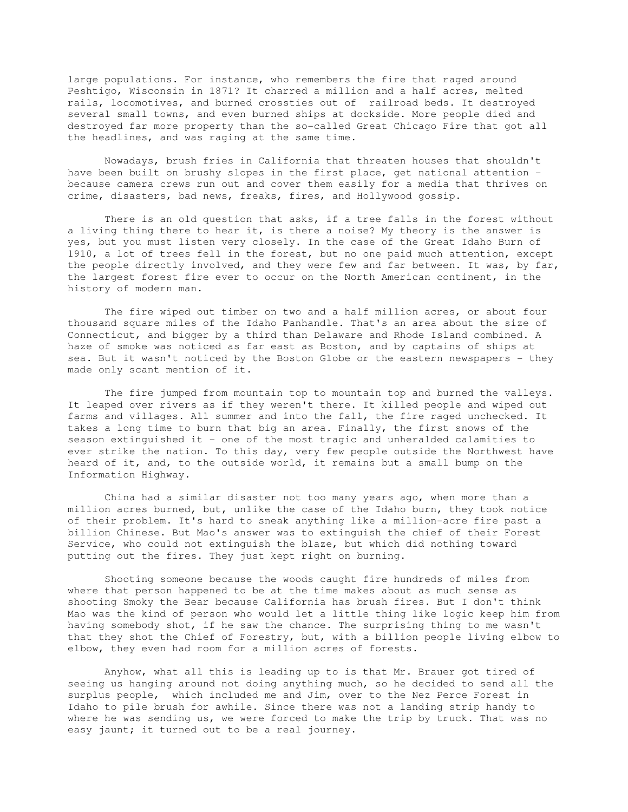large populations. For instance, who remembers the fire that raged around Peshtigo, Wisconsin in 1871? It charred a million and a half acres, melted rails, locomotives, and burned crossties out of railroad beds. It destroyed several small towns, and even burned ships at dockside. More people died and destroyed far more property than the so-called Great Chicago Fire that got all the headlines, and was raging at the same time.

 Nowadays, brush fries in California that threaten houses that shouldn't have been built on brushy slopes in the first place, get national attention because camera crews run out and cover them easily for a media that thrives on crime, disasters, bad news, freaks, fires, and Hollywood gossip.

 There is an old question that asks, if a tree falls in the forest without a living thing there to hear it, is there a noise? My theory is the answer is yes, but you must listen very closely. In the case of the Great Idaho Burn of 1910, a lot of trees fell in the forest, but no one paid much attention, except the people directly involved, and they were few and far between. It was, by far, the largest forest fire ever to occur on the North American continent, in the history of modern man.

 The fire wiped out timber on two and a half million acres, or about four thousand square miles of the Idaho Panhandle. That's an area about the size of Connecticut, and bigger by a third than Delaware and Rhode Island combined. A haze of smoke was noticed as far east as Boston, and by captains of ships at sea. But it wasn't noticed by the Boston Globe or the eastern newspapers - they made only scant mention of it.

 The fire jumped from mountain top to mountain top and burned the valleys. It leaped over rivers as if they weren't there. It killed people and wiped out farms and villages. All summer and into the fall, the fire raged unchecked. It takes a long time to burn that big an area. Finally, the first snows of the season extinguished it - one of the most tragic and unheralded calamities to ever strike the nation. To this day, very few people outside the Northwest have heard of it, and, to the outside world, it remains but a small bump on the Information Highway.

 China had a similar disaster not too many years ago, when more than a million acres burned, but, unlike the case of the Idaho burn, they took notice of their problem. It's hard to sneak anything like a million-acre fire past a billion Chinese. But Mao's answer was to extinguish the chief of their Forest Service, who could not extinguish the blaze, but which did nothing toward putting out the fires. They just kept right on burning.

 Shooting someone because the woods caught fire hundreds of miles from where that person happened to be at the time makes about as much sense as shooting Smoky the Bear because California has brush fires. But I don't think Mao was the kind of person who would let a little thing like logic keep him from having somebody shot, if he saw the chance. The surprising thing to me wasn't that they shot the Chief of Forestry, but, with a billion people living elbow to elbow, they even had room for a million acres of forests.

 Anyhow, what all this is leading up to is that Mr. Brauer got tired of seeing us hanging around not doing anything much, so he decided to send all the surplus people, which included me and Jim, over to the Nez Perce Forest in Idaho to pile brush for awhile. Since there was not a landing strip handy to where he was sending us, we were forced to make the trip by truck. That was no easy jaunt; it turned out to be a real journey.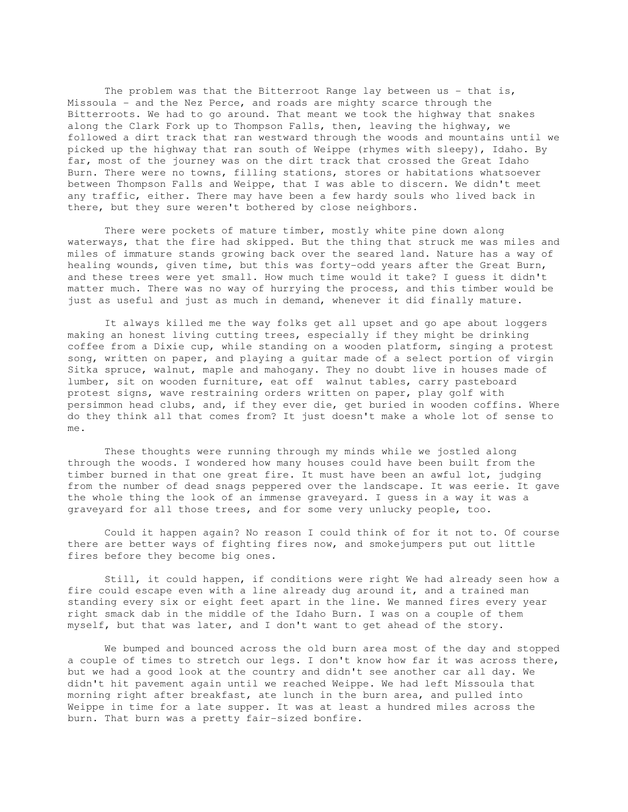The problem was that the Bitterroot Range lay between us - that is, Missoula - and the Nez Perce, and roads are mighty scarce through the Bitterroots. We had to go around. That meant we took the highway that snakes along the Clark Fork up to Thompson Falls, then, leaving the highway, we followed a dirt track that ran westward through the woods and mountains until we picked up the highway that ran south of Weippe (rhymes with sleepy), Idaho. By far, most of the journey was on the dirt track that crossed the Great Idaho Burn. There were no towns, filling stations, stores or habitations whatsoever between Thompson Falls and Weippe, that I was able to discern. We didn't meet any traffic, either. There may have been a few hardy souls who lived back in there, but they sure weren't bothered by close neighbors.

 There were pockets of mature timber, mostly white pine down along waterways, that the fire had skipped. But the thing that struck me was miles and miles of immature stands growing back over the seared land. Nature has a way of healing wounds, given time, but this was forty-odd years after the Great Burn, and these trees were yet small. How much time would it take? I guess it didn't matter much. There was no way of hurrying the process, and this timber would be just as useful and just as much in demand, whenever it did finally mature.

 It always killed me the way folks get all upset and go ape about loggers making an honest living cutting trees, especially if they might be drinking coffee from a Dixie cup, while standing on a wooden platform, singing a protest song, written on paper, and playing a guitar made of a select portion of virgin Sitka spruce, walnut, maple and mahogany. They no doubt live in houses made of lumber, sit on wooden furniture, eat off walnut tables, carry pasteboard protest signs, wave restraining orders written on paper, play golf with persimmon head clubs, and, if they ever die, get buried in wooden coffins. Where do they think all that comes from? It just doesn't make a whole lot of sense to me.

 These thoughts were running through my minds while we jostled along through the woods. I wondered how many houses could have been built from the timber burned in that one great fire. It must have been an awful lot, judging from the number of dead snags peppered over the landscape. It was eerie. It gave the whole thing the look of an immense graveyard. I guess in a way it was a graveyard for all those trees, and for some very unlucky people, too.

 Could it happen again? No reason I could think of for it not to. Of course there are better ways of fighting fires now, and smokejumpers put out little fires before they become big ones.

 Still, it could happen, if conditions were right We had already seen how a fire could escape even with a line already dug around it, and a trained man standing every six or eight feet apart in the line. We manned fires every year right smack dab in the middle of the Idaho Burn. I was on a couple of them myself, but that was later, and I don't want to get ahead of the story.

 We bumped and bounced across the old burn area most of the day and stopped a couple of times to stretch our legs. I don't know how far it was across there, but we had a good look at the country and didn't see another car all day. We didn't hit pavement again until we reached Weippe. We had left Missoula that morning right after breakfast, ate lunch in the burn area, and pulled into Weippe in time for a late supper. It was at least a hundred miles across the burn. That burn was a pretty fair-sized bonfire.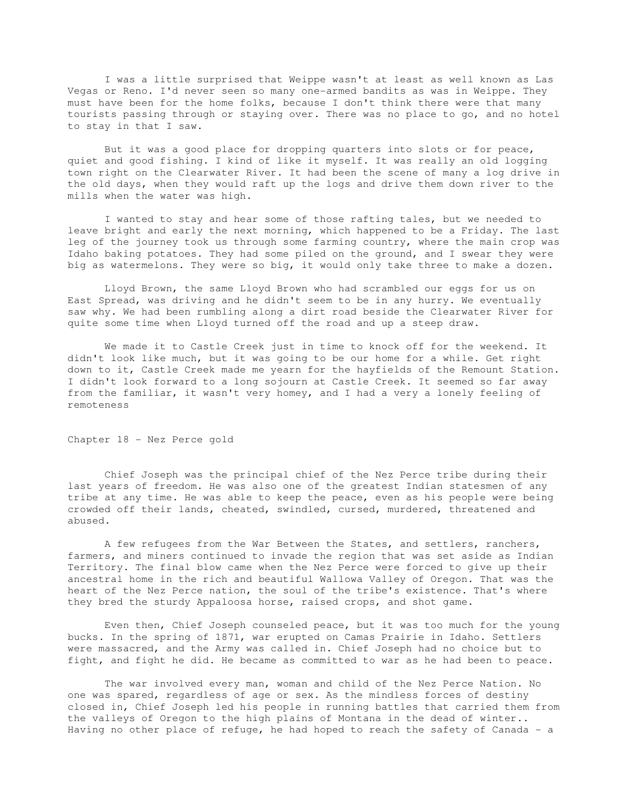I was a little surprised that Weippe wasn't at least as well known as Las Vegas or Reno. I'd never seen so many one-armed bandits as was in Weippe. They must have been for the home folks, because I don't think there were that many tourists passing through or staying over. There was no place to go, and no hotel to stay in that I saw.

 But it was a good place for dropping quarters into slots or for peace, quiet and good fishing. I kind of like it myself. It was really an old logging town right on the Clearwater River. It had been the scene of many a log drive in the old days, when they would raft up the logs and drive them down river to the mills when the water was high.

 I wanted to stay and hear some of those rafting tales, but we needed to leave bright and early the next morning, which happened to be a Friday. The last leg of the journey took us through some farming country, where the main crop was Idaho baking potatoes. They had some piled on the ground, and I swear they were big as watermelons. They were so big, it would only take three to make a dozen.

 Lloyd Brown, the same Lloyd Brown who had scrambled our eggs for us on East Spread, was driving and he didn't seem to be in any hurry. We eventually saw why. We had been rumbling along a dirt road beside the Clearwater River for quite some time when Lloyd turned off the road and up a steep draw.

 We made it to Castle Creek just in time to knock off for the weekend. It didn't look like much, but it was going to be our home for a while. Get right down to it, Castle Creek made me yearn for the hayfields of the Remount Station. I didn't look forward to a long sojourn at Castle Creek. It seemed so far away from the familiar, it wasn't very homey, and I had a very a lonely feeling of remoteness

Chapter 18 - Nez Perce gold

 Chief Joseph was the principal chief of the Nez Perce tribe during their last years of freedom. He was also one of the greatest Indian statesmen of any tribe at any time. He was able to keep the peace, even as his people were being crowded off their lands, cheated, swindled, cursed, murdered, threatened and abused.

 A few refugees from the War Between the States, and settlers, ranchers, farmers, and miners continued to invade the region that was set aside as Indian Territory. The final blow came when the Nez Perce were forced to give up their ancestral home in the rich and beautiful Wallowa Valley of Oregon. That was the heart of the Nez Perce nation, the soul of the tribe's existence. That's where they bred the sturdy Appaloosa horse, raised crops, and shot game.

 Even then, Chief Joseph counseled peace, but it was too much for the young bucks. In the spring of 1871, war erupted on Camas Prairie in Idaho. Settlers were massacred, and the Army was called in. Chief Joseph had no choice but to fight, and fight he did. He became as committed to war as he had been to peace.

 The war involved every man, woman and child of the Nez Perce Nation. No one was spared, regardless of age or sex. As the mindless forces of destiny closed in, Chief Joseph led his people in running battles that carried them from the valleys of Oregon to the high plains of Montana in the dead of winter.. Having no other place of refuge, he had hoped to reach the safety of Canada - a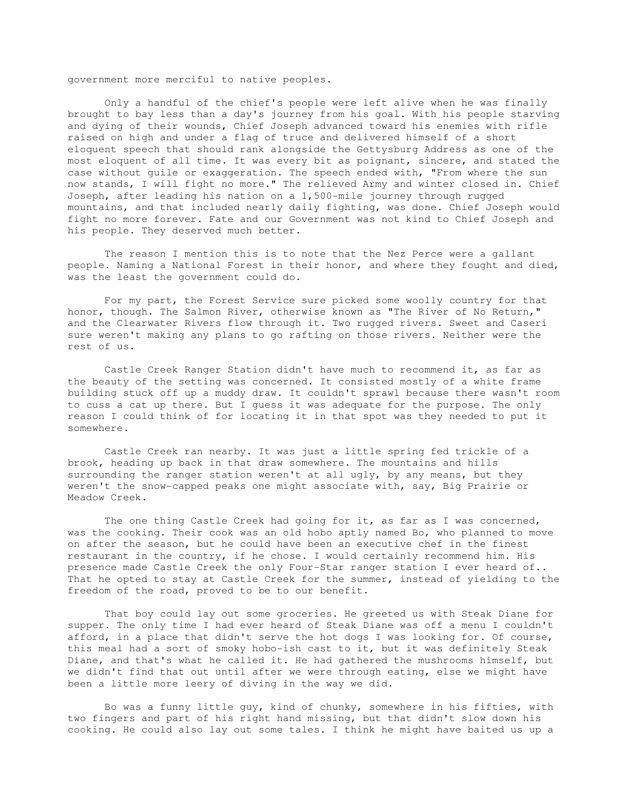government more merciful to native peoples.

 Only a handful of the chief's people were left alive when he was finally brought to bay less than a day's journey from his goal. With his people starving and dying of their wounds, Chief Joseph advanced toward his enemies with rifle raised on high and under a flag of truce and delivered himself of a short eloquent speech that should rank alongside the Gettysburg Address as one of the most eloquent of all time. It was every bit as poignant, sincere, and stated the case without guile or exaggeration. The speech ended with, "From where the sun now stands, I will fight no more." The relieved Army and winter closed in. Chief Joseph, after leading his nation on a 1,500-mile journey through rugged mountains, and that included nearly daily fighting, was done. Chief Joseph would fight no more forever. Fate and our Government was not kind to Chief Joseph and his people. They deserved much better.

 The reason I mention this is to note that the Nez Perce were a gallant people. Naming a National Forest in their honor, and where they fought and died, was the least the government could do.

 For my part, the Forest Service sure picked some woolly country for that honor, though. The Salmon River, otherwise known as "The River of No Return," and the Clearwater Rivers flow through it. Two rugged rivers. Sweet and Caseri sure weren't making any plans to go rafting on those rivers. Neither were the rest of us.

 Castle Creek Ranger Station didn't have much to recommend it, as far as the beauty of the setting was concerned. It consisted mostly of a white frame building stuck off up a muddy draw. It couldn't sprawl because there wasn't room to cuss a cat up there. But I guess it was adequate for the purpose. The only reason I could think of for locating it in that spot was they needed to put it somewhere.

 Castle Creek ran nearby. It was just a little spring fed trickle of a brook, heading up back in that draw somewhere. The mountains and hills surrounding the ranger station weren't at all ugly, by any means, but they weren't the snow-capped peaks one might associate with, say, Big Prairie or Meadow Creek.

 The one thing Castle Creek had going for it, as far as I was concerned, was the cooking. Their cook was an old hobo aptly named Bo, who planned to move on after the season, but he could have been an executive chef in the finest restaurant in the country, if he chose. I would certainly recommend him. His presence made Castle Creek the only Four-Star ranger station I ever heard of.. That he opted to stay at Castle Creek for the summer, instead of yielding to the freedom of the road, proved to be to our benefit.

 That boy could lay out some groceries. He greeted us with Steak Diane for supper. The only time I had ever heard of Steak Diane was off a menu I couldn't afford, in a place that didn't serve the hot dogs I was looking for. Of course, this meal had a sort of smoky hobo-ish cast to it, but it was definitely Steak Diane, and that's what he called it. He had gathered the mushrooms himself, but we didn't find that out until after we were through eating, else we might have been a little more leery of diving in the way we did.

 Bo was a funny little guy, kind of chunky, somewhere in his fifties, with two fingers and part of his right hand missing, but that didn't slow down his cooking. He could also lay out some tales. I think he might have baited us up a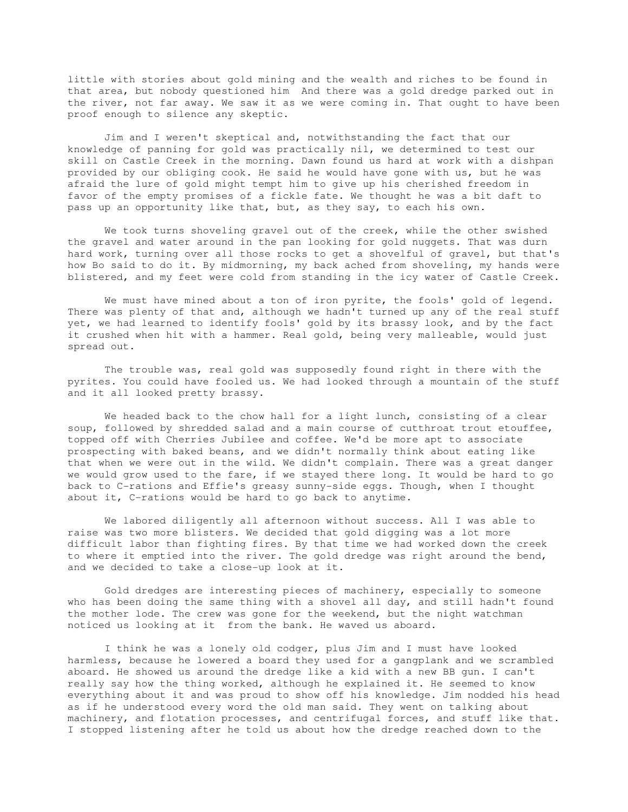little with stories about gold mining and the wealth and riches to be found in that area, but nobody questioned him And there was a gold dredge parked out in the river, not far away. We saw it as we were coming in. That ought to have been proof enough to silence any skeptic.

 Jim and I weren't skeptical and, notwithstanding the fact that our knowledge of panning for gold was practically nil, we determined to test our skill on Castle Creek in the morning. Dawn found us hard at work with a dishpan provided by our obliging cook. He said he would have gone with us, but he was afraid the lure of gold might tempt him to give up his cherished freedom in favor of the empty promises of a fickle fate. We thought he was a bit daft to pass up an opportunity like that, but, as they say, to each his own.

 We took turns shoveling gravel out of the creek, while the other swished the gravel and water around in the pan looking for gold nuggets. That was durn hard work, turning over all those rocks to get a shovelful of gravel, but that's how Bo said to do it. By midmorning, my back ached from shoveling, my hands were blistered, and my feet were cold from standing in the icy water of Castle Creek.

 We must have mined about a ton of iron pyrite, the fools' gold of legend. There was plenty of that and, although we hadn't turned up any of the real stuff yet, we had learned to identify fools' gold by its brassy look, and by the fact it crushed when hit with a hammer. Real gold, being very malleable, would just spread out.

 The trouble was, real gold was supposedly found right in there with the pyrites. You could have fooled us. We had looked through a mountain of the stuff and it all looked pretty brassy.

 We headed back to the chow hall for a light lunch, consisting of a clear soup, followed by shredded salad and a main course of cutthroat trout etouffee, topped off with Cherries Jubilee and coffee. We'd be more apt to associate prospecting with baked beans, and we didn't normally think about eating like that when we were out in the wild. We didn't complain. There was a great danger we would grow used to the fare, if we stayed there long. It would be hard to go back to C-rations and Effie's greasy sunny-side eggs. Though, when I thought about it, C-rations would be hard to go back to anytime.

 We labored diligently all afternoon without success. All I was able to raise was two more blisters. We decided that gold digging was a lot more difficult labor than fighting fires. By that time we had worked down the creek to where it emptied into the river. The gold dredge was right around the bend, and we decided to take a close-up look at it.

 Gold dredges are interesting pieces of machinery, especially to someone who has been doing the same thing with a shovel all day, and still hadn't found the mother lode. The crew was gone for the weekend, but the night watchman noticed us looking at it from the bank. He waved us aboard.

 I think he was a lonely old codger, plus Jim and I must have looked harmless, because he lowered a board they used for a gangplank and we scrambled aboard. He showed us around the dredge like a kid with a new BB gun. I can't really say how the thing worked, although he explained it. He seemed to know everything about it and was proud to show off his knowledge. Jim nodded his head as if he understood every word the old man said. They went on talking about machinery, and flotation processes, and centrifugal forces, and stuff like that. I stopped listening after he told us about how the dredge reached down to the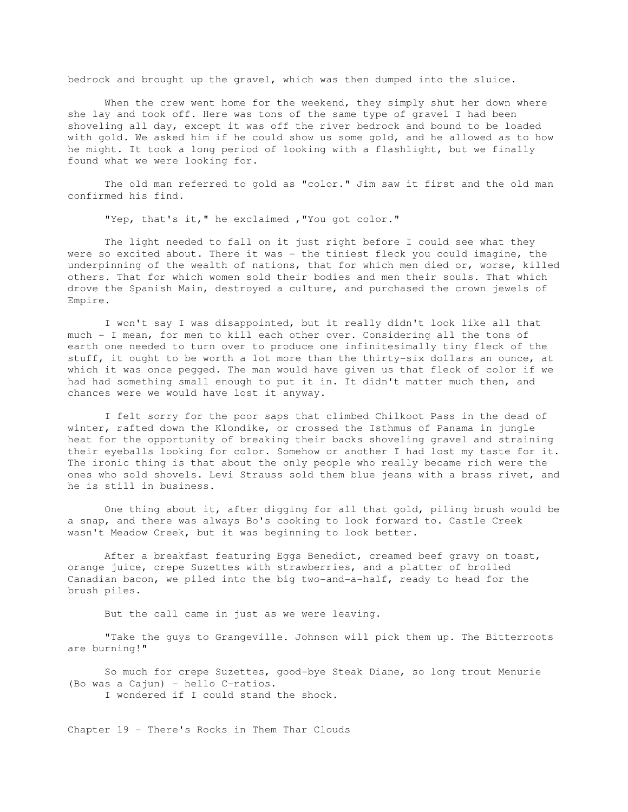bedrock and brought up the gravel, which was then dumped into the sluice.

When the crew went home for the weekend, they simply shut her down where she lay and took off. Here was tons of the same type of gravel I had been shoveling all day, except it was off the river bedrock and bound to be loaded with gold. We asked him if he could show us some gold, and he allowed as to how he might. It took a long period of looking with a flashlight, but we finally found what we were looking for.

 The old man referred to gold as "color." Jim saw it first and the old man confirmed his find.

"Yep, that's it," he exclaimed ,"You got color."

 The light needed to fall on it just right before I could see what they were so excited about. There it was - the tiniest fleck you could imagine, the underpinning of the wealth of nations, that for which men died or, worse, killed others. That for which women sold their bodies and men their souls. That which drove the Spanish Main, destroyed a culture, and purchased the crown jewels of Empire.

 I won't say I was disappointed, but it really didn't look like all that much - I mean, for men to kill each other over. Considering all the tons of earth one needed to turn over to produce one infinitesimally tiny fleck of the stuff, it ought to be worth a lot more than the thirty-six dollars an ounce, at which it was once pegged. The man would have given us that fleck of color if we had had something small enough to put it in. It didn't matter much then, and chances were we would have lost it anyway.

 I felt sorry for the poor saps that climbed Chilkoot Pass in the dead of winter, rafted down the Klondike, or crossed the Isthmus of Panama in jungle heat for the opportunity of breaking their backs shoveling gravel and straining their eyeballs looking for color. Somehow or another I had lost my taste for it. The ironic thing is that about the only people who really became rich were the ones who sold shovels. Levi Strauss sold them blue jeans with a brass rivet, and he is still in business.

 One thing about it, after digging for all that gold, piling brush would be a snap, and there was always Bo's cooking to look forward to. Castle Creek wasn't Meadow Creek, but it was beginning to look better.

 After a breakfast featuring Eggs Benedict, creamed beef gravy on toast, orange juice, crepe Suzettes with strawberries, and a platter of broiled Canadian bacon, we piled into the big two-and-a-half, ready to head for the brush piles.

But the call came in just as we were leaving.

 "Take the guys to Grangeville. Johnson will pick them up. The Bitterroots are burning!"

 So much for crepe Suzettes, good-bye Steak Diane, so long trout Menurie (Bo was a Cajun) - hello C-ratios. I wondered if I could stand the shock.

Chapter 19 - There's Rocks in Them Thar Clouds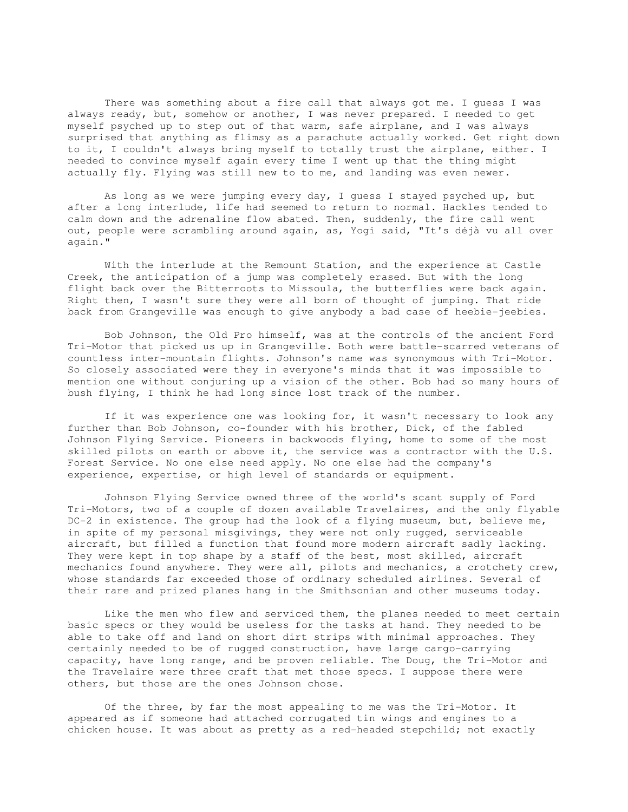There was something about a fire call that always got me. I guess I was always ready, but, somehow or another, I was never prepared. I needed to get myself psyched up to step out of that warm, safe airplane, and I was always surprised that anything as flimsy as a parachute actually worked. Get right down to it, I couldn't always bring myself to totally trust the airplane, either. I needed to convince myself again every time I went up that the thing might actually fly. Flying was still new to to me, and landing was even newer.

 As long as we were jumping every day, I guess I stayed psyched up, but after a long interlude, life had seemed to return to normal. Hackles tended to calm down and the adrenaline flow abated. Then, suddenly, the fire call went out, people were scrambling around again, as, Yogi said, "It's déjà vu all over again."

 With the interlude at the Remount Station, and the experience at Castle Creek, the anticipation of a jump was completely erased. But with the long flight back over the Bitterroots to Missoula, the butterflies were back again. Right then, I wasn't sure they were all born of thought of jumping. That ride back from Grangeville was enough to give anybody a bad case of heebie-jeebies.

 Bob Johnson, the Old Pro himself, was at the controls of the ancient Ford Tri-Motor that picked us up in Grangeville. Both were battle-scarred veterans of countless inter-mountain flights. Johnson's name was synonymous with Tri-Motor. So closely associated were they in everyone's minds that it was impossible to mention one without conjuring up a vision of the other. Bob had so many hours of bush flying, I think he had long since lost track of the number.

 If it was experience one was looking for, it wasn't necessary to look any further than Bob Johnson, co-founder with his brother, Dick, of the fabled Johnson Flying Service. Pioneers in backwoods flying, home to some of the most skilled pilots on earth or above it, the service was a contractor with the U.S. Forest Service. No one else need apply. No one else had the company's experience, expertise, or high level of standards or equipment.

 Johnson Flying Service owned three of the world's scant supply of Ford Tri-Motors, two of a couple of dozen available Travelaires, and the only flyable DC-2 in existence. The group had the look of a flying museum, but, believe me, in spite of my personal misgivings, they were not only rugged, serviceable aircraft, but filled a function that found more modern aircraft sadly lacking. They were kept in top shape by a staff of the best, most skilled, aircraft mechanics found anywhere. They were all, pilots and mechanics, a crotchety crew, whose standards far exceeded those of ordinary scheduled airlines. Several of their rare and prized planes hang in the Smithsonian and other museums today.

 Like the men who flew and serviced them, the planes needed to meet certain basic specs or they would be useless for the tasks at hand. They needed to be able to take off and land on short dirt strips with minimal approaches. They certainly needed to be of rugged construction, have large cargo-carrying capacity, have long range, and be proven reliable. The Doug, the Tri-Motor and the Travelaire were three craft that met those specs. I suppose there were others, but those are the ones Johnson chose.

 Of the three, by far the most appealing to me was the Tri-Motor. It appeared as if someone had attached corrugated tin wings and engines to a chicken house. It was about as pretty as a red-headed stepchild; not exactly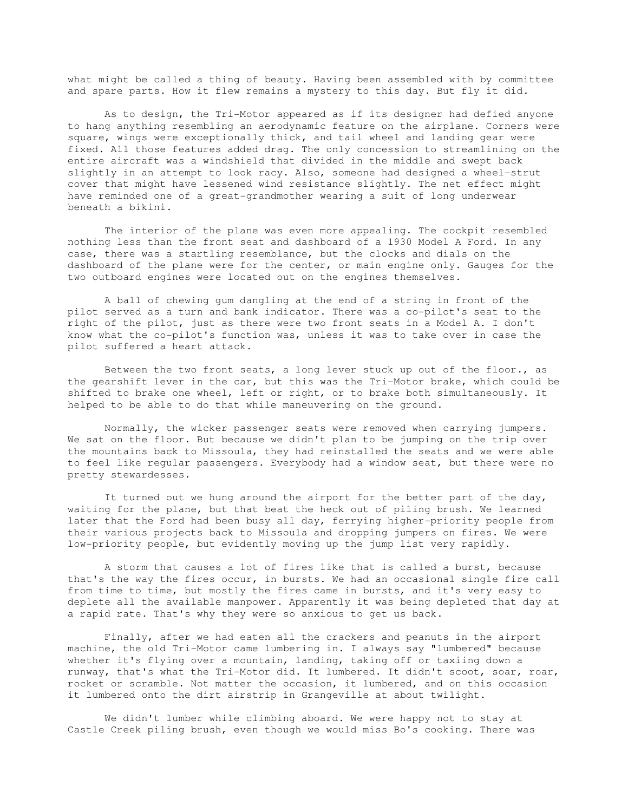what might be called a thing of beauty. Having been assembled with by committee and spare parts. How it flew remains a mystery to this day. But fly it did.

 As to design, the Tri-Motor appeared as if its designer had defied anyone to hang anything resembling an aerodynamic feature on the airplane. Corners were square, wings were exceptionally thick, and tail wheel and landing gear were fixed. All those features added drag. The only concession to streamlining on the entire aircraft was a windshield that divided in the middle and swept back slightly in an attempt to look racy. Also, someone had designed a wheel-strut cover that might have lessened wind resistance slightly. The net effect might have reminded one of a great-grandmother wearing a suit of long underwear beneath a bikini.

 The interior of the plane was even more appealing. The cockpit resembled nothing less than the front seat and dashboard of a 1930 Model A Ford. In any case, there was a startling resemblance, but the clocks and dials on the dashboard of the plane were for the center, or main engine only. Gauges for the two outboard engines were located out on the engines themselves.

 A ball of chewing gum dangling at the end of a string in front of the pilot served as a turn and bank indicator. There was a co-pilot's seat to the right of the pilot, just as there were two front seats in a Model A. I don't know what the co-pilot's function was, unless it was to take over in case the pilot suffered a heart attack.

 Between the two front seats, a long lever stuck up out of the floor., as the gearshift lever in the car, but this was the Tri-Motor brake, which could be shifted to brake one wheel, left or right, or to brake both simultaneously. It helped to be able to do that while maneuvering on the ground.

 Normally, the wicker passenger seats were removed when carrying jumpers. We sat on the floor. But because we didn't plan to be jumping on the trip over the mountains back to Missoula, they had reinstalled the seats and we were able to feel like regular passengers. Everybody had a window seat, but there were no pretty stewardesses.

 It turned out we hung around the airport for the better part of the day, waiting for the plane, but that beat the heck out of piling brush. We learned later that the Ford had been busy all day, ferrying higher-priority people from their various projects back to Missoula and dropping jumpers on fires. We were low-priority people, but evidently moving up the jump list very rapidly.

 A storm that causes a lot of fires like that is called a burst, because that's the way the fires occur, in bursts. We had an occasional single fire call from time to time, but mostly the fires came in bursts, and it's very easy to deplete all the available manpower. Apparently it was being depleted that day at a rapid rate. That's why they were so anxious to get us back.

 Finally, after we had eaten all the crackers and peanuts in the airport machine, the old Tri-Motor came lumbering in. I always say "lumbered" because whether it's flying over a mountain, landing, taking off or taxiing down a runway, that's what the Tri-Motor did. It lumbered. It didn't scoot, soar, roar, rocket or scramble. Not matter the occasion, it lumbered, and on this occasion it lumbered onto the dirt airstrip in Grangeville at about twilight.

 We didn't lumber while climbing aboard. We were happy not to stay at Castle Creek piling brush, even though we would miss Bo's cooking. There was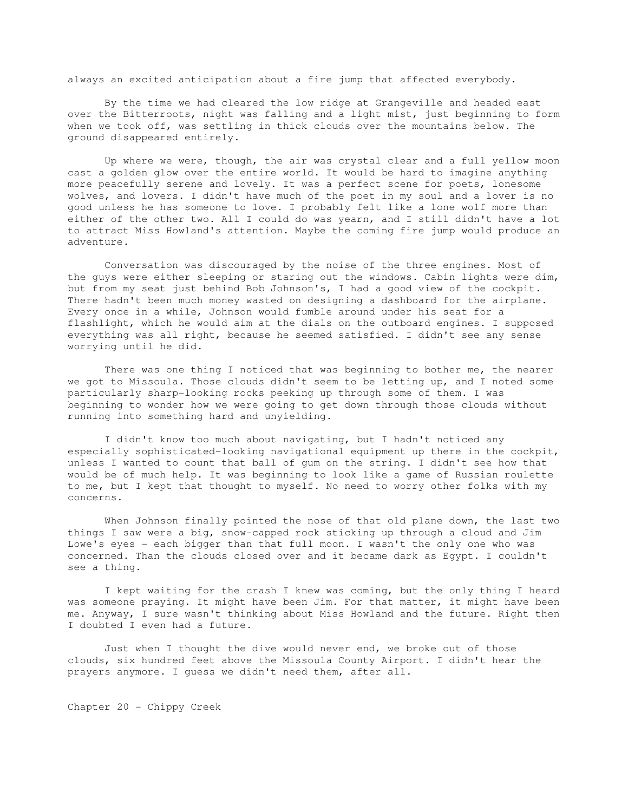always an excited anticipation about a fire jump that affected everybody.

 By the time we had cleared the low ridge at Grangeville and headed east over the Bitterroots, night was falling and a light mist, just beginning to form when we took off, was settling in thick clouds over the mountains below. The ground disappeared entirely.

 Up where we were, though, the air was crystal clear and a full yellow moon cast a golden glow over the entire world. It would be hard to imagine anything more peacefully serene and lovely. It was a perfect scene for poets, lonesome wolves, and lovers. I didn't have much of the poet in my soul and a lover is no good unless he has someone to love. I probably felt like a lone wolf more than either of the other two. All I could do was yearn, and I still didn't have a lot to attract Miss Howland's attention. Maybe the coming fire jump would produce an adventure.

 Conversation was discouraged by the noise of the three engines. Most of the guys were either sleeping or staring out the windows. Cabin lights were dim, but from my seat just behind Bob Johnson's, I had a good view of the cockpit. There hadn't been much money wasted on designing a dashboard for the airplane. Every once in a while, Johnson would fumble around under his seat for a flashlight, which he would aim at the dials on the outboard engines. I supposed everything was all right, because he seemed satisfied. I didn't see any sense worrying until he did.

 There was one thing I noticed that was beginning to bother me, the nearer we got to Missoula. Those clouds didn't seem to be letting up, and I noted some particularly sharp-looking rocks peeking up through some of them. I was beginning to wonder how we were going to get down through those clouds without running into something hard and unyielding.

 I didn't know too much about navigating, but I hadn't noticed any especially sophisticated-looking navigational equipment up there in the cockpit, unless I wanted to count that ball of gum on the string. I didn't see how that would be of much help. It was beginning to look like a game of Russian roulette to me, but I kept that thought to myself. No need to worry other folks with my concerns.

 When Johnson finally pointed the nose of that old plane down, the last two things I saw were a big, snow-capped rock sticking up through a cloud and Jim Lowe's eyes - each bigger than that full moon. I wasn't the only one who was concerned. Than the clouds closed over and it became dark as Egypt. I couldn't see a thing.

 I kept waiting for the crash I knew was coming, but the only thing I heard was someone praying. It might have been Jim. For that matter, it might have been me. Anyway, I sure wasn't thinking about Miss Howland and the future. Right then I doubted I even had a future.

 Just when I thought the dive would never end, we broke out of those clouds, six hundred feet above the Missoula County Airport. I didn't hear the prayers anymore. I guess we didn't need them, after all.

Chapter 20 - Chippy Creek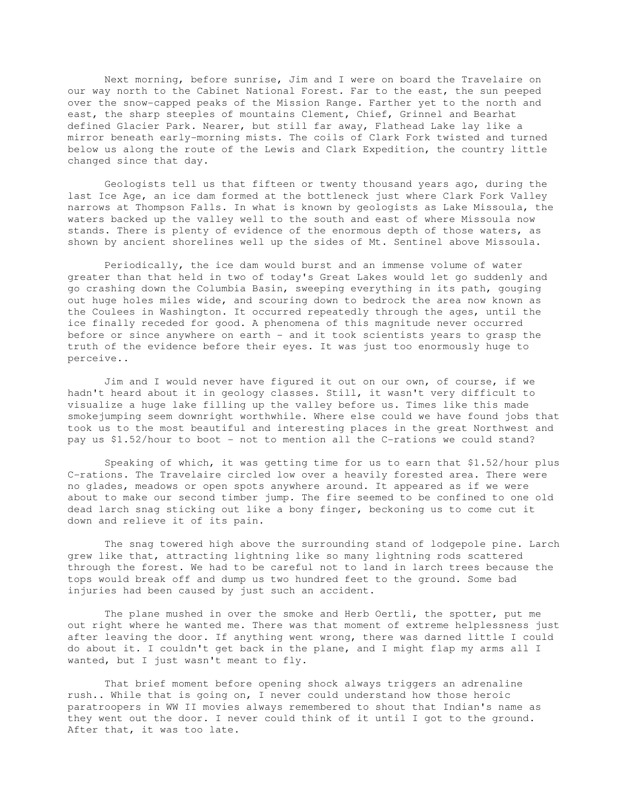Next morning, before sunrise, Jim and I were on board the Travelaire on our way north to the Cabinet National Forest. Far to the east, the sun peeped over the snow-capped peaks of the Mission Range. Farther yet to the north and east, the sharp steeples of mountains Clement, Chief, Grinnel and Bearhat defined Glacier Park. Nearer, but still far away, Flathead Lake lay like a mirror beneath early-morning mists. The coils of Clark Fork twisted and turned below us along the route of the Lewis and Clark Expedition, the country little changed since that day.

 Geologists tell us that fifteen or twenty thousand years ago, during the last Ice Age, an ice dam formed at the bottleneck just where Clark Fork Valley narrows at Thompson Falls. In what is known by geologists as Lake Missoula, the waters backed up the valley well to the south and east of where Missoula now stands. There is plenty of evidence of the enormous depth of those waters, as shown by ancient shorelines well up the sides of Mt. Sentinel above Missoula.

 Periodically, the ice dam would burst and an immense volume of water greater than that held in two of today's Great Lakes would let go suddenly and go crashing down the Columbia Basin, sweeping everything in its path, gouging out huge holes miles wide, and scouring down to bedrock the area now known as the Coulees in Washington. It occurred repeatedly through the ages, until the ice finally receded for good. A phenomena of this magnitude never occurred before or since anywhere on earth - and it took scientists years to grasp the truth of the evidence before their eyes. It was just too enormously huge to perceive..

 Jim and I would never have figured it out on our own, of course, if we hadn't heard about it in geology classes. Still, it wasn't very difficult to visualize a huge lake filling up the valley before us. Times like this made smokejumping seem downright worthwhile. Where else could we have found jobs that took us to the most beautiful and interesting places in the great Northwest and pay us \$1.52/hour to boot - not to mention all the C-rations we could stand?

 Speaking of which, it was getting time for us to earn that \$1.52/hour plus C-rations. The Travelaire circled low over a heavily forested area. There were no glades, meadows or open spots anywhere around. It appeared as if we were about to make our second timber jump. The fire seemed to be confined to one old dead larch snag sticking out like a bony finger, beckoning us to come cut it down and relieve it of its pain.

 The snag towered high above the surrounding stand of lodgepole pine. Larch grew like that, attracting lightning like so many lightning rods scattered through the forest. We had to be careful not to land in larch trees because the tops would break off and dump us two hundred feet to the ground. Some bad injuries had been caused by just such an accident.

 The plane mushed in over the smoke and Herb Oertli, the spotter, put me out right where he wanted me. There was that moment of extreme helplessness just after leaving the door. If anything went wrong, there was darned little I could do about it. I couldn't get back in the plane, and I might flap my arms all I wanted, but I just wasn't meant to fly.

 That brief moment before opening shock always triggers an adrenaline rush.. While that is going on, I never could understand how those heroic paratroopers in WW II movies always remembered to shout that Indian's name as they went out the door. I never could think of it until I got to the ground. After that, it was too late.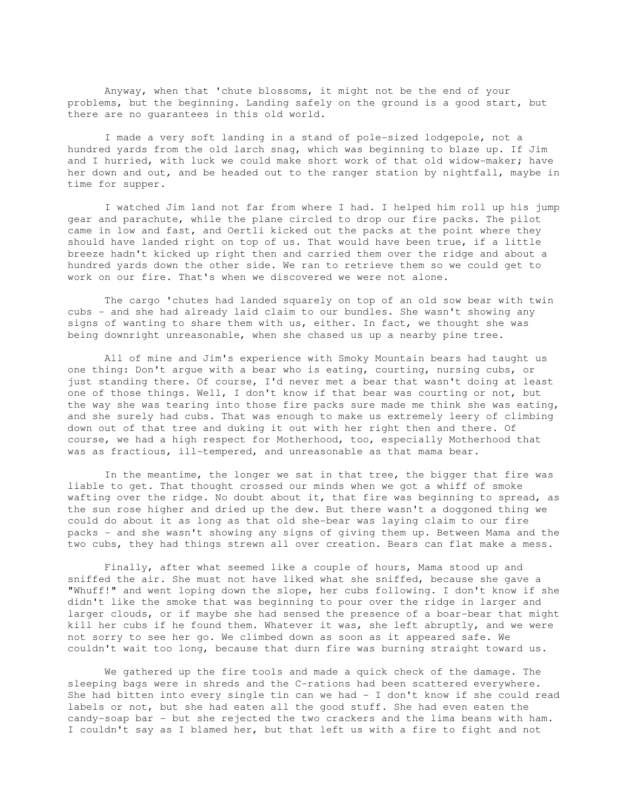Anyway, when that 'chute blossoms, it might not be the end of your problems, but the beginning. Landing safely on the ground is a good start, but there are no guarantees in this old world.

 I made a very soft landing in a stand of pole-sized lodgepole, not a hundred yards from the old larch snag, which was beginning to blaze up. If Jim and I hurried, with luck we could make short work of that old widow-maker; have her down and out, and be headed out to the ranger station by nightfall, maybe in time for supper.

 I watched Jim land not far from where I had. I helped him roll up his jump gear and parachute, while the plane circled to drop our fire packs. The pilot came in low and fast, and Oertli kicked out the packs at the point where they should have landed right on top of us. That would have been true, if a little breeze hadn't kicked up right then and carried them over the ridge and about a hundred yards down the other side. We ran to retrieve them so we could get to work on our fire. That's when we discovered we were not alone.

 The cargo 'chutes had landed squarely on top of an old sow bear with twin cubs - and she had already laid claim to our bundles. She wasn't showing any signs of wanting to share them with us, either. In fact, we thought she was being downright unreasonable, when she chased us up a nearby pine tree.

 All of mine and Jim's experience with Smoky Mountain bears had taught us one thing: Don't argue with a bear who is eating, courting, nursing cubs, or just standing there. Of course, I'd never met a bear that wasn't doing at least one of those things. Well, I don't know if that bear was courting or not, but the way she was tearing into those fire packs sure made me think she was eating, and she surely had cubs. That was enough to make us extremely leery of climbing down out of that tree and duking it out with her right then and there. Of course, we had a high respect for Motherhood, too, especially Motherhood that was as fractious, ill-tempered, and unreasonable as that mama bear.

 In the meantime, the longer we sat in that tree, the bigger that fire was liable to get. That thought crossed our minds when we got a whiff of smoke wafting over the ridge. No doubt about it, that fire was beginning to spread, as the sun rose higher and dried up the dew. But there wasn't a doggoned thing we could do about it as long as that old she-bear was laying claim to our fire packs - and she wasn't showing any signs of giving them up. Between Mama and the two cubs, they had things strewn all over creation. Bears can flat make a mess.

 Finally, after what seemed like a couple of hours, Mama stood up and sniffed the air. She must not have liked what she sniffed, because she gave a "Whuff!" and went loping down the slope, her cubs following. I don't know if she didn't like the smoke that was beginning to pour over the ridge in larger and larger clouds, or if maybe she had sensed the presence of a boar-bear that might kill her cubs if he found them. Whatever it was, she left abruptly, and we were not sorry to see her go. We climbed down as soon as it appeared safe. We couldn't wait too long, because that durn fire was burning straight toward us.

 We gathered up the fire tools and made a quick check of the damage. The sleeping bags were in shreds and the C-rations had been scattered everywhere. She had bitten into every single tin can we had - I don't know if she could read labels or not, but she had eaten all the good stuff. She had even eaten the candy-soap bar - but she rejected the two crackers and the lima beans with ham. I couldn't say as I blamed her, but that left us with a fire to fight and not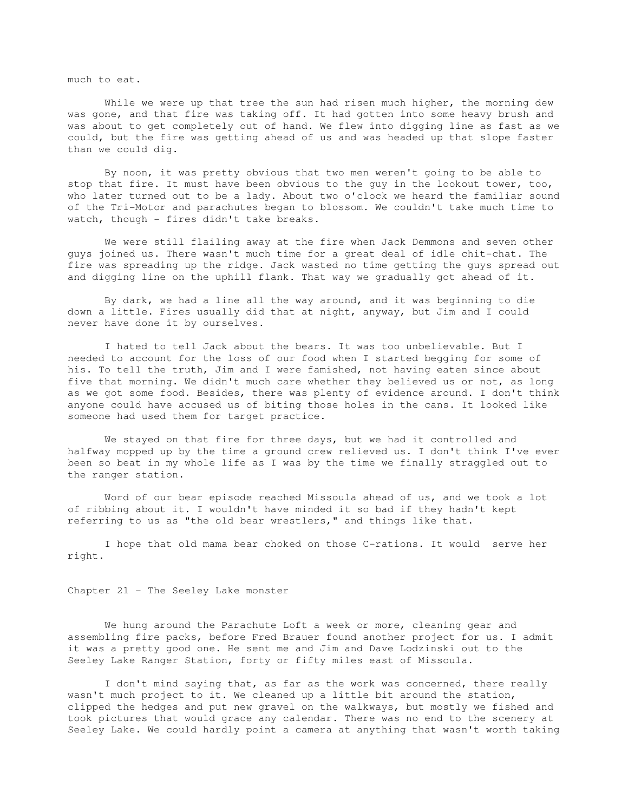much to eat.

While we were up that tree the sun had risen much higher, the morning dew was gone, and that fire was taking off. It had gotten into some heavy brush and was about to get completely out of hand. We flew into digging line as fast as we could, but the fire was getting ahead of us and was headed up that slope faster than we could dig.

 By noon, it was pretty obvious that two men weren't going to be able to stop that fire. It must have been obvious to the guy in the lookout tower, too, who later turned out to be a lady. About two o'clock we heard the familiar sound of the Tri-Motor and parachutes began to blossom. We couldn't take much time to watch, though - fires didn't take breaks.

 We were still flailing away at the fire when Jack Demmons and seven other guys joined us. There wasn't much time for a great deal of idle chit-chat. The fire was spreading up the ridge. Jack wasted no time getting the guys spread out and digging line on the uphill flank. That way we gradually got ahead of it.

 By dark, we had a line all the way around, and it was beginning to die down a little. Fires usually did that at night, anyway, but Jim and I could never have done it by ourselves.

 I hated to tell Jack about the bears. It was too unbelievable. But I needed to account for the loss of our food when I started begging for some of his. To tell the truth, Jim and I were famished, not having eaten since about five that morning. We didn't much care whether they believed us or not, as long as we got some food. Besides, there was plenty of evidence around. I don't think anyone could have accused us of biting those holes in the cans. It looked like someone had used them for target practice.

 We stayed on that fire for three days, but we had it controlled and halfway mopped up by the time a ground crew relieved us. I don't think I've ever been so beat in my whole life as I was by the time we finally straggled out to the ranger station.

Word of our bear episode reached Missoula ahead of us, and we took a lot of ribbing about it. I wouldn't have minded it so bad if they hadn't kept referring to us as "the old bear wrestlers," and things like that.

 I hope that old mama bear choked on those C-rations. It would serve her right.

Chapter 21 - The Seeley Lake monster

 We hung around the Parachute Loft a week or more, cleaning gear and assembling fire packs, before Fred Brauer found another project for us. I admit it was a pretty good one. He sent me and Jim and Dave Lodzinski out to the Seeley Lake Ranger Station, forty or fifty miles east of Missoula.

 I don't mind saying that, as far as the work was concerned, there really wasn't much project to it. We cleaned up a little bit around the station, clipped the hedges and put new gravel on the walkways, but mostly we fished and took pictures that would grace any calendar. There was no end to the scenery at Seeley Lake. We could hardly point a camera at anything that wasn't worth taking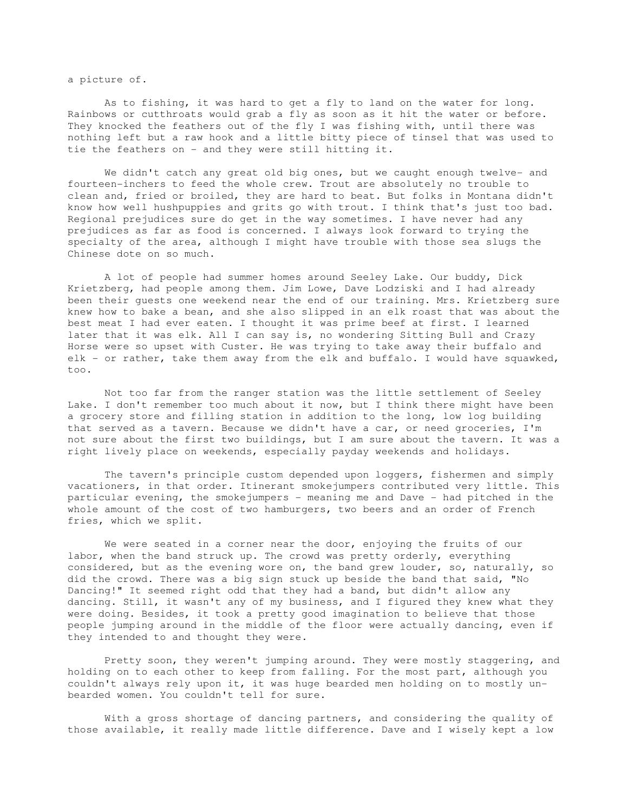a picture of.

 As to fishing, it was hard to get a fly to land on the water for long. Rainbows or cutthroats would grab a fly as soon as it hit the water or before. They knocked the feathers out of the fly I was fishing with, until there was nothing left but a raw hook and a little bitty piece of tinsel that was used to tie the feathers on - and they were still hitting it.

 We didn't catch any great old big ones, but we caught enough twelve- and fourteen-inchers to feed the whole crew. Trout are absolutely no trouble to clean and, fried or broiled, they are hard to beat. But folks in Montana didn't know how well hushpuppies and grits go with trout. I think that's just too bad. Regional prejudices sure do get in the way sometimes. I have never had any prejudices as far as food is concerned. I always look forward to trying the specialty of the area, although I might have trouble with those sea slugs the Chinese dote on so much.

 A lot of people had summer homes around Seeley Lake. Our buddy, Dick Krietzberg, had people among them. Jim Lowe, Dave Lodziski and I had already been their guests one weekend near the end of our training. Mrs. Krietzberg sure knew how to bake a bean, and she also slipped in an elk roast that was about the best meat I had ever eaten. I thought it was prime beef at first. I learned later that it was elk. All I can say is, no wondering Sitting Bull and Crazy Horse were so upset with Custer. He was trying to take away their buffalo and elk - or rather, take them away from the elk and buffalo. I would have squawked, too.

 Not too far from the ranger station was the little settlement of Seeley Lake. I don't remember too much about it now, but I think there might have been a grocery store and filling station in addition to the long, low log building that served as a tavern. Because we didn't have a car, or need groceries, I'm not sure about the first two buildings, but I am sure about the tavern. It was a right lively place on weekends, especially payday weekends and holidays.

 The tavern's principle custom depended upon loggers, fishermen and simply vacationers, in that order. Itinerant smokejumpers contributed very little. This particular evening, the smokejumpers - meaning me and Dave - had pitched in the whole amount of the cost of two hamburgers, two beers and an order of French fries, which we split.

 We were seated in a corner near the door, enjoying the fruits of our labor, when the band struck up. The crowd was pretty orderly, everything considered, but as the evening wore on, the band grew louder, so, naturally, so did the crowd. There was a big sign stuck up beside the band that said, "No Dancing!" It seemed right odd that they had a band, but didn't allow any dancing. Still, it wasn't any of my business, and I figured they knew what they were doing. Besides, it took a pretty good imagination to believe that those people jumping around in the middle of the floor were actually dancing, even if they intended to and thought they were.

 Pretty soon, they weren't jumping around. They were mostly staggering, and holding on to each other to keep from falling. For the most part, although you couldn't always rely upon it, it was huge bearded men holding on to mostly unbearded women. You couldn't tell for sure.

 With a gross shortage of dancing partners, and considering the quality of those available, it really made little difference. Dave and I wisely kept a low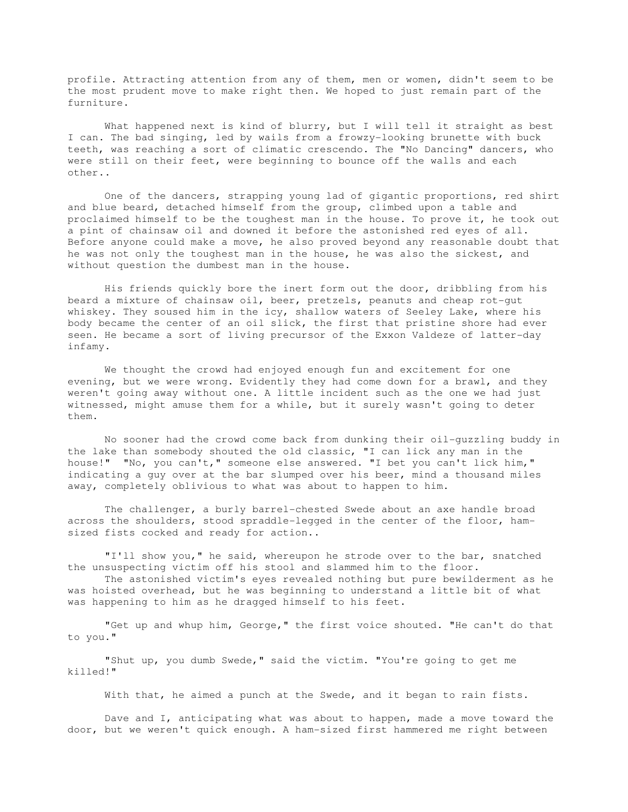profile. Attracting attention from any of them, men or women, didn't seem to be the most prudent move to make right then. We hoped to just remain part of the furniture.

 What happened next is kind of blurry, but I will tell it straight as best I can. The bad singing, led by wails from a frowzy-looking brunette with buck teeth, was reaching a sort of climatic crescendo. The "No Dancing" dancers, who were still on their feet, were beginning to bounce off the walls and each other..

 One of the dancers, strapping young lad of gigantic proportions, red shirt and blue beard, detached himself from the group, climbed upon a table and proclaimed himself to be the toughest man in the house. To prove it, he took out a pint of chainsaw oil and downed it before the astonished red eyes of all. Before anyone could make a move, he also proved beyond any reasonable doubt that he was not only the toughest man in the house, he was also the sickest, and without question the dumbest man in the house.

 His friends quickly bore the inert form out the door, dribbling from his beard a mixture of chainsaw oil, beer, pretzels, peanuts and cheap rot-gut whiskey. They soused him in the icy, shallow waters of Seeley Lake, where his body became the center of an oil slick, the first that pristine shore had ever seen. He became a sort of living precursor of the Exxon Valdeze of latter-day infamy.

 We thought the crowd had enjoyed enough fun and excitement for one evening, but we were wrong. Evidently they had come down for a brawl, and they weren't going away without one. A little incident such as the one we had just witnessed, might amuse them for a while, but it surely wasn't going to deter them.

 No sooner had the crowd come back from dunking their oil-guzzling buddy in the lake than somebody shouted the old classic, "I can lick any man in the house!" "No, you can't," someone else answered. "I bet you can't lick him," indicating a guy over at the bar slumped over his beer, mind a thousand miles away, completely oblivious to what was about to happen to him.

 The challenger, a burly barrel-chested Swede about an axe handle broad across the shoulders, stood spraddle-legged in the center of the floor, hamsized fists cocked and ready for action..

 "I'll show you," he said, whereupon he strode over to the bar, snatched the unsuspecting victim off his stool and slammed him to the floor.

 The astonished victim's eyes revealed nothing but pure bewilderment as he was hoisted overhead, but he was beginning to understand a little bit of what was happening to him as he dragged himself to his feet.

 "Get up and whup him, George," the first voice shouted. "He can't do that to you."

 "Shut up, you dumb Swede," said the victim. "You're going to get me killed!"

With that, he aimed a punch at the Swede, and it began to rain fists.

 Dave and I, anticipating what was about to happen, made a move toward the door, but we weren't quick enough. A ham-sized first hammered me right between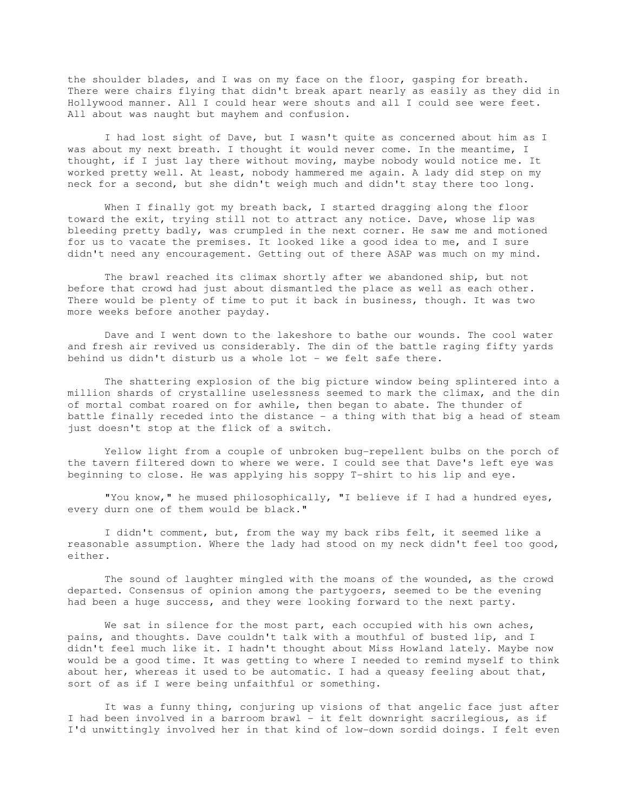the shoulder blades, and I was on my face on the floor, gasping for breath. There were chairs flying that didn't break apart nearly as easily as they did in Hollywood manner. All I could hear were shouts and all I could see were feet. All about was naught but mayhem and confusion.

 I had lost sight of Dave, but I wasn't quite as concerned about him as I was about my next breath. I thought it would never come. In the meantime, I thought, if I just lay there without moving, maybe nobody would notice me. It worked pretty well. At least, nobody hammered me again. A lady did step on my neck for a second, but she didn't weigh much and didn't stay there too long.

When I finally got my breath back, I started dragging along the floor toward the exit, trying still not to attract any notice. Dave, whose lip was bleeding pretty badly, was crumpled in the next corner. He saw me and motioned for us to vacate the premises. It looked like a good idea to me, and I sure didn't need any encouragement. Getting out of there ASAP was much on my mind.

 The brawl reached its climax shortly after we abandoned ship, but not before that crowd had just about dismantled the place as well as each other. There would be plenty of time to put it back in business, though. It was two more weeks before another payday.

 Dave and I went down to the lakeshore to bathe our wounds. The cool water and fresh air revived us considerably. The din of the battle raging fifty yards behind us didn't disturb us a whole lot - we felt safe there.

 The shattering explosion of the big picture window being splintered into a million shards of crystalline uselessness seemed to mark the climax, and the din of mortal combat roared on for awhile, then began to abate. The thunder of battle finally receded into the distance - a thing with that big a head of steam just doesn't stop at the flick of a switch.

 Yellow light from a couple of unbroken bug-repellent bulbs on the porch of the tavern filtered down to where we were. I could see that Dave's left eye was beginning to close. He was applying his soppy T-shirt to his lip and eye.

 "You know," he mused philosophically, "I believe if I had a hundred eyes, every durn one of them would be black."

 I didn't comment, but, from the way my back ribs felt, it seemed like a reasonable assumption. Where the lady had stood on my neck didn't feel too good, either.

 The sound of laughter mingled with the moans of the wounded, as the crowd departed. Consensus of opinion among the partygoers, seemed to be the evening had been a huge success, and they were looking forward to the next party.

We sat in silence for the most part, each occupied with his own aches, pains, and thoughts. Dave couldn't talk with a mouthful of busted lip, and I didn't feel much like it. I hadn't thought about Miss Howland lately. Maybe now would be a good time. It was getting to where I needed to remind myself to think about her, whereas it used to be automatic. I had a queasy feeling about that, sort of as if I were being unfaithful or something.

 It was a funny thing, conjuring up visions of that angelic face just after I had been involved in a barroom brawl - it felt downright sacrilegious, as if I'd unwittingly involved her in that kind of low-down sordid doings. I felt even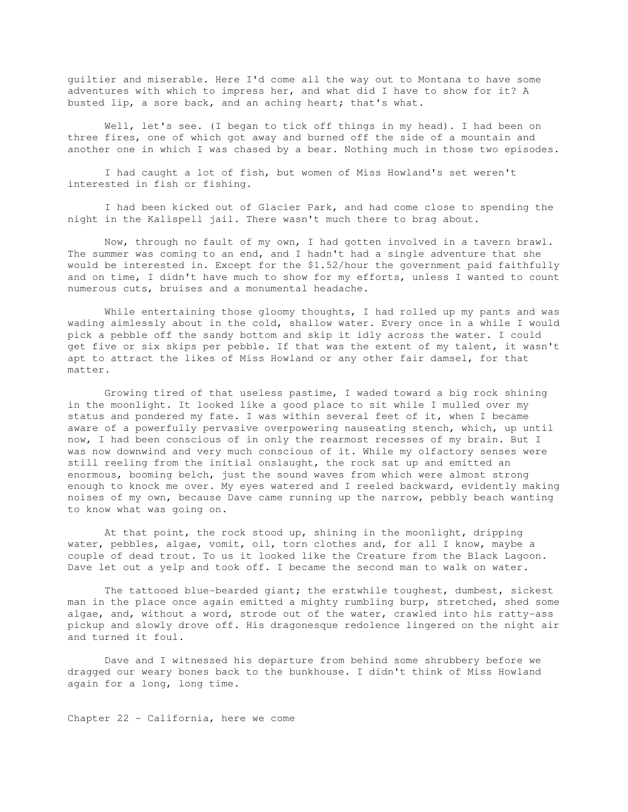guiltier and miserable. Here I'd come all the way out to Montana to have some adventures with which to impress her, and what did I have to show for it? A busted lip, a sore back, and an aching heart; that's what.

Well, let's see. (I began to tick off things in my head). I had been on three fires, one of which got away and burned off the side of a mountain and another one in which I was chased by a bear. Nothing much in those two episodes.

 I had caught a lot of fish, but women of Miss Howland's set weren't interested in fish or fishing.

 I had been kicked out of Glacier Park, and had come close to spending the night in the Kalispell jail. There wasn't much there to brag about.

 Now, through no fault of my own, I had gotten involved in a tavern brawl. The summer was coming to an end, and I hadn't had a single adventure that she would be interested in. Except for the \$1.52/hour the government paid faithfully and on time, I didn't have much to show for my efforts, unless I wanted to count numerous cuts, bruises and a monumental headache.

While entertaining those gloomy thoughts, I had rolled up my pants and was wading aimlessly about in the cold, shallow water. Every once in a while I would pick a pebble off the sandy bottom and skip it idly across the water. I could get five or six skips per pebble. If that was the extent of my talent, it wasn't apt to attract the likes of Miss Howland or any other fair damsel, for that matter.

 Growing tired of that useless pastime, I waded toward a big rock shining in the moonlight. It looked like a good place to sit while I mulled over my status and pondered my fate. I was within several feet of it, when I became aware of a powerfully pervasive overpowering nauseating stench, which, up until now, I had been conscious of in only the rearmost recesses of my brain. But I was now downwind and very much conscious of it. While my olfactory senses were still reeling from the initial onslaught, the rock sat up and emitted an enormous, booming belch, just the sound waves from which were almost strong enough to knock me over. My eyes watered and I reeled backward, evidently making noises of my own, because Dave came running up the narrow, pebbly beach wanting to know what was going on.

 At that point, the rock stood up, shining in the moonlight, dripping water, pebbles, algae, vomit, oil, torn clothes and, for all I know, maybe a couple of dead trout. To us it looked like the Creature from the Black Lagoon. Dave let out a yelp and took off. I became the second man to walk on water.

 The tattooed blue-bearded giant; the erstwhile toughest, dumbest, sickest man in the place once again emitted a mighty rumbling burp, stretched, shed some algae, and, without a word, strode out of the water, crawled into his ratty-ass pickup and slowly drove off. His dragonesque redolence lingered on the night air and turned it foul.

 Dave and I witnessed his departure from behind some shrubbery before we dragged our weary bones back to the bunkhouse. I didn't think of Miss Howland again for a long, long time.

Chapter 22 - California, here we come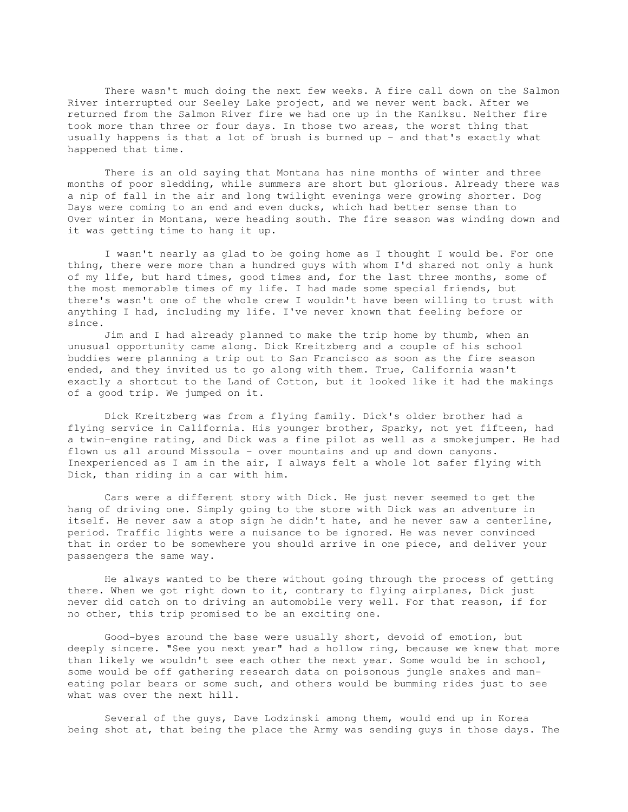There wasn't much doing the next few weeks. A fire call down on the Salmon River interrupted our Seeley Lake project, and we never went back. After we returned from the Salmon River fire we had one up in the Kaniksu. Neither fire took more than three or four days. In those two areas, the worst thing that usually happens is that a lot of brush is burned up - and that's exactly what happened that time.

 There is an old saying that Montana has nine months of winter and three months of poor sledding, while summers are short but glorious. Already there was a nip of fall in the air and long twilight evenings were growing shorter. Dog Days were coming to an end and even ducks, which had better sense than to Over winter in Montana, were heading south. The fire season was winding down and it was getting time to hang it up.

 I wasn't nearly as glad to be going home as I thought I would be. For one thing, there were more than a hundred guys with whom I'd shared not only a hunk of my life, but hard times, good times and, for the last three months, some of the most memorable times of my life. I had made some special friends, but there's wasn't one of the whole crew I wouldn't have been willing to trust with anything I had, including my life. I've never known that feeling before or since.

 Jim and I had already planned to make the trip home by thumb, when an unusual opportunity came along. Dick Kreitzberg and a couple of his school buddies were planning a trip out to San Francisco as soon as the fire season ended, and they invited us to go along with them. True, California wasn't exactly a shortcut to the Land of Cotton, but it looked like it had the makings of a good trip. We jumped on it.

 Dick Kreitzberg was from a flying family. Dick's older brother had a flying service in California. His younger brother, Sparky, not yet fifteen, had a twin-engine rating, and Dick was a fine pilot as well as a smokejumper. He had flown us all around Missoula - over mountains and up and down canyons. Inexperienced as I am in the air, I always felt a whole lot safer flying with Dick, than riding in a car with him.

 Cars were a different story with Dick. He just never seemed to get the hang of driving one. Simply going to the store with Dick was an adventure in itself. He never saw a stop sign he didn't hate, and he never saw a centerline, period. Traffic lights were a nuisance to be ignored. He was never convinced that in order to be somewhere you should arrive in one piece, and deliver your passengers the same way.

 He always wanted to be there without going through the process of getting there. When we got right down to it, contrary to flying airplanes, Dick just never did catch on to driving an automobile very well. For that reason, if for no other, this trip promised to be an exciting one.

 Good-byes around the base were usually short, devoid of emotion, but deeply sincere. "See you next year" had a hollow ring, because we knew that more than likely we wouldn't see each other the next year. Some would be in school, some would be off gathering research data on poisonous jungle snakes and maneating polar bears or some such, and others would be bumming rides just to see what was over the next hill.

 Several of the guys, Dave Lodzinski among them, would end up in Korea being shot at, that being the place the Army was sending guys in those days. The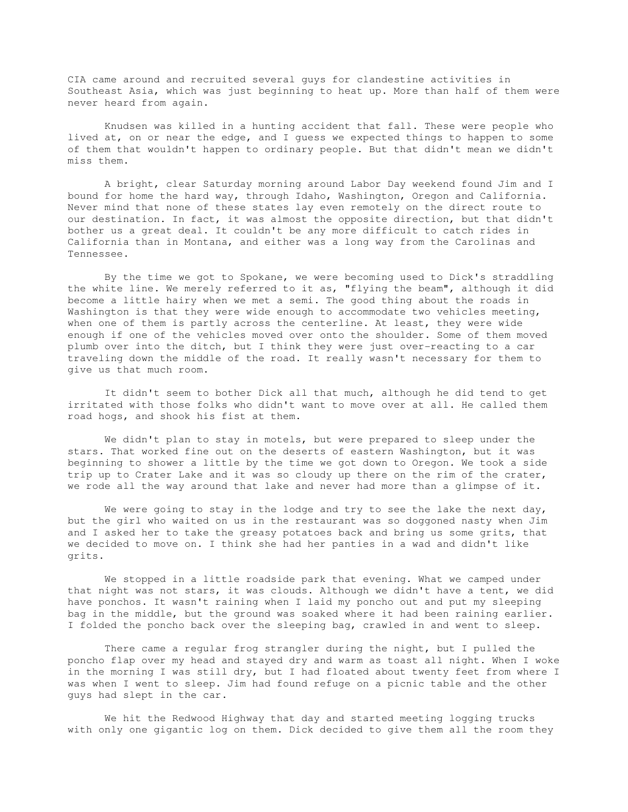CIA came around and recruited several guys for clandestine activities in Southeast Asia, which was just beginning to heat up. More than half of them were never heard from again.

 Knudsen was killed in a hunting accident that fall. These were people who lived at, on or near the edge, and I guess we expected things to happen to some of them that wouldn't happen to ordinary people. But that didn't mean we didn't miss them.

 A bright, clear Saturday morning around Labor Day weekend found Jim and I bound for home the hard way, through Idaho, Washington, Oregon and California. Never mind that none of these states lay even remotely on the direct route to our destination. In fact, it was almost the opposite direction, but that didn't bother us a great deal. It couldn't be any more difficult to catch rides in California than in Montana, and either was a long way from the Carolinas and Tennessee.

 By the time we got to Spokane, we were becoming used to Dick's straddling the white line. We merely referred to it as, "flying the beam", although it did become a little hairy when we met a semi. The good thing about the roads in Washington is that they were wide enough to accommodate two vehicles meeting, when one of them is partly across the centerline. At least, they were wide enough if one of the vehicles moved over onto the shoulder. Some of them moved plumb over into the ditch, but I think they were just over-reacting to a car traveling down the middle of the road. It really wasn't necessary for them to give us that much room.

 It didn't seem to bother Dick all that much, although he did tend to get irritated with those folks who didn't want to move over at all. He called them road hogs, and shook his fist at them.

 We didn't plan to stay in motels, but were prepared to sleep under the stars. That worked fine out on the deserts of eastern Washington, but it was beginning to shower a little by the time we got down to Oregon. We took a side trip up to Crater Lake and it was so cloudy up there on the rim of the crater, we rode all the way around that lake and never had more than a glimpse of it.

We were going to stay in the lodge and try to see the lake the next day, but the girl who waited on us in the restaurant was so doggoned nasty when Jim and I asked her to take the greasy potatoes back and bring us some grits, that we decided to move on. I think she had her panties in a wad and didn't like grits.

 We stopped in a little roadside park that evening. What we camped under that night was not stars, it was clouds. Although we didn't have a tent, we did have ponchos. It wasn't raining when I laid my poncho out and put my sleeping bag in the middle, but the ground was soaked where it had been raining earlier. I folded the poncho back over the sleeping bag, crawled in and went to sleep.

 There came a regular frog strangler during the night, but I pulled the poncho flap over my head and stayed dry and warm as toast all night. When I woke in the morning I was still dry, but I had floated about twenty feet from where I was when I went to sleep. Jim had found refuge on a picnic table and the other guys had slept in the car.

 We hit the Redwood Highway that day and started meeting logging trucks with only one gigantic log on them. Dick decided to give them all the room they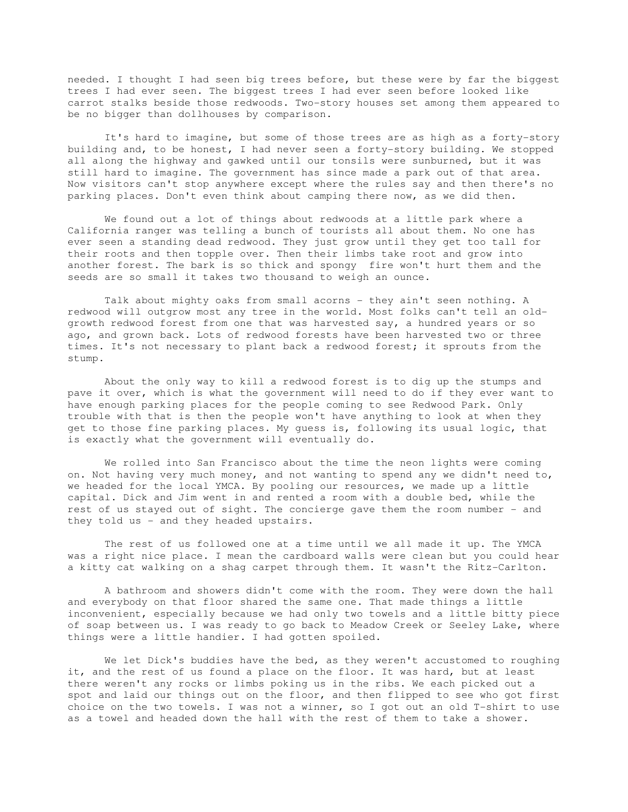needed. I thought I had seen big trees before, but these were by far the biggest trees I had ever seen. The biggest trees I had ever seen before looked like carrot stalks beside those redwoods. Two-story houses set among them appeared to be no bigger than dollhouses by comparison.

 It's hard to imagine, but some of those trees are as high as a forty-story building and, to be honest, I had never seen a forty-story building. We stopped all along the highway and gawked until our tonsils were sunburned, but it was still hard to imagine. The government has since made a park out of that area. Now visitors can't stop anywhere except where the rules say and then there's no parking places. Don't even think about camping there now, as we did then.

 We found out a lot of things about redwoods at a little park where a California ranger was telling a bunch of tourists all about them. No one has ever seen a standing dead redwood. They just grow until they get too tall for their roots and then topple over. Then their limbs take root and grow into another forest. The bark is so thick and spongy fire won't hurt them and the seeds are so small it takes two thousand to weigh an ounce.

 Talk about mighty oaks from small acorns - they ain't seen nothing. A redwood will outgrow most any tree in the world. Most folks can't tell an oldgrowth redwood forest from one that was harvested say, a hundred years or so ago, and grown back. Lots of redwood forests have been harvested two or three times. It's not necessary to plant back a redwood forest; it sprouts from the stump.

 About the only way to kill a redwood forest is to dig up the stumps and pave it over, which is what the government will need to do if they ever want to have enough parking places for the people coming to see Redwood Park. Only trouble with that is then the people won't have anything to look at when they get to those fine parking places. My guess is, following its usual logic, that is exactly what the government will eventually do.

 We rolled into San Francisco about the time the neon lights were coming on. Not having very much money, and not wanting to spend any we didn't need to, we headed for the local YMCA. By pooling our resources, we made up a little capital. Dick and Jim went in and rented a room with a double bed, while the rest of us stayed out of sight. The concierge gave them the room number - and they told us - and they headed upstairs.

 The rest of us followed one at a time until we all made it up. The YMCA was a right nice place. I mean the cardboard walls were clean but you could hear a kitty cat walking on a shag carpet through them. It wasn't the Ritz-Carlton.

 A bathroom and showers didn't come with the room. They were down the hall and everybody on that floor shared the same one. That made things a little inconvenient, especially because we had only two towels and a little bitty piece of soap between us. I was ready to go back to Meadow Creek or Seeley Lake, where things were a little handier. I had gotten spoiled.

We let Dick's buddies have the bed, as they weren't accustomed to roughing it, and the rest of us found a place on the floor. It was hard, but at least there weren't any rocks or limbs poking us in the ribs. We each picked out a spot and laid our things out on the floor, and then flipped to see who got first choice on the two towels. I was not a winner, so I got out an old T-shirt to use as a towel and headed down the hall with the rest of them to take a shower.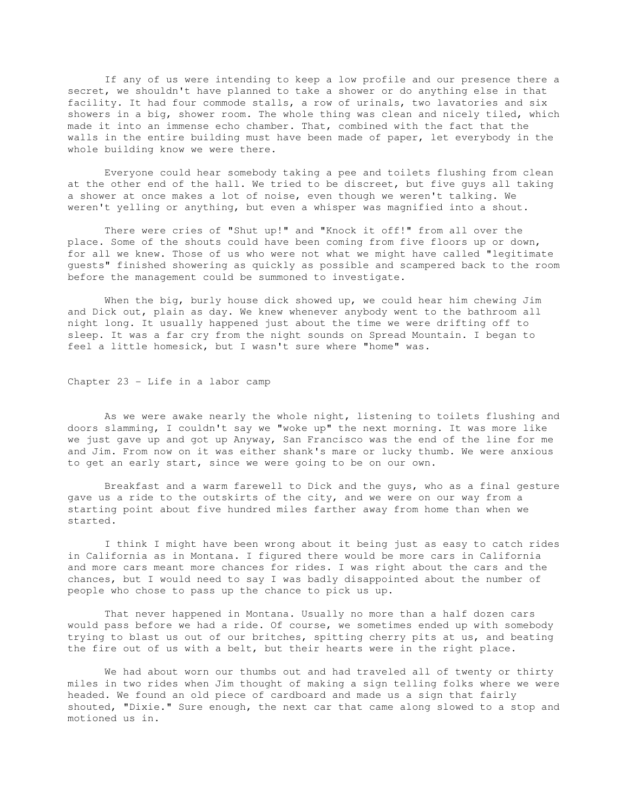If any of us were intending to keep a low profile and our presence there a secret, we shouldn't have planned to take a shower or do anything else in that facility. It had four commode stalls, a row of urinals, two lavatories and six showers in a big, shower room. The whole thing was clean and nicely tiled, which made it into an immense echo chamber. That, combined with the fact that the walls in the entire building must have been made of paper, let everybody in the whole building know we were there.

 Everyone could hear somebody taking a pee and toilets flushing from clean at the other end of the hall. We tried to be discreet, but five guys all taking a shower at once makes a lot of noise, even though we weren't talking. We weren't yelling or anything, but even a whisper was magnified into a shout.

 There were cries of "Shut up!" and "Knock it off!" from all over the place. Some of the shouts could have been coming from five floors up or down, for all we knew. Those of us who were not what we might have called "legitimate guests" finished showering as quickly as possible and scampered back to the room before the management could be summoned to investigate.

 When the big, burly house dick showed up, we could hear him chewing Jim and Dick out, plain as day. We knew whenever anybody went to the bathroom all night long. It usually happened just about the time we were drifting off to sleep. It was a far cry from the night sounds on Spread Mountain. I began to feel a little homesick, but I wasn't sure where "home" was.

Chapter 23 - Life in a labor camp

 As we were awake nearly the whole night, listening to toilets flushing and doors slamming, I couldn't say we "woke up" the next morning. It was more like we just gave up and got up Anyway, San Francisco was the end of the line for me and Jim. From now on it was either shank's mare or lucky thumb. We were anxious to get an early start, since we were going to be on our own.

 Breakfast and a warm farewell to Dick and the guys, who as a final gesture gave us a ride to the outskirts of the city, and we were on our way from a starting point about five hundred miles farther away from home than when we started.

 I think I might have been wrong about it being just as easy to catch rides in California as in Montana. I figured there would be more cars in California and more cars meant more chances for rides. I was right about the cars and the chances, but I would need to say I was badly disappointed about the number of people who chose to pass up the chance to pick us up.

 That never happened in Montana. Usually no more than a half dozen cars would pass before we had a ride. Of course, we sometimes ended up with somebody trying to blast us out of our britches, spitting cherry pits at us, and beating the fire out of us with a belt, but their hearts were in the right place.

 We had about worn our thumbs out and had traveled all of twenty or thirty miles in two rides when Jim thought of making a sign telling folks where we were headed. We found an old piece of cardboard and made us a sign that fairly shouted, "Dixie." Sure enough, the next car that came along slowed to a stop and motioned us in.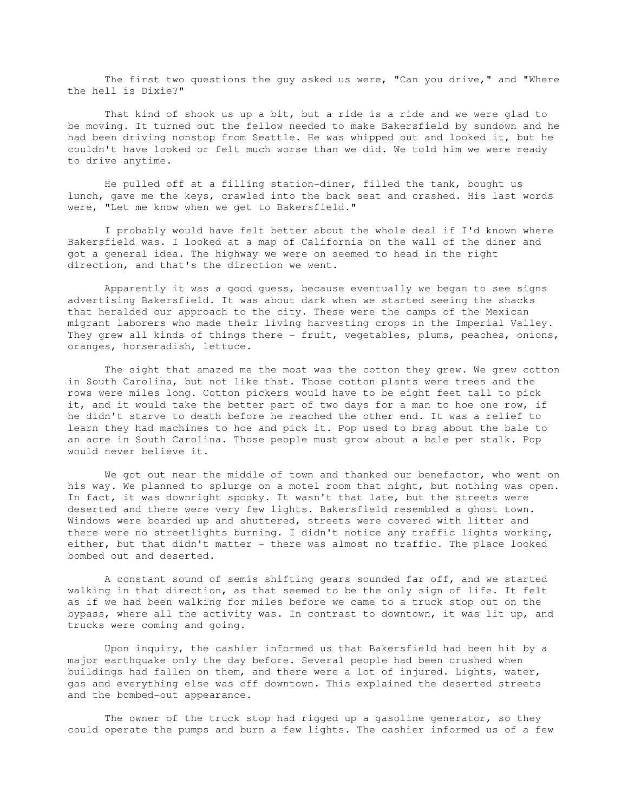The first two questions the guy asked us were, "Can you drive," and "Where the hell is Dixie?"

 That kind of shook us up a bit, but a ride is a ride and we were glad to be moving. It turned out the fellow needed to make Bakersfield by sundown and he had been driving nonstop from Seattle. He was whipped out and looked it, but he couldn't have looked or felt much worse than we did. We told him we were ready to drive anytime.

 He pulled off at a filling station-diner, filled the tank, bought us lunch, gave me the keys, crawled into the back seat and crashed. His last words were, "Let me know when we get to Bakersfield."

 I probably would have felt better about the whole deal if I'd known where Bakersfield was. I looked at a map of California on the wall of the diner and got a general idea. The highway we were on seemed to head in the right direction, and that's the direction we went.

 Apparently it was a good guess, because eventually we began to see signs advertising Bakersfield. It was about dark when we started seeing the shacks that heralded our approach to the city. These were the camps of the Mexican migrant laborers who made their living harvesting crops in the Imperial Valley. They grew all kinds of things there - fruit, vegetables, plums, peaches, onions, oranges, horseradish, lettuce.

 The sight that amazed me the most was the cotton they grew. We grew cotton in South Carolina, but not like that. Those cotton plants were trees and the rows were miles long. Cotton pickers would have to be eight feet tall to pick it, and it would take the better part of two days for a man to hoe one row, if he didn't starve to death before he reached the other end. It was a relief to learn they had machines to hoe and pick it. Pop used to brag about the bale to an acre in South Carolina. Those people must grow about a bale per stalk. Pop would never believe it.

We got out near the middle of town and thanked our benefactor, who went on his way. We planned to splurge on a motel room that night, but nothing was open. In fact, it was downright spooky. It wasn't that late, but the streets were deserted and there were very few lights. Bakersfield resembled a ghost town. Windows were boarded up and shuttered, streets were covered with litter and there were no streetlights burning. I didn't notice any traffic lights working, either, but that didn't matter - there was almost no traffic. The place looked bombed out and deserted.

 A constant sound of semis shifting gears sounded far off, and we started walking in that direction, as that seemed to be the only sign of life. It felt as if we had been walking for miles before we came to a truck stop out on the bypass, where all the activity was. In contrast to downtown, it was lit up, and trucks were coming and going.

 Upon inquiry, the cashier informed us that Bakersfield had been hit by a major earthquake only the day before. Several people had been crushed when buildings had fallen on them, and there were a lot of injured. Lights, water, gas and everything else was off downtown. This explained the deserted streets and the bombed-out appearance.

 The owner of the truck stop had rigged up a gasoline generator, so they could operate the pumps and burn a few lights. The cashier informed us of a few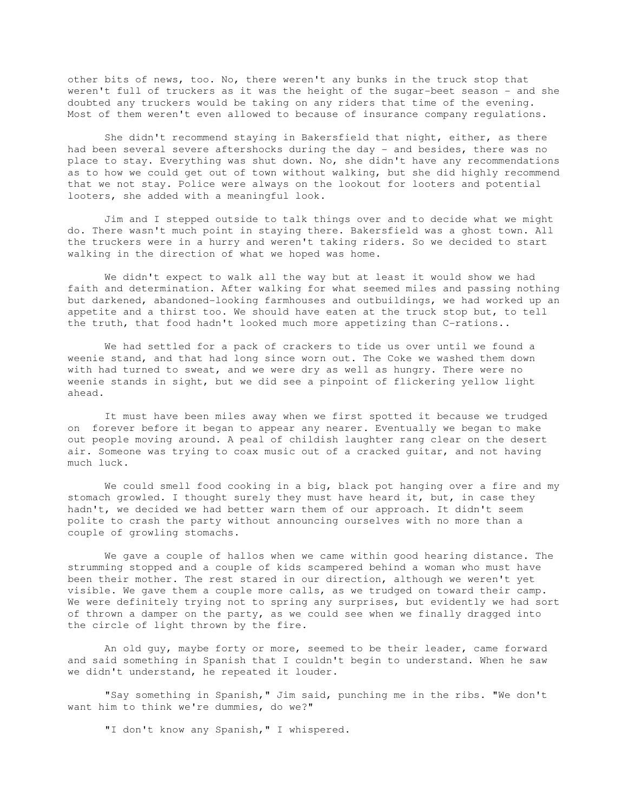other bits of news, too. No, there weren't any bunks in the truck stop that weren't full of truckers as it was the height of the sugar-beet season - and she doubted any truckers would be taking on any riders that time of the evening. Most of them weren't even allowed to because of insurance company regulations.

 She didn't recommend staying in Bakersfield that night, either, as there had been several severe aftershocks during the day - and besides, there was no place to stay. Everything was shut down. No, she didn't have any recommendations as to how we could get out of town without walking, but she did highly recommend that we not stay. Police were always on the lookout for looters and potential looters, she added with a meaningful look.

 Jim and I stepped outside to talk things over and to decide what we might do. There wasn't much point in staying there. Bakersfield was a ghost town. All the truckers were in a hurry and weren't taking riders. So we decided to start walking in the direction of what we hoped was home.

 We didn't expect to walk all the way but at least it would show we had faith and determination. After walking for what seemed miles and passing nothing but darkened, abandoned-looking farmhouses and outbuildings, we had worked up an appetite and a thirst too. We should have eaten at the truck stop but, to tell the truth, that food hadn't looked much more appetizing than C-rations..

 We had settled for a pack of crackers to tide us over until we found a weenie stand, and that had long since worn out. The Coke we washed them down with had turned to sweat, and we were dry as well as hungry. There were no weenie stands in sight, but we did see a pinpoint of flickering yellow light ahead.

 It must have been miles away when we first spotted it because we trudged on forever before it began to appear any nearer. Eventually we began to make out people moving around. A peal of childish laughter rang clear on the desert air. Someone was trying to coax music out of a cracked guitar, and not having much luck.

 We could smell food cooking in a big, black pot hanging over a fire and my stomach growled. I thought surely they must have heard it, but, in case they hadn't, we decided we had better warn them of our approach. It didn't seem polite to crash the party without announcing ourselves with no more than a couple of growling stomachs.

 We gave a couple of hallos when we came within good hearing distance. The strumming stopped and a couple of kids scampered behind a woman who must have been their mother. The rest stared in our direction, although we weren't yet visible. We gave them a couple more calls, as we trudged on toward their camp. We were definitely trying not to spring any surprises, but evidently we had sort of thrown a damper on the party, as we could see when we finally dragged into the circle of light thrown by the fire.

 An old guy, maybe forty or more, seemed to be their leader, came forward and said something in Spanish that I couldn't begin to understand. When he saw we didn't understand, he repeated it louder.

 "Say something in Spanish," Jim said, punching me in the ribs. "We don't want him to think we're dummies, do we?"

"I don't know any Spanish," I whispered.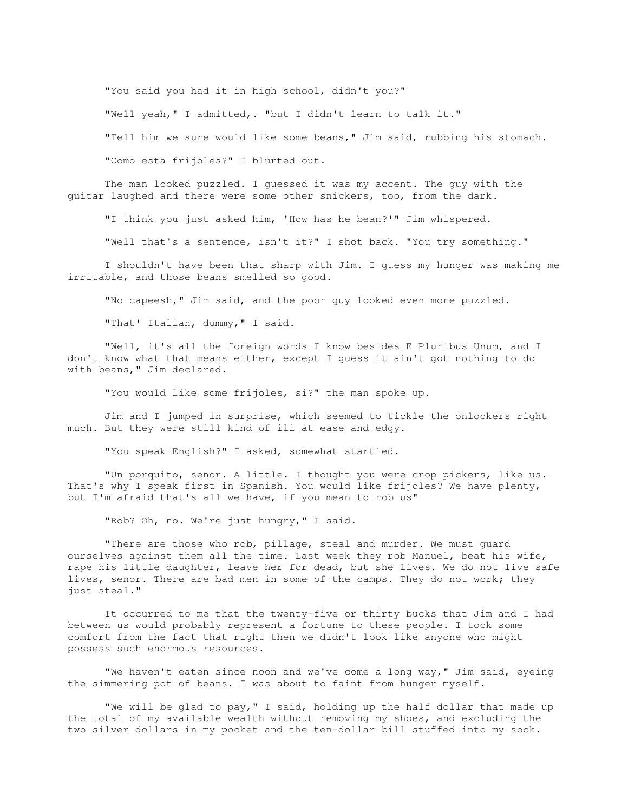"You said you had it in high school, didn't you?" "Well yeah," I admitted,. "but I didn't learn to talk it." "Tell him we sure would like some beans," Jim said, rubbing his stomach. "Como esta frijoles?" I blurted out.

 The man looked puzzled. I guessed it was my accent. The guy with the guitar laughed and there were some other snickers, too, from the dark.

"I think you just asked him, 'How has he bean?'" Jim whispered.

"Well that's a sentence, isn't it?" I shot back. "You try something."

 I shouldn't have been that sharp with Jim. I guess my hunger was making me irritable, and those beans smelled so good.

"No capeesh," Jim said, and the poor guy looked even more puzzled.

"That' Italian, dummy," I said.

 "Well, it's all the foreign words I know besides E Pluribus Unum, and I don't know what that means either, except I guess it ain't got nothing to do with beans," Jim declared.

"You would like some frijoles, si?" the man spoke up.

 Jim and I jumped in surprise, which seemed to tickle the onlookers right much. But they were still kind of ill at ease and edgy.

"You speak English?" I asked, somewhat startled.

 "Un porquito, senor. A little. I thought you were crop pickers, like us. That's why I speak first in Spanish. You would like frijoles? We have plenty, but I'm afraid that's all we have, if you mean to rob us"

"Rob? Oh, no. We're just hungry," I said.

 "There are those who rob, pillage, steal and murder. We must guard ourselves against them all the time. Last week they rob Manuel, beat his wife, rape his little daughter, leave her for dead, but she lives. We do not live safe lives, senor. There are bad men in some of the camps. They do not work; they just steal."

 It occurred to me that the twenty-five or thirty bucks that Jim and I had between us would probably represent a fortune to these people. I took some comfort from the fact that right then we didn't look like anyone who might possess such enormous resources.

 "We haven't eaten since noon and we've come a long way," Jim said, eyeing the simmering pot of beans. I was about to faint from hunger myself.

 "We will be glad to pay," I said, holding up the half dollar that made up the total of my available wealth without removing my shoes, and excluding the two silver dollars in my pocket and the ten-dollar bill stuffed into my sock.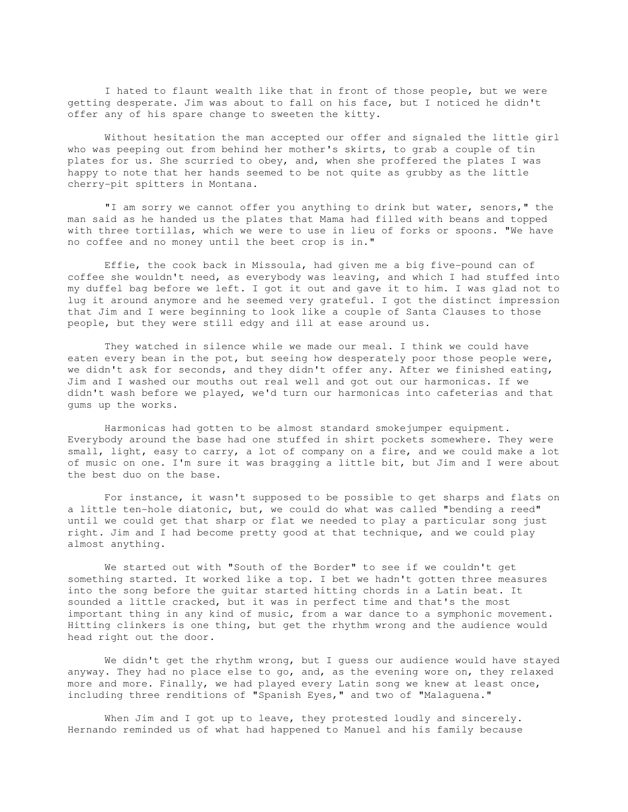I hated to flaunt wealth like that in front of those people, but we were getting desperate. Jim was about to fall on his face, but I noticed he didn't offer any of his spare change to sweeten the kitty.

 Without hesitation the man accepted our offer and signaled the little girl who was peeping out from behind her mother's skirts, to grab a couple of tin plates for us. She scurried to obey, and, when she proffered the plates I was happy to note that her hands seemed to be not quite as grubby as the little cherry-pit spitters in Montana.

 "I am sorry we cannot offer you anything to drink but water, senors," the man said as he handed us the plates that Mama had filled with beans and topped with three tortillas, which we were to use in lieu of forks or spoons. "We have no coffee and no money until the beet crop is in."

 Effie, the cook back in Missoula, had given me a big five-pound can of coffee she wouldn't need, as everybody was leaving, and which I had stuffed into my duffel bag before we left. I got it out and gave it to him. I was glad not to lug it around anymore and he seemed very grateful. I got the distinct impression that Jim and I were beginning to look like a couple of Santa Clauses to those people, but they were still edgy and ill at ease around us.

 They watched in silence while we made our meal. I think we could have eaten every bean in the pot, but seeing how desperately poor those people were, we didn't ask for seconds, and they didn't offer any. After we finished eating, Jim and I washed our mouths out real well and got out our harmonicas. If we didn't wash before we played, we'd turn our harmonicas into cafeterias and that gums up the works.

 Harmonicas had gotten to be almost standard smokejumper equipment. Everybody around the base had one stuffed in shirt pockets somewhere. They were small, light, easy to carry, a lot of company on a fire, and we could make a lot of music on one. I'm sure it was bragging a little bit, but Jim and I were about the best duo on the base.

 For instance, it wasn't supposed to be possible to get sharps and flats on a little ten-hole diatonic, but, we could do what was called "bending a reed" until we could get that sharp or flat we needed to play a particular song just right. Jim and I had become pretty good at that technique, and we could play almost anything.

 We started out with "South of the Border" to see if we couldn't get something started. It worked like a top. I bet we hadn't gotten three measures into the song before the guitar started hitting chords in a Latin beat. It sounded a little cracked, but it was in perfect time and that's the most important thing in any kind of music, from a war dance to a symphonic movement. Hitting clinkers is one thing, but get the rhythm wrong and the audience would head right out the door.

 We didn't get the rhythm wrong, but I guess our audience would have stayed anyway. They had no place else to go, and, as the evening wore on, they relaxed more and more. Finally, we had played every Latin song we knew at least once, including three renditions of "Spanish Eyes," and two of "Malaguena."

When Jim and I got up to leave, they protested loudly and sincerely. Hernando reminded us of what had happened to Manuel and his family because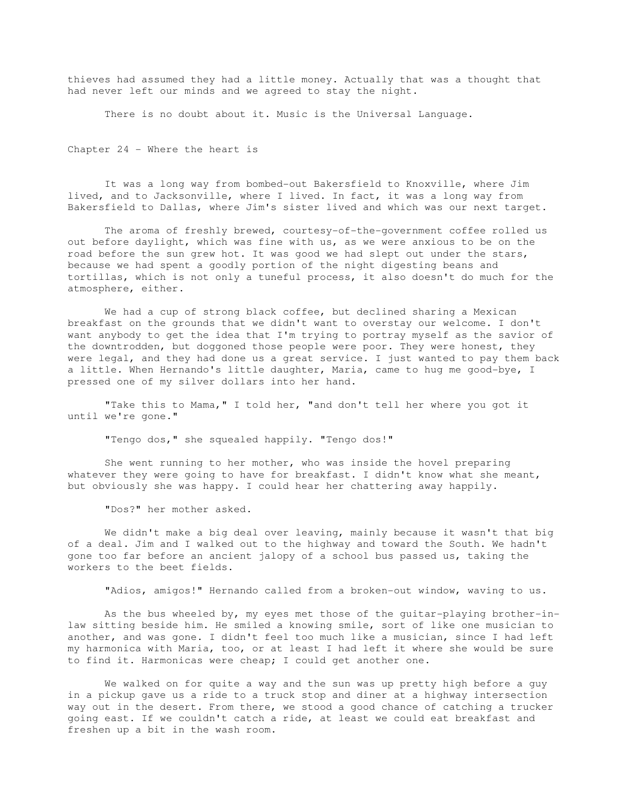thieves had assumed they had a little money. Actually that was a thought that had never left our minds and we agreed to stay the night.

There is no doubt about it. Music is the Universal Language.

Chapter 24 - Where the heart is

 It was a long way from bombed-out Bakersfield to Knoxville, where Jim lived, and to Jacksonville, where I lived. In fact, it was a long way from Bakersfield to Dallas, where Jim's sister lived and which was our next target.

 The aroma of freshly brewed, courtesy-of-the-government coffee rolled us out before daylight, which was fine with us, as we were anxious to be on the road before the sun grew hot. It was good we had slept out under the stars, because we had spent a goodly portion of the night digesting beans and tortillas, which is not only a tuneful process, it also doesn't do much for the atmosphere, either.

 We had a cup of strong black coffee, but declined sharing a Mexican breakfast on the grounds that we didn't want to overstay our welcome. I don't want anybody to get the idea that I'm trying to portray myself as the savior of the downtrodden, but doggoned those people were poor. They were honest, they were legal, and they had done us a great service. I just wanted to pay them back a little. When Hernando's little daughter, Maria, came to hug me good-bye, I pressed one of my silver dollars into her hand.

 "Take this to Mama," I told her, "and don't tell her where you got it until we're gone."

"Tengo dos," she squealed happily. "Tengo dos!"

 She went running to her mother, who was inside the hovel preparing whatever they were going to have for breakfast. I didn't know what she meant, but obviously she was happy. I could hear her chattering away happily.

"Dos?" her mother asked.

 We didn't make a big deal over leaving, mainly because it wasn't that big of a deal. Jim and I walked out to the highway and toward the South. We hadn't gone too far before an ancient jalopy of a school bus passed us, taking the workers to the beet fields.

"Adios, amigos!" Hernando called from a broken-out window, waving to us.

 As the bus wheeled by, my eyes met those of the guitar-playing brother-inlaw sitting beside him. He smiled a knowing smile, sort of like one musician to another, and was gone. I didn't feel too much like a musician, since I had left my harmonica with Maria, too, or at least I had left it where she would be sure to find it. Harmonicas were cheap; I could get another one.

 We walked on for quite a way and the sun was up pretty high before a guy in a pickup gave us a ride to a truck stop and diner at a highway intersection way out in the desert. From there, we stood a good chance of catching a trucker going east. If we couldn't catch a ride, at least we could eat breakfast and freshen up a bit in the wash room.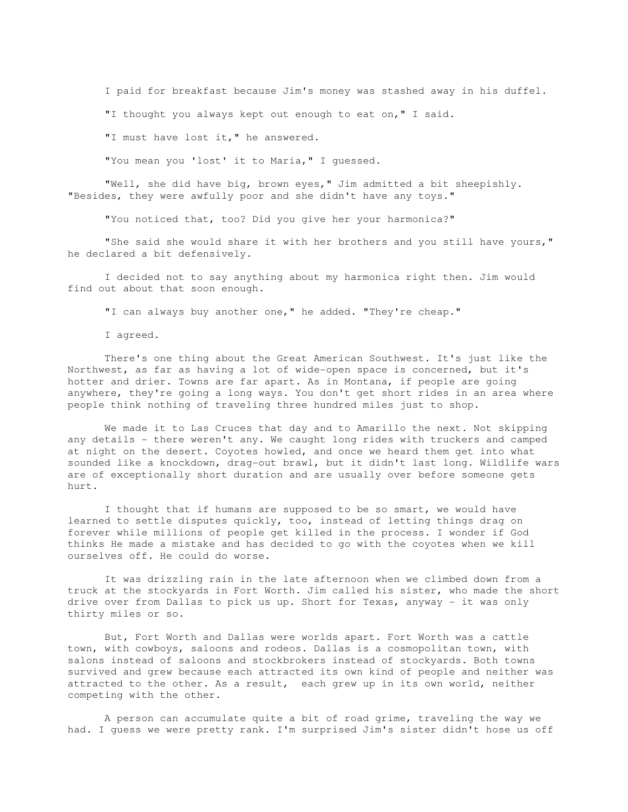I paid for breakfast because Jim's money was stashed away in his duffel.

"I thought you always kept out enough to eat on," I said.

"I must have lost it," he answered.

"You mean you 'lost' it to Maria," I guessed.

 "Well, she did have big, brown eyes," Jim admitted a bit sheepishly. "Besides, they were awfully poor and she didn't have any toys."

"You noticed that, too? Did you give her your harmonica?"

 "She said she would share it with her brothers and you still have yours," he declared a bit defensively.

 I decided not to say anything about my harmonica right then. Jim would find out about that soon enough.

"I can always buy another one," he added. "They're cheap."

I agreed.

 There's one thing about the Great American Southwest. It's just like the Northwest, as far as having a lot of wide-open space is concerned, but it's hotter and drier. Towns are far apart. As in Montana, if people are going anywhere, they're going a long ways. You don't get short rides in an area where people think nothing of traveling three hundred miles just to shop.

 We made it to Las Cruces that day and to Amarillo the next. Not skipping any details - there weren't any. We caught long rides with truckers and camped at night on the desert. Coyotes howled, and once we heard them get into what sounded like a knockdown, drag-out brawl, but it didn't last long. Wildlife wars are of exceptionally short duration and are usually over before someone gets hurt.

 I thought that if humans are supposed to be so smart, we would have learned to settle disputes quickly, too, instead of letting things drag on forever while millions of people get killed in the process. I wonder if God thinks He made a mistake and has decided to go with the coyotes when we kill ourselves off. He could do worse.

 It was drizzling rain in the late afternoon when we climbed down from a truck at the stockyards in Fort Worth. Jim called his sister, who made the short drive over from Dallas to pick us up. Short for Texas, anyway - it was only thirty miles or so.

 But, Fort Worth and Dallas were worlds apart. Fort Worth was a cattle town, with cowboys, saloons and rodeos. Dallas is a cosmopolitan town, with salons instead of saloons and stockbrokers instead of stockyards. Both towns survived and grew because each attracted its own kind of people and neither was attracted to the other. As a result, each grew up in its own world, neither competing with the other.

 A person can accumulate quite a bit of road grime, traveling the way we had. I guess we were pretty rank. I'm surprised Jim's sister didn't hose us off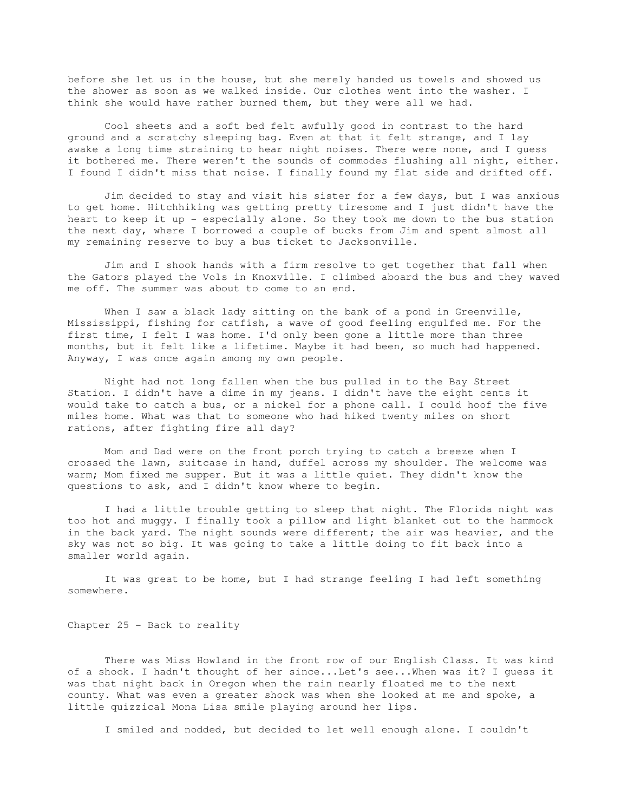before she let us in the house, but she merely handed us towels and showed us the shower as soon as we walked inside. Our clothes went into the washer. I think she would have rather burned them, but they were all we had.

 Cool sheets and a soft bed felt awfully good in contrast to the hard ground and a scratchy sleeping bag. Even at that it felt strange, and I lay awake a long time straining to hear night noises. There were none, and I guess it bothered me. There weren't the sounds of commodes flushing all night, either. I found I didn't miss that noise. I finally found my flat side and drifted off.

 Jim decided to stay and visit his sister for a few days, but I was anxious to get home. Hitchhiking was getting pretty tiresome and I just didn't have the heart to keep it up - especially alone. So they took me down to the bus station the next day, where I borrowed a couple of bucks from Jim and spent almost all my remaining reserve to buy a bus ticket to Jacksonville.

 Jim and I shook hands with a firm resolve to get together that fall when the Gators played the Vols in Knoxville. I climbed aboard the bus and they waved me off. The summer was about to come to an end.

When I saw a black lady sitting on the bank of a pond in Greenville, Mississippi, fishing for catfish, a wave of good feeling engulfed me. For the first time, I felt I was home. I'd only been gone a little more than three months, but it felt like a lifetime. Maybe it had been, so much had happened. Anyway, I was once again among my own people.

 Night had not long fallen when the bus pulled in to the Bay Street Station. I didn't have a dime in my jeans. I didn't have the eight cents it would take to catch a bus, or a nickel for a phone call. I could hoof the five miles home. What was that to someone who had hiked twenty miles on short rations, after fighting fire all day?

 Mom and Dad were on the front porch trying to catch a breeze when I crossed the lawn, suitcase in hand, duffel across my shoulder. The welcome was warm; Mom fixed me supper. But it was a little quiet. They didn't know the questions to ask, and I didn't know where to begin.

 I had a little trouble getting to sleep that night. The Florida night was too hot and muggy. I finally took a pillow and light blanket out to the hammock in the back yard. The night sounds were different; the air was heavier, and the sky was not so big. It was going to take a little doing to fit back into a smaller world again.

 It was great to be home, but I had strange feeling I had left something somewhere.

Chapter 25 - Back to reality

 There was Miss Howland in the front row of our English Class. It was kind of a shock. I hadn't thought of her since...Let's see...When was it? I guess it was that night back in Oregon when the rain nearly floated me to the next county. What was even a greater shock was when she looked at me and spoke, a little quizzical Mona Lisa smile playing around her lips.

I smiled and nodded, but decided to let well enough alone. I couldn't